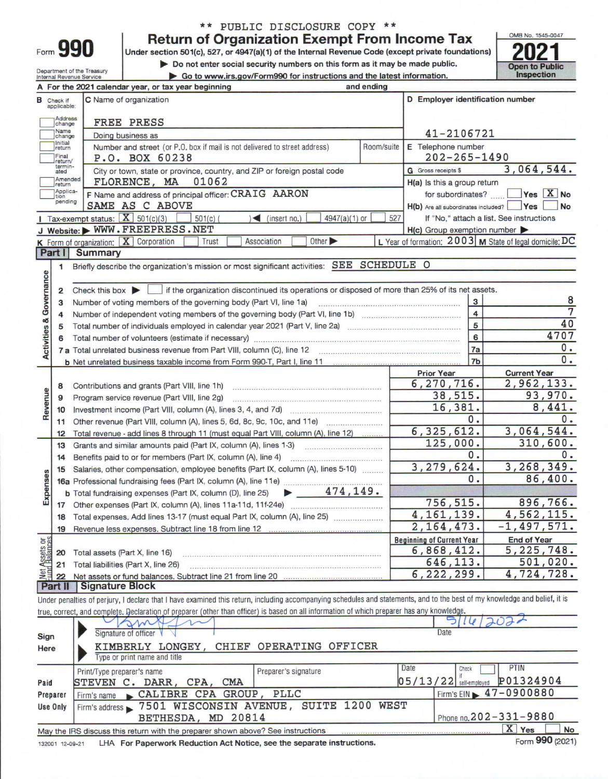| orm |  |  |
|-----|--|--|
|     |  |  |

# \*\* PUBLIC DISCLOSURE COPY \*\*

Return of Organization Exempt From Income Tax

Do not enter social security numbers on this form as it may be made public.

Department of the Treasury<br>Internal Revenue Service

|  |  |  | Go to www.irs.gov/Form990 for instructions and the latest information |
|--|--|--|-----------------------------------------------------------------------|



|                                |                          | A For the 2021 calendar year, or tax year beginning                                                                                                                                                                            | and ending |                                         |                                                         |  |  |
|--------------------------------|--------------------------|--------------------------------------------------------------------------------------------------------------------------------------------------------------------------------------------------------------------------------|------------|-----------------------------------------|---------------------------------------------------------|--|--|
| в                              | Check if<br>applicable:  | C Name of organization                                                                                                                                                                                                         |            | D Employer identification number        |                                                         |  |  |
|                                | <b>Address</b><br>change | FREE PRESS                                                                                                                                                                                                                     |            |                                         |                                                         |  |  |
|                                | Name<br>change           | Doing business as                                                                                                                                                                                                              |            | 41-2106721                              |                                                         |  |  |
|                                | Initial<br>return        | Number and street (or P.O. box if mail is not delivered to street address)                                                                                                                                                     | Room/suite | E Telephone number                      |                                                         |  |  |
|                                | Final<br>return/         | P.O. BOX 60238                                                                                                                                                                                                                 |            | $202 - 265 - 1490$                      |                                                         |  |  |
|                                | termin-<br>ated          | City or town, state or province, country, and ZIP or foreign postal code                                                                                                                                                       |            | <b>G</b> Gross receipts \$              | 3,064,544.                                              |  |  |
|                                | Amended<br>return        | 01062<br>FLORENCE, MA                                                                                                                                                                                                          |            | H(a) Is this a group return             |                                                         |  |  |
|                                | Applica-<br>tion         | F Name and address of principal officer: CRAIG AARON                                                                                                                                                                           |            |                                         | for subordinates?  Yes X No                             |  |  |
|                                | pending                  | SAME AS C ABOVE                                                                                                                                                                                                                |            | H(b) Are all subordinates included? Ves | No                                                      |  |  |
|                                |                          | Tax-exempt status: $\boxed{\mathbf{X}}$ 501(c)(3)<br>$501(c)$ (<br>$\triangleleft$ (insert no.)<br>$4947(a)(1)$ or                                                                                                             | 527        |                                         | If "No," attach a list. See instructions                |  |  |
|                                |                          | J Website: WWW.FREEPRESS.NET                                                                                                                                                                                                   |            | $H(c)$ Group exemption number           |                                                         |  |  |
|                                |                          | K Form of organization: X Corporation<br>Other $\blacktriangleright$<br>Association<br>Trust                                                                                                                                   |            |                                         | L Year of formation: 2003 M State of legal domicile: DC |  |  |
|                                | Part I                   | <b>Summary</b>                                                                                                                                                                                                                 |            |                                         |                                                         |  |  |
|                                | 1                        | Briefly describe the organization's mission or most significant activities: SEE SCHEDULE O                                                                                                                                     |            |                                         |                                                         |  |  |
| Activities & Governance        | $\overline{\mathbf{2}}$  | Check this box in it the organization discontinued its operations or disposed of more than 25% of its net assets.                                                                                                              |            |                                         |                                                         |  |  |
|                                | 3                        |                                                                                                                                                                                                                                |            | 3                                       | 8                                                       |  |  |
|                                | 4                        |                                                                                                                                                                                                                                |            | $\overline{4}$                          | $\overline{7}$                                          |  |  |
|                                | 5                        |                                                                                                                                                                                                                                |            | $\overline{5}$                          | 40                                                      |  |  |
|                                | 6                        | Total number of volunteers (estimate if necessary) manufactured content content of the manufactured manufactured manufactured manufactured manufactured manufactured manufactured manufactured manufactured manufactured manuf |            | 6                                       | 4707                                                    |  |  |
|                                |                          |                                                                                                                                                                                                                                |            | 7a                                      | 0.                                                      |  |  |
|                                |                          |                                                                                                                                                                                                                                |            | 7 <sub>b</sub>                          | 0.                                                      |  |  |
|                                |                          |                                                                                                                                                                                                                                |            | <b>Prior Year</b>                       | <b>Current Year</b>                                     |  |  |
|                                | 8                        |                                                                                                                                                                                                                                |            | 6, 270, 716.                            | 2,962,133.                                              |  |  |
|                                | 9                        | Program service revenue (Part VIII, line 2g)                                                                                                                                                                                   |            | 38,515.                                 | 93,970.                                                 |  |  |
| Revenue                        | 10                       |                                                                                                                                                                                                                                |            | 16,381.                                 | 8,441.                                                  |  |  |
|                                | 11                       |                                                                                                                                                                                                                                |            | 0.                                      | 0.                                                      |  |  |
|                                | 12                       | Total revenue - add lines 8 through 11 (must equal Part VIII, column (A), line 12)                                                                                                                                             |            | 6, 325, 612.                            | 3,064,544.                                              |  |  |
|                                | 13                       |                                                                                                                                                                                                                                |            | 125,000.                                | 310,600.                                                |  |  |
|                                | 14                       |                                                                                                                                                                                                                                |            | 0.                                      | 0.                                                      |  |  |
|                                | 15                       | Salaries, other compensation, employee benefits (Part IX, column (A), lines 5-10)                                                                                                                                              |            | 3, 279, 624.                            | 3,268,349.                                              |  |  |
|                                |                          |                                                                                                                                                                                                                                |            | 0.                                      | 86,400.                                                 |  |  |
| Expenses                       |                          | $\blacktriangleright$ 474, 149.<br><b>b</b> Total fundraising expenses (Part IX, column (D), line 25)                                                                                                                          |            |                                         |                                                         |  |  |
|                                |                          |                                                                                                                                                                                                                                |            | 756, 515.                               | 896,766.                                                |  |  |
|                                |                          | 18 Total expenses. Add lines 13-17 (must equal Part IX, column (A), line 25)                                                                                                                                                   |            | 4, 161, 139.                            | 4,562,115.                                              |  |  |
|                                |                          | Revenue less expenses. Subtract line 18 from line 12                                                                                                                                                                           |            | 2,164,473.                              | $-1,497,571.$                                           |  |  |
|                                |                          |                                                                                                                                                                                                                                |            | <b>Beginning of Current Year</b>        | <b>End of Year</b>                                      |  |  |
|                                | 20                       | Total assets (Part X, line 16)                                                                                                                                                                                                 |            | 6,868,412.                              | 5, 225, 748.                                            |  |  |
| Net Assets or<br>Fund Balances | 21                       | Total liabilities (Part X, line 26)                                                                                                                                                                                            |            | 646,113.<br>6, 222, 299.                | 501,020.<br>4,724,728.                                  |  |  |
|                                | 22                       | Signature Block                                                                                                                                                                                                                |            |                                         |                                                         |  |  |
|                                | Part II                  |                                                                                                                                                                                                                                |            |                                         |                                                         |  |  |
|                                |                          | Under penalties of perjury, I declare that I have examined this return, including accompanying schedules and statements, and to the best of my knowledge and belief, it is                                                     |            |                                         |                                                         |  |  |
|                                |                          | true, correct, and complete. Declaration of preparer (other than officer) is based on all information of which preparer has any knowledge.                                                                                     |            |                                         |                                                         |  |  |

| Sign<br>Here    | m<br>Signature of officer<br>KIMBERLY LONGEY, CHIEF OPERATING OFFICER<br>Type or print name and title         | 511412021<br>Date                                                     |
|-----------------|---------------------------------------------------------------------------------------------------------------|-----------------------------------------------------------------------|
| Paid            | Preparer's signature<br>Print/Type preparer's name<br>STEVEN C. DARR, CPA,<br>CMA                             | <b>PTIN</b><br>Date<br>Check<br>P01324904<br>$05/13/22$ self-employed |
| Preparer        | Firm's name CALIBRE CPA GROUP, PLLC                                                                           | Firm's EIN 17-0900880                                                 |
| <b>Use Only</b> | Firm's address > 7501 WISCONSIN AVENUE, SUITE 1200 WEST                                                       |                                                                       |
|                 | BETHESDA, MD 20814                                                                                            | Phone no. 202-331-9880                                                |
|                 | May the IRS discuss this return with the preparer shown above? See instructions<br>************************** | $\mathbf{x}$<br>No<br>Yes                                             |

LHA For Paperwork Reduction Act Notice, see the separate instructions. 132001 12-09-21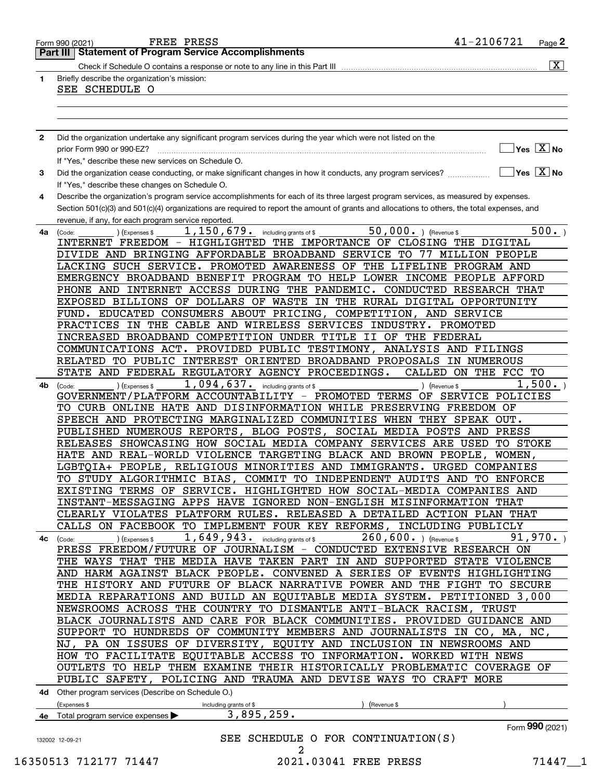|              | FREE PRESS<br>Form 990 (2021)                                                                                                                                | 41-2106721<br>Page 2                                            |
|--------------|--------------------------------------------------------------------------------------------------------------------------------------------------------------|-----------------------------------------------------------------|
|              | <b>Statement of Program Service Accomplishments</b><br>Part III I                                                                                            |                                                                 |
|              |                                                                                                                                                              | $\overline{\mathtt{x}}$ )                                       |
| $\mathbf{1}$ | Briefly describe the organization's mission:                                                                                                                 |                                                                 |
|              | SEE SCHEDULE O                                                                                                                                               |                                                                 |
|              |                                                                                                                                                              |                                                                 |
|              |                                                                                                                                                              |                                                                 |
|              |                                                                                                                                                              |                                                                 |
| $\mathbf{2}$ | Did the organization undertake any significant program services during the year which were not listed on the                                                 |                                                                 |
|              | prior Form 990 or 990-EZ?                                                                                                                                    | $\sqrt{}$ Yes $\sqrt{X}$ No                                     |
|              | If "Yes," describe these new services on Schedule O.                                                                                                         |                                                                 |
| 3            |                                                                                                                                                              | $\overline{\mathsf{Yes} \mathrel{\hspace{0.5pt}\mathsf{X}}}$ No |
|              | Did the organization cease conducting, or make significant changes in how it conducts, any program services?                                                 |                                                                 |
|              | If "Yes," describe these changes on Schedule O.                                                                                                              |                                                                 |
| 4            | Describe the organization's program service accomplishments for each of its three largest program services, as measured by expenses.                         |                                                                 |
|              | Section 501(c)(3) and 501(c)(4) organizations are required to report the amount of grants and allocations to others, the total expenses, and                 |                                                                 |
|              | revenue, if any, for each program service reported.                                                                                                          | 500.                                                            |
| 4а           | 50,000. (Revenue \$<br>1, 150, 679. including grants of \$<br>(Expenses \$<br>(Code:<br>INTERNET FREEDOM - HIGHLIGHTED THE IMPORTANCE OF CLOSING THE DIGITAL |                                                                 |
|              |                                                                                                                                                              |                                                                 |
|              | DIVIDE AND BRINGING AFFORDABLE BROADBAND SERVICE TO<br>77                                                                                                    | MILLION PEOPLE                                                  |
|              | LACKING SUCH SERVICE. PROMOTED AWARENESS OF THE LIFELINE PROGRAM AND                                                                                         |                                                                 |
|              | EMERGENCY BROADBAND BENEFIT PROGRAM TO HELP LOWER INCOME PEOPLE AFFORD                                                                                       |                                                                 |
|              | PHONE AND INTERNET ACCESS DURING THE PANDEMIC.                                                                                                               | CONDUCTED RESEARCH THAT                                         |
|              | EXPOSED BILLIONS OF DOLLARS OF WASTE<br>IN THE RURAL DIGITAL OPPORTUNITY                                                                                     |                                                                 |
|              | FUND. EDUCATED CONSUMERS ABOUT PRICING,<br>COMPETITION,<br>AND                                                                                               | SERVICE                                                         |
|              | PRACTICES IN THE CABLE AND WIRELESS SERVICES INDUSTRY. PROMOTED                                                                                              |                                                                 |
|              | INCREASED BROADBAND COMPETITION UNDER TITLE II OF THE FEDERAL                                                                                                |                                                                 |
|              | COMMUNICATIONS ACT. PROVIDED PUBLIC TESTIMONY,                                                                                                               | ANALYSIS AND FILINGS                                            |
|              | RELATED TO PUBLIC INTEREST ORIENTED BROADBAND PROPOSALS                                                                                                      | IN NUMEROUS                                                     |
|              | STATE AND FEDERAL REGULATORY AGENCY PROCEEDINGS.                                                                                                             | CALLED ON THE FCC TO                                            |
| 4b           | 1,094,637.<br>including grants of \$<br>(Expenses \$<br>) (Revenue \$<br>(Code:                                                                              | 1,500.                                                          |
|              | GOVERNMENT/PLATFORM ACCOUNTABILITY - PROMOTED TERMS OF                                                                                                       | SERVICE POLICIES                                                |
|              | TO CURB ONLINE HATE AND DISINFORMATION WHILE PRESERVING FREEDOM OF                                                                                           |                                                                 |
|              | SPEECH AND PROTECTING MARGINALIZED COMMUNITIES WHEN                                                                                                          | THEY SPEAK OUT.                                                 |
|              | PUBLISHED NUMEROUS REPORTS, BLOG POSTS,<br>SOCIAL MEDIA POSTS AND PRESS                                                                                      |                                                                 |
|              | RELEASES SHOWCASING HOW SOCIAL MEDIA COMPANY SERVICES ARE USED                                                                                               | TO STOKE                                                        |
|              | HATE AND REAL-WORLD VIOLENCE TARGETING BLACK AND BROWN PEOPLE,                                                                                               | WOMEN,                                                          |
|              | LGBTQIA+ PEOPLE, RELIGIOUS MINORITIES AND IMMIGRANTS. URGED COMPANIES                                                                                        |                                                                 |
|              | TO STUDY ALGORITHMIC BIAS, COMMIT TO INDEPENDENT AUDITS AND TO ENFORCE                                                                                       |                                                                 |
|              | EXISTING TERMS OF SERVICE. HIGHLIGHTED HOW SOCIAL-MEDIA COMPANIES AND                                                                                        |                                                                 |
|              | INSTANT-MESSAGING APPS HAVE IGNORED NON-ENGLISH MISINFORMATION THAT                                                                                          |                                                                 |
|              | CLEARLY VIOLATES PLATFORM RULES. RELEASED A DETAILED ACTION PLAN THAT                                                                                        |                                                                 |
|              | CALLS ON FACEBOOK TO IMPLEMENT FOUR KEY REFORMS,                                                                                                             | INCLUDING PUBLICLY                                              |
|              |                                                                                                                                                              |                                                                 |
| 4с           | $1,649,943.$ including grants of \$<br>$260, 600.$ ) (Revenue \$<br>) (Expenses \$<br>(Code:                                                                 | 91,970.                                                         |
|              | PRESS FREEDOM/FUTURE OF JOURNALISM - CONDUCTED EXTENSIVE RESEARCH ON                                                                                         |                                                                 |
|              | THE WAYS THAT THE MEDIA HAVE TAKEN PART IN AND SUPPORTED STATE VIOLENCE                                                                                      |                                                                 |
|              | AND HARM AGAINST BLACK PEOPLE. CONVENED A SERIES OF EVENTS HIGHLIGHTING                                                                                      |                                                                 |
|              | THE HISTORY AND FUTURE OF BLACK NARRATIVE POWER AND THE FIGHT TO SECURE                                                                                      |                                                                 |
|              | MEDIA REPARATIONS AND BUILD AN EQUITABLE MEDIA SYSTEM. PETITIONED 3,000                                                                                      |                                                                 |
|              | NEWSROOMS ACROSS THE COUNTRY TO DISMANTLE ANTI-BLACK RACISM,                                                                                                 | TRUST                                                           |
|              | BLACK JOURNALISTS AND CARE FOR BLACK COMMUNITIES. PROVIDED GUIDANCE AND                                                                                      |                                                                 |
|              | SUPPORT TO HUNDREDS OF COMMUNITY MEMBERS AND JOURNALISTS IN CO, MA,                                                                                          | NC ,                                                            |
|              | NJ, PA ON ISSUES OF DIVERSITY, EQUITY AND INCLUSION IN NEWSROOMS AND                                                                                         |                                                                 |
|              | HOW TO FACILITATE EQUITABLE ACCESS TO INFORMATION. WORKED WITH NEWS                                                                                          |                                                                 |
|              | OUTLETS TO HELP THEM EXAMINE THEIR HISTORICALLY PROBLEMATIC COVERAGE OF                                                                                      |                                                                 |
|              | PUBLIC SAFETY, POLICING AND TRAUMA AND DEVISE WAYS TO CRAFT MORE                                                                                             |                                                                 |
|              | 4d Other program services (Describe on Schedule O.)                                                                                                          |                                                                 |
|              | (Expenses \$<br>including grants of \$<br>(Revenue \$                                                                                                        |                                                                 |
|              | 3,895,259.<br>4e Total program service expenses >                                                                                                            |                                                                 |
|              |                                                                                                                                                              | Form 990 (2021)                                                 |
|              | SEE SCHEDULE O FOR CONTINUATION(S)<br>132002 12-09-21                                                                                                        |                                                                 |
|              | 2                                                                                                                                                            |                                                                 |
|              |                                                                                                                                                              |                                                                 |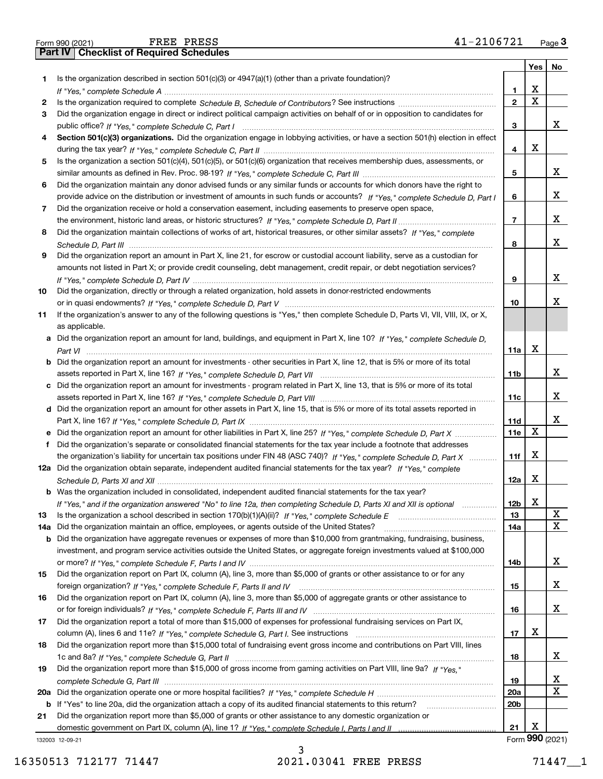| Is the organization described in section $501(c)(3)$ or $4947(a)(1)$ (other than a private foundation)?                         |
|---------------------------------------------------------------------------------------------------------------------------------|
|                                                                                                                                 |
|                                                                                                                                 |
| Did the organization engage in direct or indirect political campaign activities on behalf of or in opposition to candidates for |
|                                                                                                                                 |

| 5 Is the organization a section 501(c)(4), 501(c)(5), or 501(c)(6) organization that receives membership dues, assessments, or |
|--------------------------------------------------------------------------------------------------------------------------------|
|                                                                                                                                |
| . A Did the concertential metabolic concerte advised formal concerted formal concertent formulate decomposition distribution   |

| 6 Did the organization maintain any donor advised funds or any similar funds or accounts for which donors have the right to  |
|------------------------------------------------------------------------------------------------------------------------------|
| provide advice on the distribution or investment of amounts in such funds or accounts? If "Yes," complete Schedule D, Part I |
| Did the organization receive or hold a conservation easement, including easements to preserve open space,                    |

**8***If "Yes," complete Schedule D, Part II* the environment, historic land areas, or historic structures? ~~~~~~~~~~~~~~ *If "Yes," complete* Did the organization maintain collections of works of art, historical treasures, or other similar assets? *Schedule D, Part III* ~~~~~~~~~~~~~~~~~~~~~~~~~~~~~~~~~~~~~~~~~~~~~~~~~~~~

| <b>9</b> Did the organization report an amount in Part X, line 21, for escrow or custodial account liability, serve as a custodian for |
|----------------------------------------------------------------------------------------------------------------------------------------|
| amounts not listed in Part X; or provide credit counseling, debt management, credit repair, or debt negotiation services?              |
|                                                                                                                                        |

| Did the organization, directly or through a related organization, hold assets in donor-restricted endowments |  |
|--------------------------------------------------------------------------------------------------------------|--|
|                                                                                                              |  |

**11**If the organization's answer to any of the following questions is "Yes," then complete Schedule D, Parts VI, VII, VIII, IX, or X, as applicable.

| a Did the organization report an amount for land, buildings, and equipment in Part X, line 10? If "Yes," complete Schedule D,         |
|---------------------------------------------------------------------------------------------------------------------------------------|
| Part VI                                                                                                                               |
| <b>b</b> Did the organization report an amount for investments - other securities in Part X, line 12, that is 5% or more of its total |

**c**Did the organization report an amount for investments - program related in Part X, line 13, that is 5% or more of its total *If "Yes," complete Schedule D, Part VII* assets reported in Part X, line 16? ~~~~~~~~~~~~~~~~~~~~~~~~~

| d Did the organization report an amount for other assets in Part X, line 15, that is 5% or more of its total assets reported in |
|---------------------------------------------------------------------------------------------------------------------------------|
|                                                                                                                                 |

| e Did the organization report an amount for other liabilities in Part X, line 25? If "Yes," complete Schedule D, Part X   |
|---------------------------------------------------------------------------------------------------------------------------|
| f Did the organization's separate or consolidated financial statements for the tax year include a footnote that addresses |
| the organization's liability for uncertain tax positions under FIN 48 (ASC 740)? If "Yes," complete Schedule D, Part X    |
| 12a Did the organization obtain separate, independent audited financial statements for the tax year? If "Yes," complete   |

| <b>b</b> Was the organization included in consolidated, independent audited financial statements for the tax year?    |
|-----------------------------------------------------------------------------------------------------------------------|
| If "Yes," and if the organization answered "No" to line 12a, then completing Schedule D, Parts XI and XII is optional |
| 13 Is the organization a school described in section 170(b)(1)(A)(ii)? If "Yes," complete Schedule E multimerrown     |
| 14a Did the organization maintain an office, employees, or agents outside of the United States?                       |

**b** Did the organization have aggregate revenues or expenses of more than \$10,000 from grantmaking, fundraising, business, or more? *If "Yes," complete Schedule F, Parts I and IV ……………………………………………………………………*…………………… investment, and program service activities outside the United States, or aggregate foreign investments valued at \$100,000

| 15 Did the organization report on Part IX, column (A), line 3, more than \$5,000 of grants or other assistance to or for any                                                                                                   |
|--------------------------------------------------------------------------------------------------------------------------------------------------------------------------------------------------------------------------------|
| foreign organization? If "Yes," complete Schedule F, Parts II and IV [1999] content to the subsequent to the subsequent for the foreign organization? If "Yes," complete Schedule F, Parts II and IV [1999] contents and the s |
| 16 Did the organization report on Part IX, column (A), line 3, more than \$5,000 of aggregate grants or other assistance to                                                                                                    |

| $\mathbf{A}$ . Define constraints and the southern $\mathbf{A}$ is applied of fundational continuous constraints and contributions on Decimal Reserves |
|--------------------------------------------------------------------------------------------------------------------------------------------------------|
| column (A), lines 6 and 11e? If "Yes," complete Schedule G, Part I. See instructions                                                                   |
| 17 Did the organization report a total of more than \$15,000 of expenses for professional fundraising services on Part IX,                             |
|                                                                                                                                                        |

- **1819***If "Yes," complete Schedule G, Part II* 1c and 8a? ~~~~~~~~~~~~~~~~~~~~~~~~~~~~~~~~~~~~~ Did the organization report more than \$15,000 total of fundraising event gross income and contributions on Part VIII, lines
- **20 a** *If "Yes," complete Schedule H* Did the organization operate one or more hospital facilities? ~~~~~~~~~~~~~~~~~ Did the organization report more than \$15,000 of gross income from gaming activities on Part VIII, line 9a? If "Yes," *complete Schedule G, Part III* ~~~~~~~~~~~~~~~~~~~~~~~~~~~~~~~~~~~~~~~~~~~~~~~

**b** If "Yes" to line 20a, did the organization attach a copy of its audited financial statements to this return? \_\_\_\_\_\_\_\_\_\_\_\_\_\_\_\_\_\_\_\_\_\_

132003 12-09-21 **21**domestic government on Part IX, column (A), line 1? If "Yes," complete Schedule I, Parts I and II …………………………………… Did the organization report more than \$5,000 of grants or other assistance to any domestic organization or  **12**

**3**

**4**

**5**

**6**

**7**

**8**

**9**

**10**

**11a**

X

**11b**

**11c**

**11d11e**

~~~~~~

**11f**

**12a**

X

X

X

X

X X

X

X

X

X

X

X

**12b1314a**

**14b**

**15**

**16**

**17**

X

**18**

**1920a20b**

**21**

**Yes**

X X

X

**No**

X

X

X

X

X

X

X

X

X

X

**1**

**23**

**10**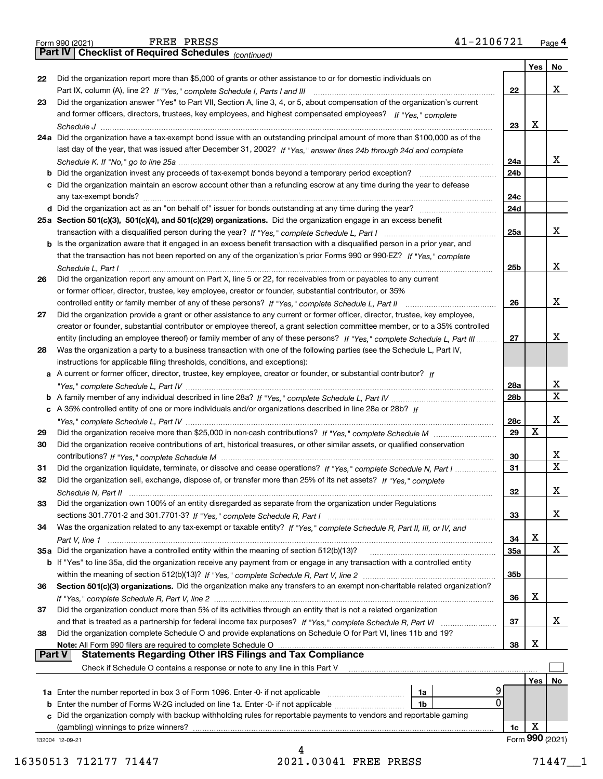| 41-2106721<br>Page $4$ |
|------------------------|
|------------------------|

X

 $X_{-}$ 

|    | 41-2106721<br>FREE PRESS<br>Form 990 (2021)                                                                                                                                                                                                             |                 |     | Page 4      |
|----|---------------------------------------------------------------------------------------------------------------------------------------------------------------------------------------------------------------------------------------------------------|-----------------|-----|-------------|
|    | Part IV   Checklist of Required Schedules (continued)                                                                                                                                                                                                   |                 |     |             |
|    |                                                                                                                                                                                                                                                         |                 | Yes | No          |
| 22 | Did the organization report more than \$5,000 of grants or other assistance to or for domestic individuals on                                                                                                                                           |                 |     |             |
|    |                                                                                                                                                                                                                                                         | 22              |     | X           |
| 23 | Did the organization answer "Yes" to Part VII, Section A, line 3, 4, or 5, about compensation of the organization's current                                                                                                                             |                 |     |             |
|    | and former officers, directors, trustees, key employees, and highest compensated employees? If "Yes," complete                                                                                                                                          |                 |     |             |
|    |                                                                                                                                                                                                                                                         | 23              | х   |             |
|    | 24a Did the organization have a tax-exempt bond issue with an outstanding principal amount of more than \$100,000 as of the                                                                                                                             |                 |     |             |
|    | last day of the year, that was issued after December 31, 2002? If "Yes," answer lines 24b through 24d and complete                                                                                                                                      |                 |     |             |
|    |                                                                                                                                                                                                                                                         | 24a             |     | x           |
|    |                                                                                                                                                                                                                                                         | 24 <sub>b</sub> |     |             |
|    | c Did the organization maintain an escrow account other than a refunding escrow at any time during the year to defease                                                                                                                                  |                 |     |             |
|    |                                                                                                                                                                                                                                                         | 24c             |     |             |
|    |                                                                                                                                                                                                                                                         | 24d             |     |             |
|    | 25a Section 501(c)(3), 501(c)(4), and 501(c)(29) organizations. Did the organization engage in an excess benefit                                                                                                                                        |                 |     | x           |
|    |                                                                                                                                                                                                                                                         | 25a             |     |             |
|    | b Is the organization aware that it engaged in an excess benefit transaction with a disqualified person in a prior year, and                                                                                                                            |                 |     |             |
|    | that the transaction has not been reported on any of the organization's prior Forms 990 or 990-EZ? If "Yes," complete                                                                                                                                   |                 |     | x           |
|    | Schedule L, Part I                                                                                                                                                                                                                                      | 25 <sub>b</sub> |     |             |
| 26 | Did the organization report any amount on Part X, line 5 or 22, for receivables from or payables to any current                                                                                                                                         |                 |     |             |
|    | or former officer, director, trustee, key employee, creator or founder, substantial contributor, or 35%                                                                                                                                                 | 26              |     | X           |
| 27 |                                                                                                                                                                                                                                                         |                 |     |             |
|    | Did the organization provide a grant or other assistance to any current or former officer, director, trustee, key employee,                                                                                                                             |                 |     |             |
|    | creator or founder, substantial contributor or employee thereof, a grant selection committee member, or to a 35% controlled<br>entity (including an employee thereof) or family member of any of these persons? If "Yes," complete Schedule L, Part III | 27              |     | X           |
| 28 | Was the organization a party to a business transaction with one of the following parties (see the Schedule L, Part IV,                                                                                                                                  |                 |     |             |
|    | instructions for applicable filing thresholds, conditions, and exceptions):                                                                                                                                                                             |                 |     |             |
|    | a A current or former officer, director, trustee, key employee, creator or founder, or substantial contributor? If                                                                                                                                      |                 |     |             |
|    |                                                                                                                                                                                                                                                         | 28a             |     | х           |
|    |                                                                                                                                                                                                                                                         | 28b             |     | $\mathbf X$ |
|    | c A 35% controlled entity of one or more individuals and/or organizations described in line 28a or 28b? If                                                                                                                                              |                 |     |             |
|    |                                                                                                                                                                                                                                                         | 28c             |     | X           |
| 29 |                                                                                                                                                                                                                                                         | 29              | X   |             |
| 30 | Did the organization receive contributions of art, historical treasures, or other similar assets, or qualified conservation                                                                                                                             |                 |     |             |
|    |                                                                                                                                                                                                                                                         | 30              |     | Х           |
| 31 | Did the organization liquidate, terminate, or dissolve and cease operations? If "Yes," complete Schedule N, Part I                                                                                                                                      | 31              |     | $\mathbf X$ |
| 32 | Did the organization sell, exchange, dispose of, or transfer more than 25% of its net assets? If "Yes," complete                                                                                                                                        |                 |     |             |
|    |                                                                                                                                                                                                                                                         | 32              |     | х           |
| 33 | Did the organization own 100% of an entity disregarded as separate from the organization under Regulations                                                                                                                                              |                 |     |             |
|    |                                                                                                                                                                                                                                                         | 33              |     | х           |
| 34 | Was the organization related to any tax-exempt or taxable entity? If "Yes," complete Schedule R, Part II, III, or IV, and                                                                                                                               |                 |     |             |
|    |                                                                                                                                                                                                                                                         | 34              | х   |             |
|    | 35a Did the organization have a controlled entity within the meaning of section 512(b)(13)?                                                                                                                                                             | 35a             |     | X           |
|    | <b>b</b> If "Yes" to line 35a, did the organization receive any payment from or engage in any transaction with a controlled entity                                                                                                                      |                 |     |             |
|    |                                                                                                                                                                                                                                                         | 35b             |     |             |
| 36 | Section 501(c)(3) organizations. Did the organization make any transfers to an exempt non-charitable related organization?                                                                                                                              |                 |     |             |
|    |                                                                                                                                                                                                                                                         | 36              | х   |             |
| 37 | Did the organization conduct more than 5% of its activities through an entity that is not a related organization                                                                                                                                        |                 |     |             |
|    |                                                                                                                                                                                                                                                         | 37              |     | х           |
| 38 | Did the organization complete Schedule O and provide explanations on Schedule O for Part VI, lines 11b and 19?                                                                                                                                          |                 |     |             |
|    | Note: All Form 990 filers are required to complete Schedule O                                                                                                                                                                                           | 38              | х   |             |
|    | <b>Part V</b>                                                                                                                                                                                                                                           |                 |     |             |
|    | Check if Schedule O contains a response or note to any line in this Part V                                                                                                                                                                              |                 |     |             |
|    |                                                                                                                                                                                                                                                         |                 | Yes | No          |
|    | 1a                                                                                                                                                                                                                                                      | 9               |     |             |
|    | <b>b</b> Enter the number of Forms W-2G included on line 1a. Enter -0- if not applicable<br>1b                                                                                                                                                          | $\overline{0}$  |     |             |

 ${\bf c}$  Did the organization comply with backup withholding rules for reportable payments to vendors and reportable gaming (gambling) winnings to prize winners?

132004 12-09-21

4 16350513 712177 71447 2021.03041 FREE PRESS 71447 1

Form (2021) **990**

X

**1c**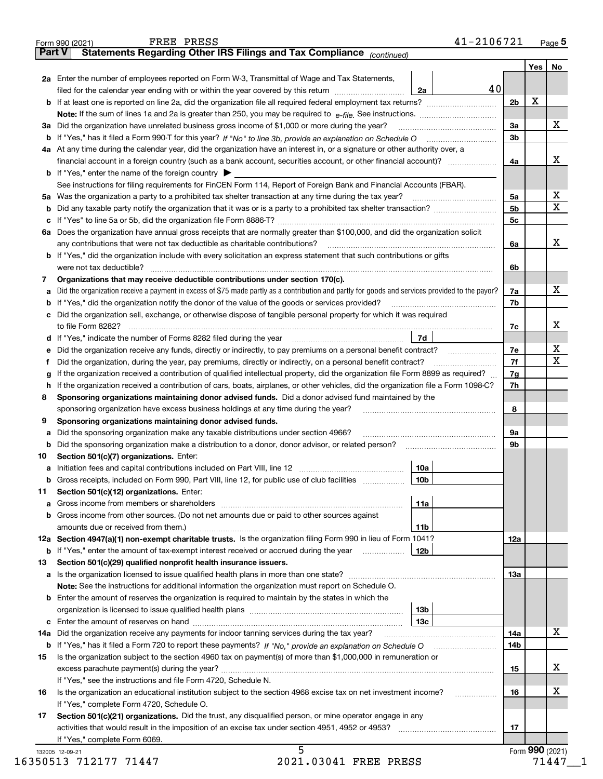|               | FREE PRESS<br>Form 990 (2021)                                                                                                                   | 41-2106721  |          |     | Page 5            |
|---------------|-------------------------------------------------------------------------------------------------------------------------------------------------|-------------|----------|-----|-------------------|
| <b>Part V</b> | Statements Regarding Other IRS Filings and Tax Compliance (continued)                                                                           |             |          |     |                   |
|               |                                                                                                                                                 |             |          | Yes | No                |
|               | 2a Enter the number of employees reported on Form W-3, Transmittal of Wage and Tax Statements,                                                  |             |          |     |                   |
|               | filed for the calendar year ending with or within the year covered by this return <i>manumumumum</i>                                            | 40<br>2a    |          |     |                   |
|               |                                                                                                                                                 |             | 2b       | х   |                   |
|               |                                                                                                                                                 |             |          |     |                   |
|               | 3a Did the organization have unrelated business gross income of \$1,000 or more during the year?                                                |             | 3a       |     | X                 |
|               |                                                                                                                                                 |             | 3b       |     |                   |
|               | 4a At any time during the calendar year, did the organization have an interest in, or a signature or other authority over, a                    |             |          |     |                   |
|               |                                                                                                                                                 |             | 4a       |     | x                 |
|               | <b>b</b> If "Yes," enter the name of the foreign country $\blacktriangleright$                                                                  |             |          |     |                   |
|               | See instructions for filing requirements for FinCEN Form 114, Report of Foreign Bank and Financial Accounts (FBAR).                             |             |          |     |                   |
|               |                                                                                                                                                 |             | 5a       |     | х                 |
| b             |                                                                                                                                                 |             | 5b       |     | X                 |
|               |                                                                                                                                                 |             | 5c       |     |                   |
|               | 6a Does the organization have annual gross receipts that are normally greater than \$100,000, and did the organization solicit                  |             |          |     |                   |
|               | any contributions that were not tax deductible as charitable contributions?                                                                     |             | 6a       |     | X                 |
|               | <b>b</b> If "Yes," did the organization include with every solicitation an express statement that such contributions or gifts                   |             |          |     |                   |
|               |                                                                                                                                                 |             | 6b       |     |                   |
| 7             | Organizations that may receive deductible contributions under section 170(c).                                                                   |             |          |     |                   |
| a             | Did the organization receive a payment in excess of \$75 made partly as a contribution and partly for goods and services provided to the payor? |             | 7a       |     | x                 |
|               | <b>b</b> If "Yes," did the organization notify the donor of the value of the goods or services provided?                                        |             | 7b       |     |                   |
|               | c Did the organization sell, exchange, or otherwise dispose of tangible personal property for which it was required                             |             |          |     |                   |
|               |                                                                                                                                                 |             | 7c       |     | x                 |
|               |                                                                                                                                                 | 7d          |          |     |                   |
|               | Did the organization receive any funds, directly or indirectly, to pay premiums on a personal benefit contract?                                 |             | 7е       |     | х                 |
| е             |                                                                                                                                                 |             | 7f       |     | X                 |
| f             | Did the organization, during the year, pay premiums, directly or indirectly, on a personal benefit contract?                                    |             |          |     |                   |
| g             | If the organization received a contribution of qualified intellectual property, did the organization file Form 8899 as required?                |             | 7g<br>7h |     |                   |
| h.            | If the organization received a contribution of cars, boats, airplanes, or other vehicles, did the organization file a Form 1098-C?              |             |          |     |                   |
| 8             | Sponsoring organizations maintaining donor advised funds. Did a donor advised fund maintained by the                                            |             | 8        |     |                   |
|               | sponsoring organization have excess business holdings at any time during the year?                                                              |             |          |     |                   |
| 9             | Sponsoring organizations maintaining donor advised funds.                                                                                       |             |          |     |                   |
| а             | Did the sponsoring organization make any taxable distributions under section 4966?                                                              |             | 9a       |     |                   |
|               |                                                                                                                                                 |             | 9b       |     |                   |
| 10            | Section 501(c)(7) organizations. Enter:                                                                                                         |             |          |     |                   |
|               |                                                                                                                                                 | 10a<br> 10b |          |     |                   |
|               | Gross receipts, included on Form 990, Part VIII, line 12, for public use of club facilities                                                     |             |          |     |                   |
| 11            | Section 501(c)(12) organizations. Enter:                                                                                                        |             |          |     |                   |
|               | <b>a</b> Gross income from members or shareholders                                                                                              | 11a         |          |     |                   |
|               | b Gross income from other sources. (Do not net amounts due or paid to other sources against                                                     |             |          |     |                   |
|               |                                                                                                                                                 | 11b         |          |     |                   |
|               | 12a Section 4947(a)(1) non-exempt charitable trusts. Is the organization filing Form 990 in lieu of Form 1041?                                  |             | 12a      |     |                   |
|               | <b>b</b> If "Yes," enter the amount of tax-exempt interest received or accrued during the year                                                  | 12b         |          |     |                   |
| 13            | Section 501(c)(29) qualified nonprofit health insurance issuers.                                                                                |             |          |     |                   |
|               | <b>a</b> Is the organization licensed to issue qualified health plans in more than one state?                                                   |             | 13а      |     |                   |
|               | Note: See the instructions for additional information the organization must report on Schedule O.                                               |             |          |     |                   |
|               | <b>b</b> Enter the amount of reserves the organization is required to maintain by the states in which the                                       |             |          |     |                   |
|               |                                                                                                                                                 | 13b         |          |     |                   |
|               |                                                                                                                                                 | 13с         |          |     |                   |
| 14a           | Did the organization receive any payments for indoor tanning services during the tax year?                                                      |             | 14a      |     | x                 |
|               |                                                                                                                                                 |             | 14b      |     |                   |
| 15            | Is the organization subject to the section 4960 tax on payment(s) of more than \$1,000,000 in remuneration or                                   |             |          |     |                   |
|               |                                                                                                                                                 |             | 15       |     | x                 |
|               | If "Yes," see the instructions and file Form 4720, Schedule N.                                                                                  |             |          |     |                   |
| 16            | Is the organization an educational institution subject to the section 4968 excise tax on net investment income?                                 |             | 16       |     | х                 |
|               | If "Yes," complete Form 4720, Schedule O.                                                                                                       |             |          |     |                   |
| 17            | Section 501(c)(21) organizations. Did the trust, any disqualified person, or mine operator engage in any                                        |             |          |     |                   |
|               | activities that would result in the imposition of an excise tax under section 4951, 4952 or 4953?                                               |             | 17       |     |                   |
|               | If "Yes," complete Form 6069.                                                                                                                   |             |          |     |                   |
|               | 5<br>132005 12-09-21                                                                                                                            |             |          |     | Form $990$ (2021) |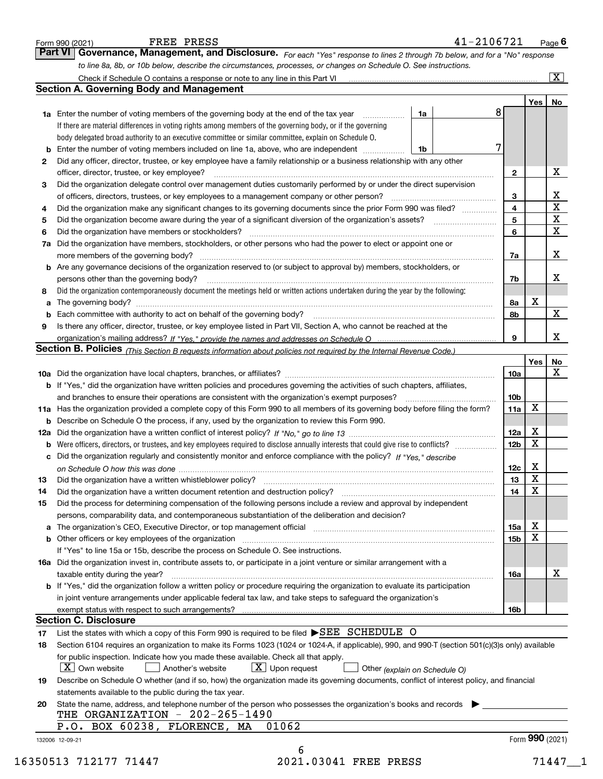|                | Part VI Governance, Management, and Disclosure. For each "Yes" response to lines 2 through 7b below, and for a "No" response<br>to line 8a, 8b, or 10b below, describe the circumstances, processes, or changes on Schedule O. See instructions. |   |                 |             |                         |
|----------------|--------------------------------------------------------------------------------------------------------------------------------------------------------------------------------------------------------------------------------------------------|---|-----------------|-------------|-------------------------|
|                |                                                                                                                                                                                                                                                  |   |                 |             | $\boxed{\text{X}}$      |
|                | <b>Section A. Governing Body and Management</b>                                                                                                                                                                                                  |   |                 |             |                         |
|                |                                                                                                                                                                                                                                                  |   |                 | Yes         | No                      |
|                | 1a Enter the number of voting members of the governing body at the end of the tax year <i>manumum</i><br>1a                                                                                                                                      | 8 |                 |             |                         |
|                | If there are material differences in voting rights among members of the governing body, or if the governing                                                                                                                                      |   |                 |             |                         |
|                | body delegated broad authority to an executive committee or similar committee, explain on Schedule O.                                                                                                                                            |   |                 |             |                         |
| b              | Enter the number of voting members included on line 1a, above, who are independent<br>1b                                                                                                                                                         | 7 |                 |             |                         |
| 2              | Did any officer, director, trustee, or key employee have a family relationship or a business relationship with any other                                                                                                                         |   |                 |             |                         |
|                | officer, director, trustee, or key employee?                                                                                                                                                                                                     |   | 2               |             | X                       |
| 3              | Did the organization delegate control over management duties customarily performed by or under the direct supervision                                                                                                                            |   |                 |             |                         |
|                | of officers, directors, trustees, or key employees to a management company or other person?                                                                                                                                                      |   | 3               |             | X                       |
| 4              | Did the organization make any significant changes to its governing documents since the prior Form 990 was filed?                                                                                                                                 |   | 4               |             | $\overline{\mathbf{x}}$ |
| 5              |                                                                                                                                                                                                                                                  |   | 5               |             | $\overline{\mathbf{x}}$ |
| 6              | Did the organization have members or stockholders?                                                                                                                                                                                               |   | 6               |             | $\overline{\mathtt{x}}$ |
| 7a             | Did the organization have members, stockholders, or other persons who had the power to elect or appoint one or                                                                                                                                   |   |                 |             |                         |
|                | more members of the governing body?                                                                                                                                                                                                              |   | 7a              |             | X                       |
|                | <b>b</b> Are any governance decisions of the organization reserved to (or subject to approval by) members, stockholders, or                                                                                                                      |   |                 |             |                         |
|                | persons other than the governing body?                                                                                                                                                                                                           |   | 7b              |             | x                       |
| 8              | Did the organization contemporaneously document the meetings held or written actions undertaken during the year by the following:                                                                                                                |   |                 |             |                         |
| a              |                                                                                                                                                                                                                                                  |   | 8a              | х           |                         |
| b              | Each committee with authority to act on behalf of the governing body?                                                                                                                                                                            |   | 8b              |             | X                       |
| 9              | Is there any officer, director, trustee, or key employee listed in Part VII, Section A, who cannot be reached at the                                                                                                                             |   |                 |             |                         |
|                |                                                                                                                                                                                                                                                  |   | 9               |             | X                       |
|                | Section B. Policies (This Section B requests information about policies not required by the Internal Revenue Code.)                                                                                                                              |   |                 |             |                         |
|                |                                                                                                                                                                                                                                                  |   |                 | Yes         | No                      |
|                |                                                                                                                                                                                                                                                  |   | 10a             |             | X                       |
|                |                                                                                                                                                                                                                                                  |   |                 |             |                         |
|                | b If "Yes," did the organization have written policies and procedures governing the activities of such chapters, affiliates,<br>and branches to ensure their operations are consistent with the organization's exempt purposes?                  |   | 10 <sub>b</sub> |             |                         |
|                |                                                                                                                                                                                                                                                  |   |                 | X           |                         |
|                | 11a Has the organization provided a complete copy of this Form 990 to all members of its governing body before filing the form?                                                                                                                  |   | 11a             |             |                         |
|                | <b>b</b> Describe on Schedule O the process, if any, used by the organization to review this Form 990.                                                                                                                                           |   |                 | X           |                         |
|                |                                                                                                                                                                                                                                                  |   | 12a             | $\mathbf X$ |                         |
| b              | Were officers, directors, or trustees, and key employees required to disclose annually interests that could give rise to conflicts?                                                                                                              |   | 12 <sub>b</sub> |             |                         |
|                | c Did the organization regularly and consistently monitor and enforce compliance with the policy? If "Yes," describe                                                                                                                             |   |                 |             |                         |
|                |                                                                                                                                                                                                                                                  |   | 12 <sub>c</sub> | х           |                         |
| 13             | Did the organization have a written whistleblower policy?                                                                                                                                                                                        |   | 13              | х           |                         |
| 14             | Did the organization have a written document retention and destruction policy? [11] manufaction policy? [11] manufaction policy? [11] manufaction policy? [11] manufaction policy? [11] manufaction policy? [11] manufaction p                   |   | 14              | $\mathbf X$ |                         |
| 15             | Did the process for determining compensation of the following persons include a review and approval by independent                                                                                                                               |   |                 |             |                         |
|                | persons, comparability data, and contemporaneous substantiation of the deliberation and decision?                                                                                                                                                |   |                 |             |                         |
|                | a The organization's CEO, Executive Director, or top management official [111] [11] manument material manument                                                                                                                                   |   | 15a             | х           |                         |
|                |                                                                                                                                                                                                                                                  |   | 15b             | $\mathbf X$ |                         |
|                | If "Yes" to line 15a or 15b, describe the process on Schedule O. See instructions.                                                                                                                                                               |   |                 |             |                         |
|                | 16a Did the organization invest in, contribute assets to, or participate in a joint venture or similar arrangement with a                                                                                                                        |   |                 |             |                         |
|                | taxable entity during the year?                                                                                                                                                                                                                  |   | <b>16a</b>      |             | х                       |
|                | <b>b</b> If "Yes," did the organization follow a written policy or procedure requiring the organization to evaluate its participation                                                                                                            |   |                 |             |                         |
|                | in joint venture arrangements under applicable federal tax law, and take steps to safeguard the organization's                                                                                                                                   |   |                 |             |                         |
|                |                                                                                                                                                                                                                                                  |   | 16 <sub>b</sub> |             |                         |
|                | <b>Section C. Disclosure</b>                                                                                                                                                                                                                     |   |                 |             |                         |
|                | List the states with which a copy of this Form 990 is required to be filed SEE SCHEDULE O                                                                                                                                                        |   |                 |             |                         |
|                | Section 6104 requires an organization to make its Forms 1023 (1024 or 1024-A, if applicable), 990, and 990-T (section 501(c)(3)s only) available                                                                                                 |   |                 |             |                         |
|                | for public inspection. Indicate how you made these available. Check all that apply.                                                                                                                                                              |   |                 |             |                         |
|                |                                                                                                                                                                                                                                                  |   |                 |             |                         |
|                | $ X $ Own website<br>$X$ Upon request<br>Another's website<br>Other (explain on Schedule O)                                                                                                                                                      |   |                 |             |                         |
|                | Describe on Schedule O whether (and if so, how) the organization made its governing documents, conflict of interest policy, and financial                                                                                                        |   |                 |             |                         |
| 17<br>18<br>19 | statements available to the public during the tax year.                                                                                                                                                                                          |   |                 |             |                         |
| 20             | State the name, address, and telephone number of the person who possesses the organization's books and records                                                                                                                                   |   |                 |             |                         |
|                | THE ORGANIZATION - 202-265-1490                                                                                                                                                                                                                  |   |                 |             |                         |
|                | 01062<br>P.O. BOX 60238, FLORENCE, MA                                                                                                                                                                                                            |   |                 |             |                         |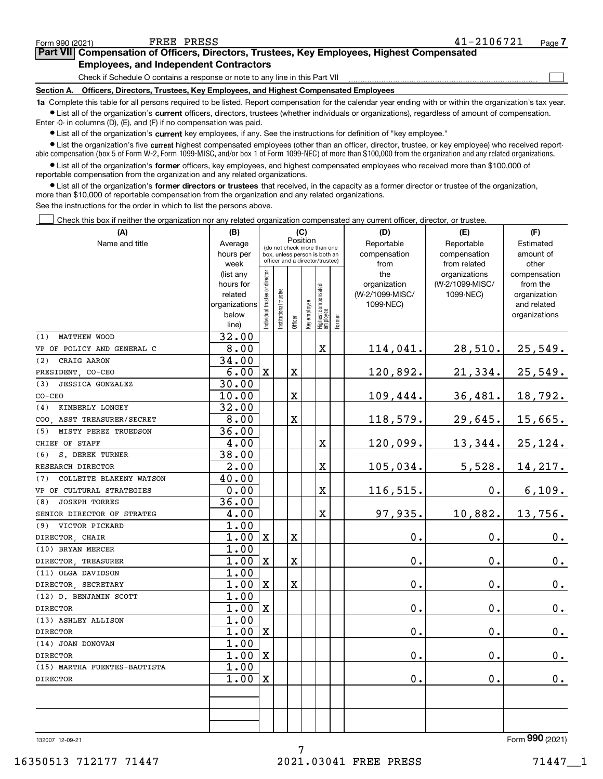$\mathcal{L}^{\text{max}}$ 

| orm 990 (2021) | FREE PRESS                                    |                                                                                            | 41-2106721 | Page <i>I</i> |
|----------------|-----------------------------------------------|--------------------------------------------------------------------------------------------|------------|---------------|
|                |                                               | Part VII Compensation of Officers, Directors, Trustees, Key Employees, Highest Compensated |            |               |
|                | <b>Employees, and Independent Contractors</b> |                                                                                            |            |               |

Check if Schedule O contains a response or note to any line in this Part VII

**Section A. Officers, Directors, Trustees, Key Employees, and Highest Compensated Employees**

**1a**  Complete this table for all persons required to be listed. Report compensation for the calendar year ending with or within the organization's tax year. **•** List all of the organization's current officers, directors, trustees (whether individuals or organizations), regardless of amount of compensation.

Enter -0- in columns (D), (E), and (F) if no compensation was paid.

 $\bullet$  List all of the organization's  $\sf current$  key employees, if any. See the instructions for definition of "key employee."

**•** List the organization's five current highest compensated employees (other than an officer, director, trustee, or key employee) who received reportable compensation (box 5 of Form W-2, Form 1099-MISC, and/or box 1 of Form 1099-NEC) of more than \$100,000 from the organization and any related organizations.

**•** List all of the organization's former officers, key employees, and highest compensated employees who received more than \$100,000 of reportable compensation from the organization and any related organizations.

**former directors or trustees**  ¥ List all of the organization's that received, in the capacity as a former director or trustee of the organization, more than \$10,000 of reportable compensation from the organization and any related organizations.

See the instructions for the order in which to list the persons above.

Check this box if neither the organization nor any related organization compensated any current officer, director, or trustee.  $\mathcal{L}^{\text{max}}$ 

| (A)                            | (B)                  |                               |                                                                  | (C)                     |              |                                   |        | (D)                             | (E)                          | (F)                         |
|--------------------------------|----------------------|-------------------------------|------------------------------------------------------------------|-------------------------|--------------|-----------------------------------|--------|---------------------------------|------------------------------|-----------------------------|
| Name and title                 | Average              |                               | (do not check more than one                                      |                         | Position     |                                   |        | Reportable                      | Reportable                   | Estimated                   |
|                                | hours per            |                               | box, unless person is both an<br>officer and a director/trustee) |                         |              |                                   |        | compensation                    | compensation                 | amount of                   |
|                                | week                 |                               |                                                                  |                         |              |                                   |        | from                            | from related                 | other                       |
|                                | (list any            |                               |                                                                  |                         |              |                                   |        | the                             | organizations                | compensation                |
|                                | hours for<br>related |                               |                                                                  |                         |              |                                   |        | organization<br>(W-2/1099-MISC/ | (W-2/1099-MISC/<br>1099-NEC) | from the                    |
|                                | organizations        |                               |                                                                  |                         |              |                                   |        | 1099-NEC)                       |                              | organization<br>and related |
|                                | below                |                               |                                                                  |                         |              |                                   |        |                                 |                              | organizations               |
|                                | line)                | ndividual trustee or director | nstitutional trustee                                             | Officer                 | Key employee | Highest compensated<br>  employee | Former |                                 |                              |                             |
| <b>MATTHEW WOOD</b><br>(1)     | 32.00                |                               |                                                                  |                         |              |                                   |        |                                 |                              |                             |
| VP OF POLICY AND GENERAL C     | 8.00                 |                               |                                                                  |                         |              | $\mathbf X$                       |        | 114,041.                        | 28,510.                      | 25,549.                     |
| CRAIG AARON<br>(2)             | 34.00                |                               |                                                                  |                         |              |                                   |        |                                 |                              |                             |
| PRESIDENT, CO-CEO              | 6.00                 | Ιx                            |                                                                  | X                       |              |                                   |        | 120,892.                        | 21,334.                      | 25,549.                     |
| (3)<br><b>JESSICA GONZALEZ</b> | 30.00                |                               |                                                                  |                         |              |                                   |        |                                 |                              |                             |
| $CO-CEO$                       | 10.00                |                               |                                                                  | X                       |              |                                   |        | 109,444.                        | 36,481.                      | 18,792.                     |
| KIMBERLY LONGEY<br>(4)         | 32.00                |                               |                                                                  |                         |              |                                   |        |                                 |                              |                             |
| COO ASST TREASURER/SECRET      | 8.00                 |                               |                                                                  | $\overline{\textbf{X}}$ |              |                                   |        | 118,579.                        | 29,645.                      | 15,665.                     |
| MISTY PEREZ TRUEDSON<br>(5)    | 36.00                |                               |                                                                  |                         |              |                                   |        |                                 |                              |                             |
| CHIEF OF STAFF                 | 4.00                 |                               |                                                                  |                         |              | X                                 |        | 120,099.                        | 13,344.                      | 25,124.                     |
| S. DEREK TURNER<br>(6)         | 38.00                |                               |                                                                  |                         |              |                                   |        |                                 |                              |                             |
| RESEARCH DIRECTOR              | 2.00                 |                               |                                                                  |                         |              | X                                 |        | 105,034.                        | 5,528.                       | 14,217.                     |
| COLLETTE BLAKENY WATSON<br>(7) | 40.00                |                               |                                                                  |                         |              |                                   |        |                                 |                              |                             |
| VP OF CULTURAL STRATEGIES      | 0.00                 |                               |                                                                  |                         |              | $\mathbf X$                       |        | 116,515.                        | 0.                           | 6,109.                      |
| <b>JOSEPH TORRES</b><br>(8)    | 36.00                |                               |                                                                  |                         |              |                                   |        |                                 |                              |                             |
| SENIOR DIRECTOR OF STRATEG     | 4.00                 |                               |                                                                  |                         |              | X                                 |        | 97,935.                         | 10,882.                      | 13,756.                     |
| VICTOR PICKARD<br>(9)          | 1.00                 |                               |                                                                  |                         |              |                                   |        |                                 |                              |                             |
| DIRECTOR, CHAIR                | 1.00                 | $\mathbf X$                   |                                                                  | X                       |              |                                   |        | 0.                              | $\mathbf 0$ .                | $0_{.}$                     |
| (10) BRYAN MERCER              | 1.00                 |                               |                                                                  |                         |              |                                   |        |                                 |                              |                             |
| DIRECTOR, TREASURER            | 1.00                 | $\mathbf X$                   |                                                                  | X                       |              |                                   |        | 0.                              | $\mathbf 0$ .                | 0.                          |
| (11) OLGA DAVIDSON             | 1.00                 |                               |                                                                  |                         |              |                                   |        |                                 |                              |                             |
| DIRECTOR, SECRETARY            | 1.00                 | $\mathbf x$                   |                                                                  | X                       |              |                                   |        | 0.                              | $\mathbf 0$ .                | 0.                          |
| (12) D. BENJAMIN SCOTT         | 1.00                 |                               |                                                                  |                         |              |                                   |        |                                 |                              |                             |
| <b>DIRECTOR</b>                | 1.00                 | $\mathbf x$                   |                                                                  |                         |              |                                   |        | 0.                              | $\mathbf 0$ .                | $\mathbf 0$ .               |
| (13) ASHLEY ALLISON            | 1.00                 |                               |                                                                  |                         |              |                                   |        |                                 |                              |                             |
| <b>DIRECTOR</b>                | 1.00                 | $\mathbf X$                   |                                                                  |                         |              |                                   |        | 0.                              | $\mathbf 0$ .                | 0.                          |
| (14) JOAN DONOVAN              | 1.00                 |                               |                                                                  |                         |              |                                   |        |                                 |                              |                             |
| <b>DIRECTOR</b>                | 1.00                 | $\mathbf X$                   |                                                                  |                         |              |                                   |        | 0.                              | $\mathbf 0$ .                | $0$ .                       |
| (15) MARTHA FUENTES-BAUTISTA   | 1.00                 |                               |                                                                  |                         |              |                                   |        |                                 |                              |                             |
| <b>DIRECTOR</b>                | 1.00                 | ΙX                            |                                                                  |                         |              |                                   |        | 0.                              | 0.                           | 0.                          |
|                                |                      |                               |                                                                  |                         |              |                                   |        |                                 |                              |                             |
|                                |                      |                               |                                                                  |                         |              |                                   |        |                                 |                              |                             |
|                                |                      |                               |                                                                  |                         |              |                                   |        |                                 |                              |                             |
|                                |                      |                               |                                                                  |                         |              |                                   |        |                                 |                              |                             |

132007 12-09-21

Form (2021) **990**

7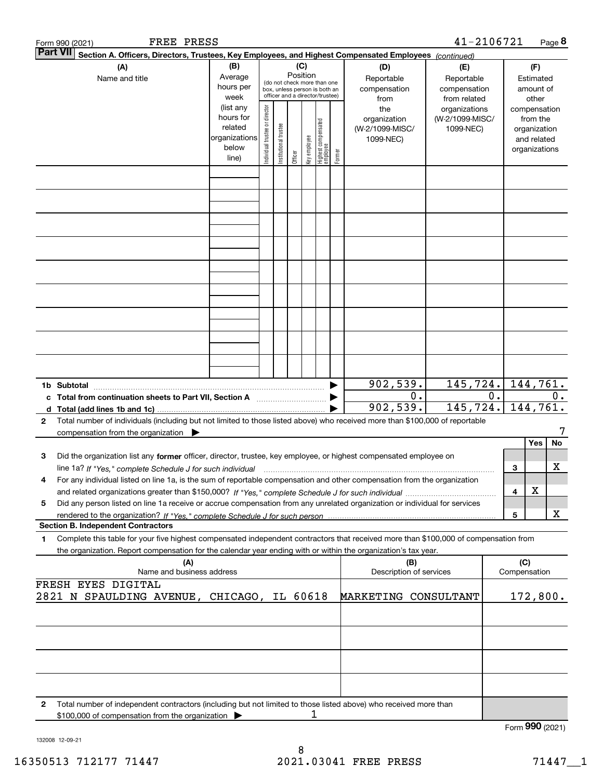|                 | FREE PRESS<br>Form 990 (2021)                                                                                                                                                                                                                                                                       |                                                                      |                                                                                                                           |                       |         |              |                                 |        |                                                     | 41-2106721                                        |    |                     |                                                                          | Page 8 |
|-----------------|-----------------------------------------------------------------------------------------------------------------------------------------------------------------------------------------------------------------------------------------------------------------------------------------------------|----------------------------------------------------------------------|---------------------------------------------------------------------------------------------------------------------------|-----------------------|---------|--------------|---------------------------------|--------|-----------------------------------------------------|---------------------------------------------------|----|---------------------|--------------------------------------------------------------------------|--------|
| <b>Part VII</b> | Section A. Officers, Directors, Trustees, Key Employees, and Highest Compensated Employees (continued)                                                                                                                                                                                              |                                                                      |                                                                                                                           |                       |         |              |                                 |        |                                                     |                                                   |    |                     |                                                                          |        |
|                 | (A)<br>Name and title                                                                                                                                                                                                                                                                               | Average<br>hours per<br>week                                         | (B)<br>(C)<br>Position<br>(do not check more than one<br>box, unless person is both an<br>officer and a director/trustee) |                       |         |              |                                 |        | (D)<br>Reportable<br>compensation<br>from           | (E)<br>Reportable<br>compensation<br>from related |    |                     | (F)<br>Estimated<br>amount of<br>other                                   |        |
|                 |                                                                                                                                                                                                                                                                                                     | (list any<br>hours for<br>related<br>organizations<br>below<br>line) | Individual trustee or director                                                                                            | Institutional trustee | Officer | Key employee | Highest compensated<br>employee | Former | the<br>organization<br>(W-2/1099-MISC/<br>1099-NEC) | organizations<br>(W-2/1099-MISC/<br>1099-NEC)     |    |                     | compensation<br>from the<br>organization<br>and related<br>organizations |        |
|                 |                                                                                                                                                                                                                                                                                                     |                                                                      |                                                                                                                           |                       |         |              |                                 |        |                                                     |                                                   |    |                     |                                                                          |        |
|                 |                                                                                                                                                                                                                                                                                                     |                                                                      |                                                                                                                           |                       |         |              |                                 |        |                                                     |                                                   |    |                     |                                                                          |        |
|                 |                                                                                                                                                                                                                                                                                                     |                                                                      |                                                                                                                           |                       |         |              |                                 |        |                                                     |                                                   |    |                     |                                                                          |        |
|                 |                                                                                                                                                                                                                                                                                                     |                                                                      |                                                                                                                           |                       |         |              |                                 |        |                                                     |                                                   |    |                     |                                                                          |        |
|                 |                                                                                                                                                                                                                                                                                                     |                                                                      |                                                                                                                           |                       |         |              |                                 |        |                                                     |                                                   |    |                     |                                                                          |        |
|                 |                                                                                                                                                                                                                                                                                                     |                                                                      |                                                                                                                           |                       |         |              |                                 |        |                                                     |                                                   |    |                     |                                                                          |        |
|                 |                                                                                                                                                                                                                                                                                                     |                                                                      |                                                                                                                           |                       |         |              |                                 |        |                                                     |                                                   |    |                     |                                                                          |        |
|                 | 1b Subtotal                                                                                                                                                                                                                                                                                         |                                                                      |                                                                                                                           |                       |         |              |                                 |        | 902, 539.                                           | 145,724.                                          |    |                     | 144, 761.                                                                |        |
|                 | c Total from continuation sheets to Part VII, Section A                                                                                                                                                                                                                                             |                                                                      |                                                                                                                           |                       |         |              |                                 |        | 0.<br>902,539.                                      | 145, 724.                                         | 0. |                     | 144,761.                                                                 | $0$ .  |
| 2               | Total number of individuals (including but not limited to those listed above) who received more than \$100,000 of reportable<br>compensation from the organization $\blacktriangleright$                                                                                                            |                                                                      |                                                                                                                           |                       |         |              |                                 |        |                                                     |                                                   |    |                     | Yes                                                                      | No     |
| З               | Did the organization list any former officer, director, trustee, key employee, or highest compensated employee on                                                                                                                                                                                   |                                                                      |                                                                                                                           |                       |         |              |                                 |        |                                                     |                                                   |    | З                   |                                                                          | x      |
| 4               | For any individual listed on line 1a, is the sum of reportable compensation and other compensation from the organization                                                                                                                                                                            |                                                                      |                                                                                                                           |                       |         |              |                                 |        |                                                     |                                                   |    | 4                   | х                                                                        |        |
| 5               | Did any person listed on line 1a receive or accrue compensation from any unrelated organization or individual for services                                                                                                                                                                          |                                                                      |                                                                                                                           |                       |         |              |                                 |        |                                                     |                                                   |    | 5                   |                                                                          | x      |
| 1               | <b>Section B. Independent Contractors</b><br>Complete this table for your five highest compensated independent contractors that received more than \$100,000 of compensation from<br>the organization. Report compensation for the calendar year ending with or within the organization's tax year. |                                                                      |                                                                                                                           |                       |         |              |                                 |        |                                                     |                                                   |    |                     |                                                                          |        |
|                 | (A)<br>Name and business address                                                                                                                                                                                                                                                                    |                                                                      |                                                                                                                           |                       |         |              |                                 |        | (B)<br>Description of services                      |                                                   |    | (C)<br>Compensation |                                                                          |        |
|                 | FRESH EYES DIGITAL<br>2821 N SPAULDING AVENUE, CHICAGO, IL 60618                                                                                                                                                                                                                                    |                                                                      |                                                                                                                           |                       |         |              |                                 |        | MARKETING CONSULTANT                                |                                                   |    |                     | 172,800.                                                                 |        |
|                 |                                                                                                                                                                                                                                                                                                     |                                                                      |                                                                                                                           |                       |         |              |                                 |        |                                                     |                                                   |    |                     |                                                                          |        |
|                 |                                                                                                                                                                                                                                                                                                     |                                                                      |                                                                                                                           |                       |         |              |                                 |        |                                                     |                                                   |    |                     |                                                                          |        |
|                 |                                                                                                                                                                                                                                                                                                     |                                                                      |                                                                                                                           |                       |         |              |                                 |        |                                                     |                                                   |    |                     |                                                                          |        |
| 2               | Total number of independent contractors (including but not limited to those listed above) who received more than                                                                                                                                                                                    |                                                                      |                                                                                                                           |                       |         |              |                                 |        |                                                     |                                                   |    |                     |                                                                          |        |
|                 | \$100,000 of compensation from the organization                                                                                                                                                                                                                                                     |                                                                      |                                                                                                                           |                       |         |              |                                 |        |                                                     |                                                   |    | Form 990 (2021)     |                                                                          |        |

132008 12-09-21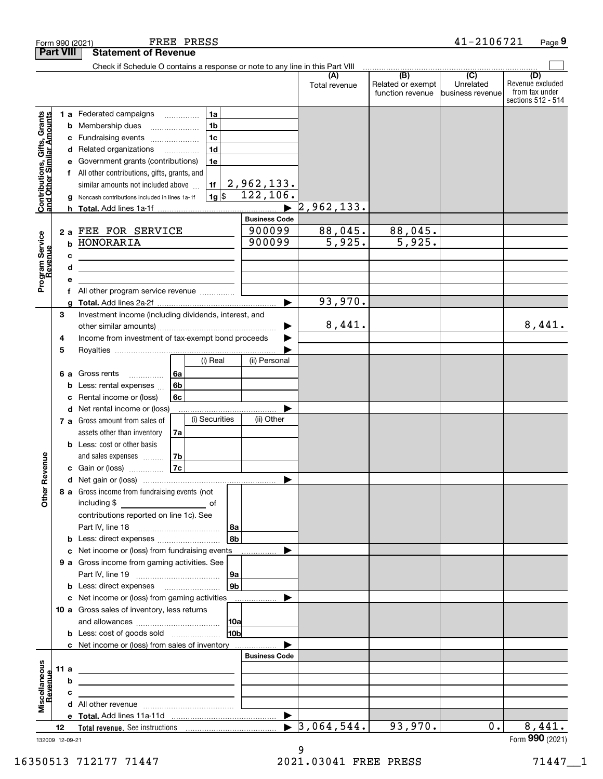| <b>Part VIII</b><br>Check if Schedule O contains a response or note to any line in this Part VIII<br>$\begin{array}{c c c c c} \hline \text{ } & \text{(B)} & \text{ } & \text{(C)} \\\hline \end{array}$<br>(D)<br>(A)<br>Related or exempt<br>Unrelated<br>Total revenue<br>function revenue<br>business revenue<br>1a<br>Contributions, Gifts, Grants<br>and Other Similar Amounts<br>1 a Federated campaigns<br>1 <sub>b</sub><br>Membership dues<br>b<br>$\ldots \ldots \ldots \ldots \ldots$<br>1 <sub>c</sub><br>Fundraising events<br>с<br>1 <sub>d</sub><br>d Related organizations<br>1e<br>Government grants (contributions)<br>е<br>All other contributions, gifts, grants, and<br><u>2,962,133.</u><br>1f<br>similar amounts not included above<br>122, 106.<br> 1g <br>Noncash contributions included in lines 1a-1f<br>g<br>2,962,133.<br><b>Business Code</b><br>88,045.<br>88,045.<br>900099<br>2 a FEE FOR SERVICE<br>Program Service<br>Revenue<br>$\overline{5,925}$ .<br>5,925.<br>900099<br>b HONORARIA<br>c<br>the contract of the contract of the contract of the contract of the<br>d<br>the control of the control of the control of the control of the control of<br>е<br>All other program service revenue<br>f<br>93,970.<br>a<br>3<br>Investment income (including dividends, interest, and<br>8,441.<br>Income from investment of tax-exempt bond proceeds<br>4<br>5<br>(i) Real<br>(ii) Personal<br>6a<br>Gross rents<br>6а<br>.<br>6b<br>Less: rental expenses<br>b<br>6c<br>Rental income or (loss)<br>c<br>d Net rental income or (loss)<br>(i) Securities<br>(ii) Other<br>7 a Gross amount from sales of<br>assets other than inventory<br>7a<br><b>b</b> Less: cost or other basis<br>evenue<br>and sales expenses<br>7b<br>7c<br>c Gain or (loss)<br>Œ<br>Other<br>8 a Gross income from fundraising events (not<br>contributions reported on line 1c). See<br>  8a<br>8bl<br>c Net income or (loss) from fundraising events<br>.<br>9 a Gross income from gaming activities. See<br> 9a<br>9 <sub>b</sub><br><b>b</b> Less: direct expenses <b>manually</b><br>c Net income or (loss) from gaming activities<br>.<br>10 a Gross sales of inventory, less returns<br> 10a<br>10 <sub>b</sub><br>c Net income or (loss) from sales of inventory<br><b>Business Code</b><br>Miscellaneous<br>11a<br>the contract of the contract of the contract of the contract of the contract of<br>evenue<br>b<br>the control of the control of the control of the control of the control of the control of<br>с<br><u> 1989 - Johann Barbara, martxa alemaniar arg</u><br>▶<br>$\blacktriangleright$ 3,064,544.<br>93,970.<br>8,441.<br>0.<br>12<br>132009 12-09-21 |  | FREE PRESS<br>Form 990 (2021) |  | 41-2106721 | Page 9                                                   |
|-----------------------------------------------------------------------------------------------------------------------------------------------------------------------------------------------------------------------------------------------------------------------------------------------------------------------------------------------------------------------------------------------------------------------------------------------------------------------------------------------------------------------------------------------------------------------------------------------------------------------------------------------------------------------------------------------------------------------------------------------------------------------------------------------------------------------------------------------------------------------------------------------------------------------------------------------------------------------------------------------------------------------------------------------------------------------------------------------------------------------------------------------------------------------------------------------------------------------------------------------------------------------------------------------------------------------------------------------------------------------------------------------------------------------------------------------------------------------------------------------------------------------------------------------------------------------------------------------------------------------------------------------------------------------------------------------------------------------------------------------------------------------------------------------------------------------------------------------------------------------------------------------------------------------------------------------------------------------------------------------------------------------------------------------------------------------------------------------------------------------------------------------------------------------------------------------------------------------------------------------------------------------------------------------------------------------------------------------------------------------------------------------------------------------------------------------------------------------------------------------------------------------------------------------------------------------------------------------------------------------------------------------------------------------------------------------|--|-------------------------------|--|------------|----------------------------------------------------------|
|                                                                                                                                                                                                                                                                                                                                                                                                                                                                                                                                                                                                                                                                                                                                                                                                                                                                                                                                                                                                                                                                                                                                                                                                                                                                                                                                                                                                                                                                                                                                                                                                                                                                                                                                                                                                                                                                                                                                                                                                                                                                                                                                                                                                                                                                                                                                                                                                                                                                                                                                                                                                                                                                                               |  | <b>Statement of Revenue</b>   |  |            |                                                          |
|                                                                                                                                                                                                                                                                                                                                                                                                                                                                                                                                                                                                                                                                                                                                                                                                                                                                                                                                                                                                                                                                                                                                                                                                                                                                                                                                                                                                                                                                                                                                                                                                                                                                                                                                                                                                                                                                                                                                                                                                                                                                                                                                                                                                                                                                                                                                                                                                                                                                                                                                                                                                                                                                                               |  |                               |  |            |                                                          |
|                                                                                                                                                                                                                                                                                                                                                                                                                                                                                                                                                                                                                                                                                                                                                                                                                                                                                                                                                                                                                                                                                                                                                                                                                                                                                                                                                                                                                                                                                                                                                                                                                                                                                                                                                                                                                                                                                                                                                                                                                                                                                                                                                                                                                                                                                                                                                                                                                                                                                                                                                                                                                                                                                               |  |                               |  |            | Revenue excluded<br>from tax under<br>sections 512 - 514 |
|                                                                                                                                                                                                                                                                                                                                                                                                                                                                                                                                                                                                                                                                                                                                                                                                                                                                                                                                                                                                                                                                                                                                                                                                                                                                                                                                                                                                                                                                                                                                                                                                                                                                                                                                                                                                                                                                                                                                                                                                                                                                                                                                                                                                                                                                                                                                                                                                                                                                                                                                                                                                                                                                                               |  |                               |  |            |                                                          |
|                                                                                                                                                                                                                                                                                                                                                                                                                                                                                                                                                                                                                                                                                                                                                                                                                                                                                                                                                                                                                                                                                                                                                                                                                                                                                                                                                                                                                                                                                                                                                                                                                                                                                                                                                                                                                                                                                                                                                                                                                                                                                                                                                                                                                                                                                                                                                                                                                                                                                                                                                                                                                                                                                               |  |                               |  |            |                                                          |
|                                                                                                                                                                                                                                                                                                                                                                                                                                                                                                                                                                                                                                                                                                                                                                                                                                                                                                                                                                                                                                                                                                                                                                                                                                                                                                                                                                                                                                                                                                                                                                                                                                                                                                                                                                                                                                                                                                                                                                                                                                                                                                                                                                                                                                                                                                                                                                                                                                                                                                                                                                                                                                                                                               |  |                               |  |            |                                                          |
|                                                                                                                                                                                                                                                                                                                                                                                                                                                                                                                                                                                                                                                                                                                                                                                                                                                                                                                                                                                                                                                                                                                                                                                                                                                                                                                                                                                                                                                                                                                                                                                                                                                                                                                                                                                                                                                                                                                                                                                                                                                                                                                                                                                                                                                                                                                                                                                                                                                                                                                                                                                                                                                                                               |  |                               |  |            |                                                          |
|                                                                                                                                                                                                                                                                                                                                                                                                                                                                                                                                                                                                                                                                                                                                                                                                                                                                                                                                                                                                                                                                                                                                                                                                                                                                                                                                                                                                                                                                                                                                                                                                                                                                                                                                                                                                                                                                                                                                                                                                                                                                                                                                                                                                                                                                                                                                                                                                                                                                                                                                                                                                                                                                                               |  |                               |  |            |                                                          |
|                                                                                                                                                                                                                                                                                                                                                                                                                                                                                                                                                                                                                                                                                                                                                                                                                                                                                                                                                                                                                                                                                                                                                                                                                                                                                                                                                                                                                                                                                                                                                                                                                                                                                                                                                                                                                                                                                                                                                                                                                                                                                                                                                                                                                                                                                                                                                                                                                                                                                                                                                                                                                                                                                               |  |                               |  |            |                                                          |
|                                                                                                                                                                                                                                                                                                                                                                                                                                                                                                                                                                                                                                                                                                                                                                                                                                                                                                                                                                                                                                                                                                                                                                                                                                                                                                                                                                                                                                                                                                                                                                                                                                                                                                                                                                                                                                                                                                                                                                                                                                                                                                                                                                                                                                                                                                                                                                                                                                                                                                                                                                                                                                                                                               |  |                               |  |            |                                                          |
|                                                                                                                                                                                                                                                                                                                                                                                                                                                                                                                                                                                                                                                                                                                                                                                                                                                                                                                                                                                                                                                                                                                                                                                                                                                                                                                                                                                                                                                                                                                                                                                                                                                                                                                                                                                                                                                                                                                                                                                                                                                                                                                                                                                                                                                                                                                                                                                                                                                                                                                                                                                                                                                                                               |  |                               |  |            |                                                          |
|                                                                                                                                                                                                                                                                                                                                                                                                                                                                                                                                                                                                                                                                                                                                                                                                                                                                                                                                                                                                                                                                                                                                                                                                                                                                                                                                                                                                                                                                                                                                                                                                                                                                                                                                                                                                                                                                                                                                                                                                                                                                                                                                                                                                                                                                                                                                                                                                                                                                                                                                                                                                                                                                                               |  |                               |  |            |                                                          |
|                                                                                                                                                                                                                                                                                                                                                                                                                                                                                                                                                                                                                                                                                                                                                                                                                                                                                                                                                                                                                                                                                                                                                                                                                                                                                                                                                                                                                                                                                                                                                                                                                                                                                                                                                                                                                                                                                                                                                                                                                                                                                                                                                                                                                                                                                                                                                                                                                                                                                                                                                                                                                                                                                               |  |                               |  |            |                                                          |
|                                                                                                                                                                                                                                                                                                                                                                                                                                                                                                                                                                                                                                                                                                                                                                                                                                                                                                                                                                                                                                                                                                                                                                                                                                                                                                                                                                                                                                                                                                                                                                                                                                                                                                                                                                                                                                                                                                                                                                                                                                                                                                                                                                                                                                                                                                                                                                                                                                                                                                                                                                                                                                                                                               |  |                               |  |            |                                                          |
|                                                                                                                                                                                                                                                                                                                                                                                                                                                                                                                                                                                                                                                                                                                                                                                                                                                                                                                                                                                                                                                                                                                                                                                                                                                                                                                                                                                                                                                                                                                                                                                                                                                                                                                                                                                                                                                                                                                                                                                                                                                                                                                                                                                                                                                                                                                                                                                                                                                                                                                                                                                                                                                                                               |  |                               |  |            |                                                          |
|                                                                                                                                                                                                                                                                                                                                                                                                                                                                                                                                                                                                                                                                                                                                                                                                                                                                                                                                                                                                                                                                                                                                                                                                                                                                                                                                                                                                                                                                                                                                                                                                                                                                                                                                                                                                                                                                                                                                                                                                                                                                                                                                                                                                                                                                                                                                                                                                                                                                                                                                                                                                                                                                                               |  |                               |  |            |                                                          |
|                                                                                                                                                                                                                                                                                                                                                                                                                                                                                                                                                                                                                                                                                                                                                                                                                                                                                                                                                                                                                                                                                                                                                                                                                                                                                                                                                                                                                                                                                                                                                                                                                                                                                                                                                                                                                                                                                                                                                                                                                                                                                                                                                                                                                                                                                                                                                                                                                                                                                                                                                                                                                                                                                               |  |                               |  |            |                                                          |
|                                                                                                                                                                                                                                                                                                                                                                                                                                                                                                                                                                                                                                                                                                                                                                                                                                                                                                                                                                                                                                                                                                                                                                                                                                                                                                                                                                                                                                                                                                                                                                                                                                                                                                                                                                                                                                                                                                                                                                                                                                                                                                                                                                                                                                                                                                                                                                                                                                                                                                                                                                                                                                                                                               |  |                               |  |            |                                                          |
|                                                                                                                                                                                                                                                                                                                                                                                                                                                                                                                                                                                                                                                                                                                                                                                                                                                                                                                                                                                                                                                                                                                                                                                                                                                                                                                                                                                                                                                                                                                                                                                                                                                                                                                                                                                                                                                                                                                                                                                                                                                                                                                                                                                                                                                                                                                                                                                                                                                                                                                                                                                                                                                                                               |  |                               |  |            |                                                          |
|                                                                                                                                                                                                                                                                                                                                                                                                                                                                                                                                                                                                                                                                                                                                                                                                                                                                                                                                                                                                                                                                                                                                                                                                                                                                                                                                                                                                                                                                                                                                                                                                                                                                                                                                                                                                                                                                                                                                                                                                                                                                                                                                                                                                                                                                                                                                                                                                                                                                                                                                                                                                                                                                                               |  |                               |  |            |                                                          |
|                                                                                                                                                                                                                                                                                                                                                                                                                                                                                                                                                                                                                                                                                                                                                                                                                                                                                                                                                                                                                                                                                                                                                                                                                                                                                                                                                                                                                                                                                                                                                                                                                                                                                                                                                                                                                                                                                                                                                                                                                                                                                                                                                                                                                                                                                                                                                                                                                                                                                                                                                                                                                                                                                               |  |                               |  |            | 8,441.                                                   |
|                                                                                                                                                                                                                                                                                                                                                                                                                                                                                                                                                                                                                                                                                                                                                                                                                                                                                                                                                                                                                                                                                                                                                                                                                                                                                                                                                                                                                                                                                                                                                                                                                                                                                                                                                                                                                                                                                                                                                                                                                                                                                                                                                                                                                                                                                                                                                                                                                                                                                                                                                                                                                                                                                               |  |                               |  |            |                                                          |
|                                                                                                                                                                                                                                                                                                                                                                                                                                                                                                                                                                                                                                                                                                                                                                                                                                                                                                                                                                                                                                                                                                                                                                                                                                                                                                                                                                                                                                                                                                                                                                                                                                                                                                                                                                                                                                                                                                                                                                                                                                                                                                                                                                                                                                                                                                                                                                                                                                                                                                                                                                                                                                                                                               |  |                               |  |            |                                                          |
|                                                                                                                                                                                                                                                                                                                                                                                                                                                                                                                                                                                                                                                                                                                                                                                                                                                                                                                                                                                                                                                                                                                                                                                                                                                                                                                                                                                                                                                                                                                                                                                                                                                                                                                                                                                                                                                                                                                                                                                                                                                                                                                                                                                                                                                                                                                                                                                                                                                                                                                                                                                                                                                                                               |  |                               |  |            |                                                          |
|                                                                                                                                                                                                                                                                                                                                                                                                                                                                                                                                                                                                                                                                                                                                                                                                                                                                                                                                                                                                                                                                                                                                                                                                                                                                                                                                                                                                                                                                                                                                                                                                                                                                                                                                                                                                                                                                                                                                                                                                                                                                                                                                                                                                                                                                                                                                                                                                                                                                                                                                                                                                                                                                                               |  |                               |  |            |                                                          |
|                                                                                                                                                                                                                                                                                                                                                                                                                                                                                                                                                                                                                                                                                                                                                                                                                                                                                                                                                                                                                                                                                                                                                                                                                                                                                                                                                                                                                                                                                                                                                                                                                                                                                                                                                                                                                                                                                                                                                                                                                                                                                                                                                                                                                                                                                                                                                                                                                                                                                                                                                                                                                                                                                               |  |                               |  |            |                                                          |
|                                                                                                                                                                                                                                                                                                                                                                                                                                                                                                                                                                                                                                                                                                                                                                                                                                                                                                                                                                                                                                                                                                                                                                                                                                                                                                                                                                                                                                                                                                                                                                                                                                                                                                                                                                                                                                                                                                                                                                                                                                                                                                                                                                                                                                                                                                                                                                                                                                                                                                                                                                                                                                                                                               |  |                               |  |            |                                                          |
|                                                                                                                                                                                                                                                                                                                                                                                                                                                                                                                                                                                                                                                                                                                                                                                                                                                                                                                                                                                                                                                                                                                                                                                                                                                                                                                                                                                                                                                                                                                                                                                                                                                                                                                                                                                                                                                                                                                                                                                                                                                                                                                                                                                                                                                                                                                                                                                                                                                                                                                                                                                                                                                                                               |  |                               |  |            |                                                          |
|                                                                                                                                                                                                                                                                                                                                                                                                                                                                                                                                                                                                                                                                                                                                                                                                                                                                                                                                                                                                                                                                                                                                                                                                                                                                                                                                                                                                                                                                                                                                                                                                                                                                                                                                                                                                                                                                                                                                                                                                                                                                                                                                                                                                                                                                                                                                                                                                                                                                                                                                                                                                                                                                                               |  |                               |  |            |                                                          |
|                                                                                                                                                                                                                                                                                                                                                                                                                                                                                                                                                                                                                                                                                                                                                                                                                                                                                                                                                                                                                                                                                                                                                                                                                                                                                                                                                                                                                                                                                                                                                                                                                                                                                                                                                                                                                                                                                                                                                                                                                                                                                                                                                                                                                                                                                                                                                                                                                                                                                                                                                                                                                                                                                               |  |                               |  |            |                                                          |
|                                                                                                                                                                                                                                                                                                                                                                                                                                                                                                                                                                                                                                                                                                                                                                                                                                                                                                                                                                                                                                                                                                                                                                                                                                                                                                                                                                                                                                                                                                                                                                                                                                                                                                                                                                                                                                                                                                                                                                                                                                                                                                                                                                                                                                                                                                                                                                                                                                                                                                                                                                                                                                                                                               |  |                               |  |            |                                                          |
|                                                                                                                                                                                                                                                                                                                                                                                                                                                                                                                                                                                                                                                                                                                                                                                                                                                                                                                                                                                                                                                                                                                                                                                                                                                                                                                                                                                                                                                                                                                                                                                                                                                                                                                                                                                                                                                                                                                                                                                                                                                                                                                                                                                                                                                                                                                                                                                                                                                                                                                                                                                                                                                                                               |  |                               |  |            |                                                          |
|                                                                                                                                                                                                                                                                                                                                                                                                                                                                                                                                                                                                                                                                                                                                                                                                                                                                                                                                                                                                                                                                                                                                                                                                                                                                                                                                                                                                                                                                                                                                                                                                                                                                                                                                                                                                                                                                                                                                                                                                                                                                                                                                                                                                                                                                                                                                                                                                                                                                                                                                                                                                                                                                                               |  |                               |  |            |                                                          |
|                                                                                                                                                                                                                                                                                                                                                                                                                                                                                                                                                                                                                                                                                                                                                                                                                                                                                                                                                                                                                                                                                                                                                                                                                                                                                                                                                                                                                                                                                                                                                                                                                                                                                                                                                                                                                                                                                                                                                                                                                                                                                                                                                                                                                                                                                                                                                                                                                                                                                                                                                                                                                                                                                               |  |                               |  |            |                                                          |
|                                                                                                                                                                                                                                                                                                                                                                                                                                                                                                                                                                                                                                                                                                                                                                                                                                                                                                                                                                                                                                                                                                                                                                                                                                                                                                                                                                                                                                                                                                                                                                                                                                                                                                                                                                                                                                                                                                                                                                                                                                                                                                                                                                                                                                                                                                                                                                                                                                                                                                                                                                                                                                                                                               |  |                               |  |            |                                                          |
|                                                                                                                                                                                                                                                                                                                                                                                                                                                                                                                                                                                                                                                                                                                                                                                                                                                                                                                                                                                                                                                                                                                                                                                                                                                                                                                                                                                                                                                                                                                                                                                                                                                                                                                                                                                                                                                                                                                                                                                                                                                                                                                                                                                                                                                                                                                                                                                                                                                                                                                                                                                                                                                                                               |  |                               |  |            |                                                          |
|                                                                                                                                                                                                                                                                                                                                                                                                                                                                                                                                                                                                                                                                                                                                                                                                                                                                                                                                                                                                                                                                                                                                                                                                                                                                                                                                                                                                                                                                                                                                                                                                                                                                                                                                                                                                                                                                                                                                                                                                                                                                                                                                                                                                                                                                                                                                                                                                                                                                                                                                                                                                                                                                                               |  |                               |  |            |                                                          |
|                                                                                                                                                                                                                                                                                                                                                                                                                                                                                                                                                                                                                                                                                                                                                                                                                                                                                                                                                                                                                                                                                                                                                                                                                                                                                                                                                                                                                                                                                                                                                                                                                                                                                                                                                                                                                                                                                                                                                                                                                                                                                                                                                                                                                                                                                                                                                                                                                                                                                                                                                                                                                                                                                               |  |                               |  |            |                                                          |
|                                                                                                                                                                                                                                                                                                                                                                                                                                                                                                                                                                                                                                                                                                                                                                                                                                                                                                                                                                                                                                                                                                                                                                                                                                                                                                                                                                                                                                                                                                                                                                                                                                                                                                                                                                                                                                                                                                                                                                                                                                                                                                                                                                                                                                                                                                                                                                                                                                                                                                                                                                                                                                                                                               |  |                               |  |            |                                                          |
|                                                                                                                                                                                                                                                                                                                                                                                                                                                                                                                                                                                                                                                                                                                                                                                                                                                                                                                                                                                                                                                                                                                                                                                                                                                                                                                                                                                                                                                                                                                                                                                                                                                                                                                                                                                                                                                                                                                                                                                                                                                                                                                                                                                                                                                                                                                                                                                                                                                                                                                                                                                                                                                                                               |  |                               |  |            |                                                          |
|                                                                                                                                                                                                                                                                                                                                                                                                                                                                                                                                                                                                                                                                                                                                                                                                                                                                                                                                                                                                                                                                                                                                                                                                                                                                                                                                                                                                                                                                                                                                                                                                                                                                                                                                                                                                                                                                                                                                                                                                                                                                                                                                                                                                                                                                                                                                                                                                                                                                                                                                                                                                                                                                                               |  |                               |  |            |                                                          |
|                                                                                                                                                                                                                                                                                                                                                                                                                                                                                                                                                                                                                                                                                                                                                                                                                                                                                                                                                                                                                                                                                                                                                                                                                                                                                                                                                                                                                                                                                                                                                                                                                                                                                                                                                                                                                                                                                                                                                                                                                                                                                                                                                                                                                                                                                                                                                                                                                                                                                                                                                                                                                                                                                               |  |                               |  |            |                                                          |
|                                                                                                                                                                                                                                                                                                                                                                                                                                                                                                                                                                                                                                                                                                                                                                                                                                                                                                                                                                                                                                                                                                                                                                                                                                                                                                                                                                                                                                                                                                                                                                                                                                                                                                                                                                                                                                                                                                                                                                                                                                                                                                                                                                                                                                                                                                                                                                                                                                                                                                                                                                                                                                                                                               |  |                               |  |            |                                                          |
|                                                                                                                                                                                                                                                                                                                                                                                                                                                                                                                                                                                                                                                                                                                                                                                                                                                                                                                                                                                                                                                                                                                                                                                                                                                                                                                                                                                                                                                                                                                                                                                                                                                                                                                                                                                                                                                                                                                                                                                                                                                                                                                                                                                                                                                                                                                                                                                                                                                                                                                                                                                                                                                                                               |  |                               |  |            |                                                          |
|                                                                                                                                                                                                                                                                                                                                                                                                                                                                                                                                                                                                                                                                                                                                                                                                                                                                                                                                                                                                                                                                                                                                                                                                                                                                                                                                                                                                                                                                                                                                                                                                                                                                                                                                                                                                                                                                                                                                                                                                                                                                                                                                                                                                                                                                                                                                                                                                                                                                                                                                                                                                                                                                                               |  |                               |  |            |                                                          |
|                                                                                                                                                                                                                                                                                                                                                                                                                                                                                                                                                                                                                                                                                                                                                                                                                                                                                                                                                                                                                                                                                                                                                                                                                                                                                                                                                                                                                                                                                                                                                                                                                                                                                                                                                                                                                                                                                                                                                                                                                                                                                                                                                                                                                                                                                                                                                                                                                                                                                                                                                                                                                                                                                               |  |                               |  |            |                                                          |
|                                                                                                                                                                                                                                                                                                                                                                                                                                                                                                                                                                                                                                                                                                                                                                                                                                                                                                                                                                                                                                                                                                                                                                                                                                                                                                                                                                                                                                                                                                                                                                                                                                                                                                                                                                                                                                                                                                                                                                                                                                                                                                                                                                                                                                                                                                                                                                                                                                                                                                                                                                                                                                                                                               |  |                               |  |            |                                                          |
|                                                                                                                                                                                                                                                                                                                                                                                                                                                                                                                                                                                                                                                                                                                                                                                                                                                                                                                                                                                                                                                                                                                                                                                                                                                                                                                                                                                                                                                                                                                                                                                                                                                                                                                                                                                                                                                                                                                                                                                                                                                                                                                                                                                                                                                                                                                                                                                                                                                                                                                                                                                                                                                                                               |  |                               |  |            |                                                          |
|                                                                                                                                                                                                                                                                                                                                                                                                                                                                                                                                                                                                                                                                                                                                                                                                                                                                                                                                                                                                                                                                                                                                                                                                                                                                                                                                                                                                                                                                                                                                                                                                                                                                                                                                                                                                                                                                                                                                                                                                                                                                                                                                                                                                                                                                                                                                                                                                                                                                                                                                                                                                                                                                                               |  |                               |  |            |                                                          |
|                                                                                                                                                                                                                                                                                                                                                                                                                                                                                                                                                                                                                                                                                                                                                                                                                                                                                                                                                                                                                                                                                                                                                                                                                                                                                                                                                                                                                                                                                                                                                                                                                                                                                                                                                                                                                                                                                                                                                                                                                                                                                                                                                                                                                                                                                                                                                                                                                                                                                                                                                                                                                                                                                               |  |                               |  |            |                                                          |
|                                                                                                                                                                                                                                                                                                                                                                                                                                                                                                                                                                                                                                                                                                                                                                                                                                                                                                                                                                                                                                                                                                                                                                                                                                                                                                                                                                                                                                                                                                                                                                                                                                                                                                                                                                                                                                                                                                                                                                                                                                                                                                                                                                                                                                                                                                                                                                                                                                                                                                                                                                                                                                                                                               |  |                               |  |            |                                                          |
|                                                                                                                                                                                                                                                                                                                                                                                                                                                                                                                                                                                                                                                                                                                                                                                                                                                                                                                                                                                                                                                                                                                                                                                                                                                                                                                                                                                                                                                                                                                                                                                                                                                                                                                                                                                                                                                                                                                                                                                                                                                                                                                                                                                                                                                                                                                                                                                                                                                                                                                                                                                                                                                                                               |  |                               |  |            |                                                          |
|                                                                                                                                                                                                                                                                                                                                                                                                                                                                                                                                                                                                                                                                                                                                                                                                                                                                                                                                                                                                                                                                                                                                                                                                                                                                                                                                                                                                                                                                                                                                                                                                                                                                                                                                                                                                                                                                                                                                                                                                                                                                                                                                                                                                                                                                                                                                                                                                                                                                                                                                                                                                                                                                                               |  |                               |  |            | Form 990 (2021)                                          |

132009 12-09-21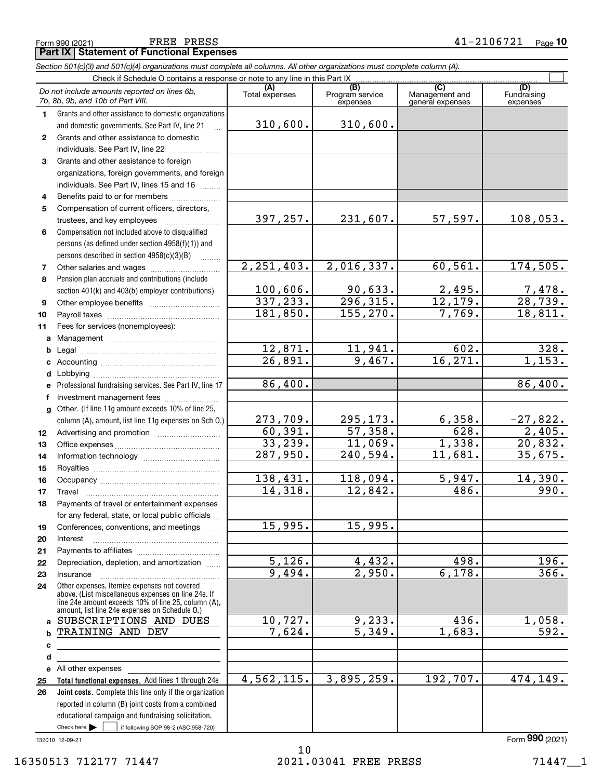|    | Do not include amounts reported on lines 6b,<br>7b, 8b, 9b, and 10b of Part VIII.                     | (A)<br>Total expenses | (B)<br>Program service<br>expenses | (C)<br>Management and<br>general expenses | (D)<br>Fundraising<br>expenses |
|----|-------------------------------------------------------------------------------------------------------|-----------------------|------------------------------------|-------------------------------------------|--------------------------------|
| 1. | Grants and other assistance to domestic organizations                                                 |                       |                                    |                                           |                                |
|    | and domestic governments. See Part IV, line 21                                                        | 310,600.              | 310,600.                           |                                           |                                |
| 2  | Grants and other assistance to domestic                                                               |                       |                                    |                                           |                                |
|    | individuals. See Part IV, line 22                                                                     |                       |                                    |                                           |                                |
| 3  | Grants and other assistance to foreign                                                                |                       |                                    |                                           |                                |
|    | organizations, foreign governments, and foreign                                                       |                       |                                    |                                           |                                |
|    | individuals. See Part IV, lines 15 and 16                                                             |                       |                                    |                                           |                                |
| 4  | Benefits paid to or for members                                                                       |                       |                                    |                                           |                                |
| 5  | Compensation of current officers, directors,                                                          |                       |                                    |                                           |                                |
|    | trustees, and key employees                                                                           | 397, 257.             | 231,607.                           | 57,597.                                   | 108,053.                       |
| 6  | Compensation not included above to disqualified                                                       |                       |                                    |                                           |                                |
|    | persons (as defined under section 4958(f)(1)) and                                                     |                       |                                    |                                           |                                |
|    | persons described in section 4958(c)(3)(B)<br>$\sim$                                                  |                       |                                    |                                           |                                |
| 7  | Other salaries and wages                                                                              | 2, 251, 403.          | 2,016,337.                         | 60, 561.                                  | 174,505.                       |
| 8  | Pension plan accruals and contributions (include                                                      |                       |                                    |                                           |                                |
|    | section 401(k) and 403(b) employer contributions)                                                     | 100,606.              | 90,633.                            | 2,495.                                    | <u>7,478.</u>                  |
| 9  |                                                                                                       | 337, 233.             | $\overline{296,315}$ .             | 12, 179.                                  | 28,739.                        |
| 10 |                                                                                                       | 181,850.              | 155, 270.                          | 7,769.                                    | 18,811.                        |
| 11 | Fees for services (nonemployees):                                                                     |                       |                                    |                                           |                                |
| a  |                                                                                                       |                       |                                    |                                           |                                |
| b  |                                                                                                       | 12,871.               | 11,941.                            | 602.                                      | 328.                           |
| c  |                                                                                                       | 26,891.               | 9,467.                             | 16, 271.                                  | 1,153.                         |
| d  |                                                                                                       |                       |                                    |                                           |                                |
| е  | Professional fundraising services. See Part IV, line 17                                               | 86,400.               |                                    |                                           | 86,400.                        |
| f  | Investment management fees                                                                            |                       |                                    |                                           |                                |
| a  | Other. (If line 11g amount exceeds 10% of line 25,                                                    |                       |                                    |                                           |                                |
|    | column (A), amount, list line 11g expenses on Sch O.)                                                 | 273,709.              | 295,173.                           | 6,358.                                    | $-27,822.$                     |
| 12 |                                                                                                       | 60, 391.              | 57,358.                            | 628.                                      | 2,405.                         |
| 13 |                                                                                                       | 33,239.               | 11,069.                            | 1,338.                                    | 20,832.                        |
| 14 |                                                                                                       | 287,950.              | 240,594.                           | 11,681.                                   | 35,675.                        |
| 15 |                                                                                                       |                       |                                    |                                           |                                |
| 16 |                                                                                                       | 138,431.              | 118,094.                           | 5,947.                                    | 14,390.                        |
| 17 | Travel                                                                                                | 14,318.               | 12,842.                            | 486.                                      | 990.                           |
| 18 | Payments of travel or entertainment expenses                                                          |                       |                                    |                                           |                                |
|    | for any federal, state, or local public officials                                                     |                       |                                    |                                           |                                |
| 19 | Conferences, conventions, and meetings                                                                | 15,995.               | 15,995.                            |                                           |                                |
| 20 | Interest                                                                                              |                       |                                    |                                           |                                |
| 21 |                                                                                                       |                       |                                    |                                           |                                |
| 22 | Depreciation, depletion, and amortization                                                             | 5,126.                | 4, 432.                            | 498.                                      | 196.                           |
| 23 | Insurance                                                                                             | 9,494.                | 2,950.                             | 6,178.                                    | 366.                           |
| 24 | Other expenses. Itemize expenses not covered                                                          |                       |                                    |                                           |                                |
|    | above. (List miscellaneous expenses on line 24e. If                                                   |                       |                                    |                                           |                                |
|    | line 24e amount exceeds 10% of line 25, column (A),<br>amount, list line 24e expenses on Schedule O.) |                       |                                    |                                           |                                |
|    | a SUBSCRIPTIONS AND DUES                                                                              | 10,727.               | 9,233.                             | 436.                                      | 1,058.                         |
| b  | TRAINING AND DEV                                                                                      | 7,624.                | 5,349.                             | 1,683.                                    | 592.                           |
| c  |                                                                                                       |                       |                                    |                                           |                                |
| d  |                                                                                                       |                       |                                    |                                           |                                |
|    | e All other expenses                                                                                  |                       |                                    |                                           |                                |
| 25 | Total functional expenses. Add lines 1 through 24e                                                    | 4,562,115.            | 3,895,259.                         | 192,707.                                  | 474,149.                       |
| 26 | <b>Joint costs.</b> Complete this line only if the organization                                       |                       |                                    |                                           |                                |
|    | reported in column (B) joint costs from a combined                                                    |                       |                                    |                                           |                                |
|    | educational campaign and fundraising solicitation.                                                    |                       |                                    |                                           |                                |
|    | Check here $\blacktriangleright$<br>if following SOP 98-2 (ASC 958-720)                               |                       |                                    |                                           |                                |
|    |                                                                                                       |                       |                                    |                                           |                                |

**(A)**

Check if Schedule O contains a response or note to any line in this Part IX (C) (C) (C) (C) (C) (C)

*Section 501(c)(3) and 501(c)(4) organizations must complete all columns. All other organizations must complete column (A).*

Τ

132010 12-09-21

 $\mathcal{L}^{\text{max}}$ 

**(B) (C) (D)**

## **Part IX Statement of Functional Expenses**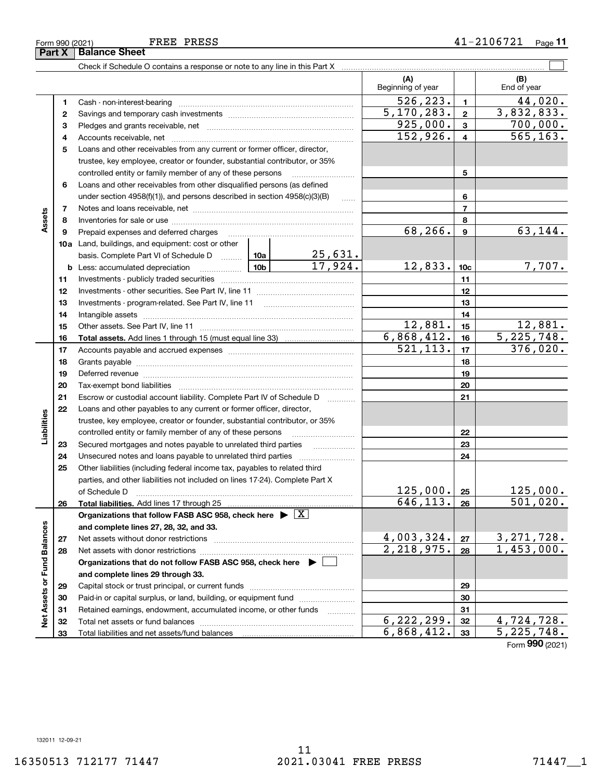**Part X Balance Sheet**

#### Form 990 (2021) Page **11** FREE PRESS 41-2106721

|                                            |          |                                                                                                                   |          |                         | (A)<br>Beginning of year   |                         | (B)<br>End of year         |
|--------------------------------------------|----------|-------------------------------------------------------------------------------------------------------------------|----------|-------------------------|----------------------------|-------------------------|----------------------------|
|                                            | 1        | Cash - non-interest-bearing                                                                                       |          |                         | 526,223.                   | $\blacksquare$          | 44,020.                    |
| Assets                                     | 2        |                                                                                                                   |          |                         | 5, 170, 283.               | $\mathbf{2}$            | 3,832,833.                 |
|                                            | з        |                                                                                                                   | 925,000. | $\mathbf{3}$            | 700,000.                   |                         |                            |
|                                            | 4        |                                                                                                                   |          |                         | 152,926.                   | $\overline{\mathbf{4}}$ | 565, 163.                  |
|                                            | 5        | Loans and other receivables from any current or former officer, director,                                         |          |                         |                            |                         |                            |
|                                            |          | trustee, key employee, creator or founder, substantial contributor, or 35%                                        |          |                         |                            |                         |                            |
|                                            |          | controlled entity or family member of any of these persons                                                        |          |                         |                            | 5                       |                            |
|                                            | 6        | Loans and other receivables from other disqualified persons (as defined                                           |          |                         |                            |                         |                            |
|                                            |          | under section 4958(f)(1)), and persons described in section 4958(c)(3)(B)                                         |          | $\ldots$                |                            | 6                       |                            |
|                                            | 7        |                                                                                                                   |          |                         |                            | $\overline{7}$          |                            |
|                                            | 8        |                                                                                                                   |          |                         |                            | 8                       |                            |
|                                            | 9        | Prepaid expenses and deferred charges [11] [11] prepaid expenses and deferred charges [11] [11] minimum materials |          |                         | 68, 266.                   | $\boldsymbol{9}$        | 63,144.                    |
|                                            |          | <b>10a</b> Land, buildings, and equipment: cost or other                                                          |          |                         |                            |                         |                            |
|                                            |          | basis. Complete Part VI of Schedule D  10a                                                                        |          | $\frac{25,631}{17,924}$ |                            |                         |                            |
|                                            |          | $\boxed{10b}$<br><b>b</b> Less: accumulated depreciation                                                          |          |                         | 12,833.                    | 10 <sub>c</sub>         | 7,707.                     |
|                                            | 11       |                                                                                                                   |          |                         |                            | 11                      |                            |
|                                            | 12       |                                                                                                                   |          | 12                      |                            |                         |                            |
|                                            | 13       |                                                                                                                   |          | 13                      |                            |                         |                            |
|                                            | 14       |                                                                                                                   |          |                         |                            | 14                      |                            |
|                                            | 15       |                                                                                                                   |          |                         | 12,881.                    | 15                      | 12,881.                    |
|                                            | 16       |                                                                                                                   |          |                         | 6,868,412.                 | 16                      | 5,225,748.                 |
|                                            | 17       |                                                                                                                   |          |                         | 521, 113.                  | 17                      | 376,020.                   |
|                                            | 18       |                                                                                                                   |          |                         |                            | 18                      |                            |
|                                            | 19       | Deferred revenue manual contracts and contracts are all the contracts and contracts are contracted and contracts  |          |                         |                            | 19                      |                            |
|                                            | 20       |                                                                                                                   |          |                         |                            | 20                      |                            |
|                                            | 21       | Escrow or custodial account liability. Complete Part IV of Schedule D                                             |          | 1.1.1.1.1.1.1.1.1.1     |                            | 21                      |                            |
|                                            | 22       | Loans and other payables to any current or former officer, director,                                              |          |                         |                            |                         |                            |
| Liabilities<br>Net Assets or Fund Balances |          | trustee, key employee, creator or founder, substantial contributor, or 35%                                        |          |                         |                            |                         |                            |
|                                            |          | controlled entity or family member of any of these persons                                                        |          |                         |                            | 22                      |                            |
|                                            | 23       | Secured mortgages and notes payable to unrelated third parties                                                    |          |                         |                            | 23                      |                            |
|                                            | 24       | Unsecured notes and loans payable to unrelated third parties                                                      |          |                         |                            | 24                      |                            |
|                                            | 25       | Other liabilities (including federal income tax, payables to related third                                        |          |                         |                            |                         |                            |
|                                            |          | parties, and other liabilities not included on lines 17-24). Complete Part X                                      |          |                         |                            |                         |                            |
|                                            |          | of Schedule D                                                                                                     |          |                         | 125,000.                   | 25                      | <u>125,000.</u>            |
|                                            | 26       | Total liabilities. Add lines 17 through 25                                                                        |          |                         | 646, 113.                  | 26                      | 501,020.                   |
|                                            |          | Organizations that follow FASB ASC 958, check here $\blacktriangleright \boxed{X}$                                |          |                         |                            |                         |                            |
|                                            |          | and complete lines 27, 28, 32, and 33.                                                                            |          |                         |                            |                         |                            |
|                                            | 27       | Net assets without donor restrictions                                                                             |          |                         | 4,003,324.<br>2,218,975.   | 27                      | 3, 271, 728.<br>1,453,000. |
|                                            | 28       | Net assets with donor restrictions                                                                                |          |                         |                            | 28                      |                            |
|                                            |          | Organizations that do not follow FASB ASC 958, check here $\blacktriangleright$                                   |          |                         |                            |                         |                            |
|                                            |          | and complete lines 29 through 33.                                                                                 |          |                         |                            |                         |                            |
|                                            | 29       |                                                                                                                   |          |                         |                            | 29                      |                            |
|                                            | 30       | Paid-in or capital surplus, or land, building, or equipment fund                                                  |          |                         |                            | 30<br>31                |                            |
|                                            | 31       | Retained earnings, endowment, accumulated income, or other funds<br>Total net assets or fund balances             |          | 1.1.1.1.1.1.1.1.1       | $\overline{6}$ , 222, 299. | 32                      | 4,724,728.                 |
|                                            | 32<br>33 |                                                                                                                   |          |                         | 6,868,412.                 | 33                      | 5, 225, 748.               |
|                                            |          |                                                                                                                   |          |                         |                            |                         |                            |

Form (2021) **990**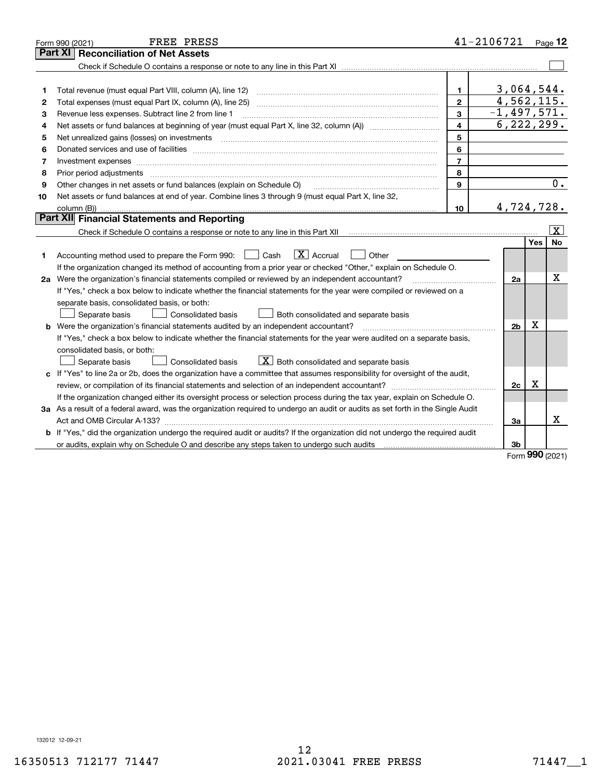|    | FREE PRESS<br>Form 990 (2021)                                                                                                   |                | 41-2106721     |            | $_{\text{Page}}$ 12     |
|----|---------------------------------------------------------------------------------------------------------------------------------|----------------|----------------|------------|-------------------------|
|    | <b>Reconciliation of Net Assets</b><br>Part XI                                                                                  |                |                |            |                         |
|    |                                                                                                                                 |                |                |            |                         |
|    |                                                                                                                                 |                |                |            |                         |
| 1  | Total revenue (must equal Part VIII, column (A), line 12)                                                                       | $\mathbf{1}$   | 3,064,544.     |            |                         |
| 2  |                                                                                                                                 | $\overline{2}$ | 4,562,115.     |            |                         |
| 3  | Revenue less expenses. Subtract line 2 from line 1                                                                              | 3              | $-1,497,571.$  |            |                         |
| 4  |                                                                                                                                 | 4              | 6, 222, 299.   |            |                         |
| 5  |                                                                                                                                 | 5              |                |            |                         |
| 6  |                                                                                                                                 | 6              |                |            |                         |
| 7  |                                                                                                                                 | $\overline{7}$ |                |            |                         |
| 8  | Prior period adjustments                                                                                                        | 8              |                |            |                         |
| 9  | Other changes in net assets or fund balances (explain on Schedule O)                                                            | 9              |                |            | 0.                      |
| 10 | Net assets or fund balances at end of year. Combine lines 3 through 9 (must equal Part X, line 32,                              |                |                |            |                         |
|    |                                                                                                                                 | 10             | 4,724,728.     |            |                         |
|    | Part XII Financial Statements and Reporting                                                                                     |                |                |            |                         |
|    |                                                                                                                                 |                |                |            | $\overline{\mathbf{x}}$ |
|    |                                                                                                                                 |                |                | <b>Yes</b> | No                      |
| 1  | $\boxed{\mathbf{X}}$ Accrual<br>Accounting method used to prepare the Form 990: <u>II</u> Cash<br>Other                         |                |                |            |                         |
|    | If the organization changed its method of accounting from a prior year or checked "Other," explain on Schedule O.               |                |                |            |                         |
|    | 2a Were the organization's financial statements compiled or reviewed by an independent accountant?                              |                | 2a             |            | x                       |
|    | If "Yes," check a box below to indicate whether the financial statements for the year were compiled or reviewed on a            |                |                |            |                         |
|    | separate basis, consolidated basis, or both:                                                                                    |                |                |            |                         |
|    | Separate basis<br>Consolidated basis<br>Both consolidated and separate basis                                                    |                |                |            |                         |
|    | <b>b</b> Were the organization's financial statements audited by an independent accountant?                                     |                | 2 <sub>b</sub> | X          |                         |
|    | If "Yes," check a box below to indicate whether the financial statements for the year were audited on a separate basis,         |                |                |            |                         |
|    | consolidated basis, or both:                                                                                                    |                |                |            |                         |
|    | $X$ Both consolidated and separate basis<br><b>Consolidated basis</b><br>Separate basis                                         |                |                |            |                         |
|    | c If "Yes" to line 2a or 2b, does the organization have a committee that assumes responsibility for oversight of the audit,     |                |                |            |                         |
|    | review, or compilation of its financial statements and selection of an independent accountant?                                  |                | 2c             | х          |                         |
|    | If the organization changed either its oversight process or selection process during the tax year, explain on Schedule O.       |                |                |            |                         |
|    | 3a As a result of a federal award, was the organization required to undergo an audit or audits as set forth in the Single Audit |                |                |            |                         |
|    |                                                                                                                                 |                | За             |            | х                       |
|    | b If "Yes," did the organization undergo the required audit or audits? If the organization did not undergo the required audit   |                |                |            |                         |
|    |                                                                                                                                 |                | 3b             | <u>nnn</u> |                         |

Form (2021) **990**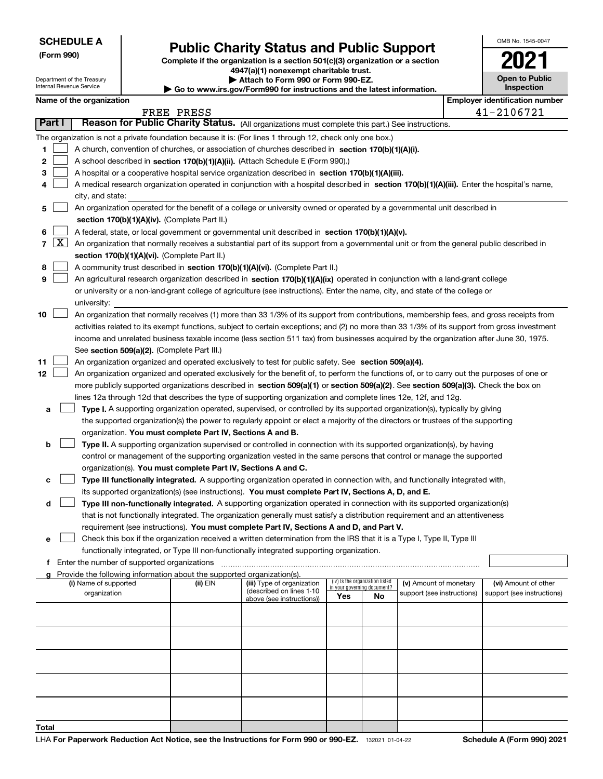Department of the Treasury Internal Revenue Service

**Name of the organization** 

**(Form 990)**

**Total**

## **Public Charity Status and Public Support**

**Complete if the organization is a section 501(c)(3) organization or a section 4947(a)(1) nonexempt charitable trust.**

**| Attach to Form 990 or Form 990-EZ.** 

**| Go to www.irs.gov/Form990 for instructions and the latest information.**

| oort<br>section |            | 202                                   |  |  |
|-----------------|------------|---------------------------------------|--|--|
| mation.         |            | <b>Open to Public</b><br>Inspection   |  |  |
|                 |            | <b>Employer identification number</b> |  |  |
|                 | 41-2106721 |                                       |  |  |
| nstructions.    |            |                                       |  |  |
| )(i).           |            |                                       |  |  |

OMB No. 1545-0047

|    |        |                                                                                                                                              | FREE PRESS |                                                        |                             |                                 |                                                      |  | 41-2106721                                         |
|----|--------|----------------------------------------------------------------------------------------------------------------------------------------------|------------|--------------------------------------------------------|-----------------------------|---------------------------------|------------------------------------------------------|--|----------------------------------------------------|
|    | Part I | Reason for Public Charity Status. (All organizations must complete this part.) See instructions.                                             |            |                                                        |                             |                                 |                                                      |  |                                                    |
|    |        | The organization is not a private foundation because it is: (For lines 1 through 12, check only one box.)                                    |            |                                                        |                             |                                 |                                                      |  |                                                    |
| 1  |        | A church, convention of churches, or association of churches described in section 170(b)(1)(A)(i).                                           |            |                                                        |                             |                                 |                                                      |  |                                                    |
| 2  |        | A school described in section 170(b)(1)(A)(ii). (Attach Schedule E (Form 990).)                                                              |            |                                                        |                             |                                 |                                                      |  |                                                    |
| 3  |        | A hospital or a cooperative hospital service organization described in section 170(b)(1)(A)(iii).                                            |            |                                                        |                             |                                 |                                                      |  |                                                    |
| 4  |        | A medical research organization operated in conjunction with a hospital described in section 170(b)(1)(A)(iii). Enter the hospital's name,   |            |                                                        |                             |                                 |                                                      |  |                                                    |
|    |        | city, and state:                                                                                                                             |            |                                                        |                             |                                 |                                                      |  |                                                    |
| 5  |        | An organization operated for the benefit of a college or university owned or operated by a governmental unit described in                    |            |                                                        |                             |                                 |                                                      |  |                                                    |
|    |        | section 170(b)(1)(A)(iv). (Complete Part II.)                                                                                                |            |                                                        |                             |                                 |                                                      |  |                                                    |
| 6  |        | A federal, state, or local government or governmental unit described in section 170(b)(1)(A)(v).                                             |            |                                                        |                             |                                 |                                                      |  |                                                    |
|    | 7   X  | An organization that normally receives a substantial part of its support from a governmental unit or from the general public described in    |            |                                                        |                             |                                 |                                                      |  |                                                    |
|    |        | section 170(b)(1)(A)(vi). (Complete Part II.)                                                                                                |            |                                                        |                             |                                 |                                                      |  |                                                    |
| 8  |        | A community trust described in section 170(b)(1)(A)(vi). (Complete Part II.)                                                                 |            |                                                        |                             |                                 |                                                      |  |                                                    |
| 9  |        | An agricultural research organization described in section 170(b)(1)(A)(ix) operated in conjunction with a land-grant college                |            |                                                        |                             |                                 |                                                      |  |                                                    |
|    |        | or university or a non-land-grant college of agriculture (see instructions). Enter the name, city, and state of the college or               |            |                                                        |                             |                                 |                                                      |  |                                                    |
|    |        | university:                                                                                                                                  |            |                                                        |                             |                                 |                                                      |  |                                                    |
| 10 |        | An organization that normally receives (1) more than 33 1/3% of its support from contributions, membership fees, and gross receipts from     |            |                                                        |                             |                                 |                                                      |  |                                                    |
|    |        | activities related to its exempt functions, subject to certain exceptions; and (2) no more than 33 1/3% of its support from gross investment |            |                                                        |                             |                                 |                                                      |  |                                                    |
|    |        | income and unrelated business taxable income (less section 511 tax) from businesses acquired by the organization after June 30, 1975.        |            |                                                        |                             |                                 |                                                      |  |                                                    |
|    |        | See section 509(a)(2). (Complete Part III.)                                                                                                  |            |                                                        |                             |                                 |                                                      |  |                                                    |
| 11 |        | An organization organized and operated exclusively to test for public safety. See section 509(a)(4).                                         |            |                                                        |                             |                                 |                                                      |  |                                                    |
| 12 |        | An organization organized and operated exclusively for the benefit of, to perform the functions of, or to carry out the purposes of one or   |            |                                                        |                             |                                 |                                                      |  |                                                    |
|    |        | more publicly supported organizations described in section 509(a)(1) or section 509(a)(2). See section 509(a)(3). Check the box on           |            |                                                        |                             |                                 |                                                      |  |                                                    |
|    |        | lines 12a through 12d that describes the type of supporting organization and complete lines 12e, 12f, and 12g.                               |            |                                                        |                             |                                 |                                                      |  |                                                    |
| а  |        | Type I. A supporting organization operated, supervised, or controlled by its supported organization(s), typically by giving                  |            |                                                        |                             |                                 |                                                      |  |                                                    |
|    |        | the supported organization(s) the power to regularly appoint or elect a majority of the directors or trustees of the supporting              |            |                                                        |                             |                                 |                                                      |  |                                                    |
|    |        | organization. You must complete Part IV, Sections A and B.                                                                                   |            |                                                        |                             |                                 |                                                      |  |                                                    |
| b  |        | Type II. A supporting organization supervised or controlled in connection with its supported organization(s), by having                      |            |                                                        |                             |                                 |                                                      |  |                                                    |
|    |        | control or management of the supporting organization vested in the same persons that control or manage the supported                         |            |                                                        |                             |                                 |                                                      |  |                                                    |
|    |        | organization(s). You must complete Part IV, Sections A and C.                                                                                |            |                                                        |                             |                                 |                                                      |  |                                                    |
| с  |        | Type III functionally integrated. A supporting organization operated in connection with, and functionally integrated with,                   |            |                                                        |                             |                                 |                                                      |  |                                                    |
|    |        | its supported organization(s) (see instructions). You must complete Part IV, Sections A, D, and E.                                           |            |                                                        |                             |                                 |                                                      |  |                                                    |
| d  |        | Type III non-functionally integrated. A supporting organization operated in connection with its supported organization(s)                    |            |                                                        |                             |                                 |                                                      |  |                                                    |
|    |        | that is not functionally integrated. The organization generally must satisfy a distribution requirement and an attentiveness                 |            |                                                        |                             |                                 |                                                      |  |                                                    |
|    |        | requirement (see instructions). You must complete Part IV, Sections A and D, and Part V.                                                     |            |                                                        |                             |                                 |                                                      |  |                                                    |
| е  |        | Check this box if the organization received a written determination from the IRS that it is a Type I, Type II, Type III                      |            |                                                        |                             |                                 |                                                      |  |                                                    |
|    |        | functionally integrated, or Type III non-functionally integrated supporting organization.                                                    |            |                                                        |                             |                                 |                                                      |  |                                                    |
| f  |        | Enter the number of supported organizations                                                                                                  |            |                                                        |                             |                                 |                                                      |  |                                                    |
| a  |        | Provide the following information about the supported organization(s).                                                                       |            |                                                        |                             | (iv) Is the organization listed |                                                      |  |                                                    |
|    |        | (i) Name of supported<br>organization                                                                                                        | (ii) EIN   | (iii) Type of organization<br>(described on lines 1-10 | in your governing document? |                                 | (v) Amount of monetary<br>support (see instructions) |  | (vi) Amount of other<br>support (see instructions) |
|    |        |                                                                                                                                              |            | above (see instructions))                              | Yes                         | No                              |                                                      |  |                                                    |
|    |        |                                                                                                                                              |            |                                                        |                             |                                 |                                                      |  |                                                    |
|    |        |                                                                                                                                              |            |                                                        |                             |                                 |                                                      |  |                                                    |
|    |        |                                                                                                                                              |            |                                                        |                             |                                 |                                                      |  |                                                    |
|    |        |                                                                                                                                              |            |                                                        |                             |                                 |                                                      |  |                                                    |
|    |        |                                                                                                                                              |            |                                                        |                             |                                 |                                                      |  |                                                    |
|    |        |                                                                                                                                              |            |                                                        |                             |                                 |                                                      |  |                                                    |
|    |        |                                                                                                                                              |            |                                                        |                             |                                 |                                                      |  |                                                    |
|    |        |                                                                                                                                              |            |                                                        |                             |                                 |                                                      |  |                                                    |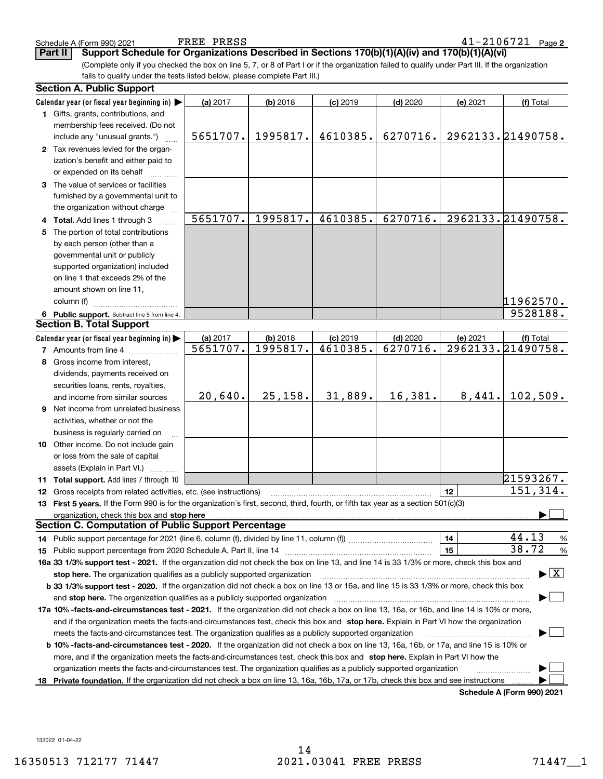| Schedule A (Form 990) 202 <sup>-</sup> |  |  |
|----------------------------------------|--|--|

**Part II Support Schedule for Organizations Described in Sections 170(b)(1)(A)(iv) and 170(b)(1)(A)(vi)**

(Complete only if you checked the box on line 5, 7, or 8 of Part I or if the organization failed to qualify under Part III. If the organization fails to qualify under the tests listed below, please complete Part III.)

|    | <b>Section A. Public Support</b>                                                                                                                                                                                               |          |            |            |            |          |                                          |
|----|--------------------------------------------------------------------------------------------------------------------------------------------------------------------------------------------------------------------------------|----------|------------|------------|------------|----------|------------------------------------------|
|    | Calendar year (or fiscal year beginning in)                                                                                                                                                                                    | (a) 2017 | (b) 2018   | $(c)$ 2019 | $(d)$ 2020 | (e) 2021 | (f) Total                                |
|    | 1 Gifts, grants, contributions, and                                                                                                                                                                                            |          |            |            |            |          |                                          |
|    | membership fees received. (Do not                                                                                                                                                                                              |          |            |            |            |          |                                          |
|    | include any "unusual grants.")                                                                                                                                                                                                 | 5651707. | 1995817.   | 4610385.   | 6270716.   |          | 2962133.21490758.                        |
|    | 2 Tax revenues levied for the organ-                                                                                                                                                                                           |          |            |            |            |          |                                          |
|    | ization's benefit and either paid to                                                                                                                                                                                           |          |            |            |            |          |                                          |
|    | or expended on its behalf                                                                                                                                                                                                      |          |            |            |            |          |                                          |
|    | 3 The value of services or facilities                                                                                                                                                                                          |          |            |            |            |          |                                          |
|    | furnished by a governmental unit to                                                                                                                                                                                            |          |            |            |            |          |                                          |
|    | the organization without charge                                                                                                                                                                                                |          |            |            |            |          |                                          |
|    | 4 Total. Add lines 1 through 3                                                                                                                                                                                                 | 5651707. | 1995817.   | 4610385.   | 6270716.   |          | 2962133.21490758.                        |
| 5. | The portion of total contributions                                                                                                                                                                                             |          |            |            |            |          |                                          |
|    | by each person (other than a                                                                                                                                                                                                   |          |            |            |            |          |                                          |
|    | governmental unit or publicly                                                                                                                                                                                                  |          |            |            |            |          |                                          |
|    | supported organization) included                                                                                                                                                                                               |          |            |            |            |          |                                          |
|    | on line 1 that exceeds 2% of the                                                                                                                                                                                               |          |            |            |            |          |                                          |
|    | amount shown on line 11,                                                                                                                                                                                                       |          |            |            |            |          |                                          |
|    | column (f)                                                                                                                                                                                                                     |          |            |            |            |          | 11962570.                                |
|    | 6 Public support. Subtract line 5 from line 4.                                                                                                                                                                                 |          |            |            |            |          | 9528188.                                 |
|    | <b>Section B. Total Support</b>                                                                                                                                                                                                |          |            |            |            |          |                                          |
|    | Calendar year (or fiscal year beginning in)                                                                                                                                                                                    | (a) 2017 | $(b)$ 2018 | $(c)$ 2019 | $(d)$ 2020 | (e) 2021 | (f) Total                                |
|    | <b>7</b> Amounts from line 4                                                                                                                                                                                                   | 5651707. | 1995817.   | 4610385.   | 6270716.   |          | 2962133.21490758.                        |
|    | 8 Gross income from interest,                                                                                                                                                                                                  |          |            |            |            |          |                                          |
|    | dividends, payments received on                                                                                                                                                                                                |          |            |            |            |          |                                          |
|    | securities loans, rents, royalties,                                                                                                                                                                                            |          |            |            |            |          |                                          |
|    | and income from similar sources                                                                                                                                                                                                | 20,640.  | 25, 158.   | 31,889.    | 16,381.    | 8,441.   | 102,509.                                 |
|    | 9 Net income from unrelated business                                                                                                                                                                                           |          |            |            |            |          |                                          |
|    | activities, whether or not the                                                                                                                                                                                                 |          |            |            |            |          |                                          |
|    | business is regularly carried on                                                                                                                                                                                               |          |            |            |            |          |                                          |
|    | 10 Other income. Do not include gain                                                                                                                                                                                           |          |            |            |            |          |                                          |
|    | or loss from the sale of capital                                                                                                                                                                                               |          |            |            |            |          |                                          |
|    | assets (Explain in Part VI.)                                                                                                                                                                                                   |          |            |            |            |          |                                          |
|    | 11 Total support. Add lines 7 through 10                                                                                                                                                                                       |          |            |            |            |          | 21593267.                                |
|    | 12 Gross receipts from related activities, etc. (see instructions)                                                                                                                                                             |          |            |            |            | 12       | 151,314.                                 |
|    | 13 First 5 years. If the Form 990 is for the organization's first, second, third, fourth, or fifth tax year as a section 501(c)(3)                                                                                             |          |            |            |            |          |                                          |
|    | organization, check this box and stop here manufactured and according to the state of the state of the state of the state of the state of the state of the state of the state of the state of the state of the state of the st |          |            |            |            |          |                                          |
|    | <b>Section C. Computation of Public Support Percentage</b>                                                                                                                                                                     |          |            |            |            |          |                                          |
|    |                                                                                                                                                                                                                                |          |            |            |            | 14       | 44.13<br>%                               |
|    |                                                                                                                                                                                                                                |          |            |            |            | 15       | 38.72<br>$\%$                            |
|    | 16a 33 1/3% support test - 2021. If the organization did not check the box on line 13, and line 14 is 33 1/3% or more, check this box and                                                                                      |          |            |            |            |          |                                          |
|    | stop here. The organization qualifies as a publicly supported organization                                                                                                                                                     |          |            |            |            |          | $\blacktriangleright$ $\boxed{\text{X}}$ |
|    | b 33 1/3% support test - 2020. If the organization did not check a box on line 13 or 16a, and line 15 is 33 1/3% or more, check this box                                                                                       |          |            |            |            |          |                                          |
|    | and stop here. The organization qualifies as a publicly supported organization                                                                                                                                                 |          |            |            |            |          |                                          |
|    | 17a 10% -facts-and-circumstances test - 2021. If the organization did not check a box on line 13, 16a, or 16b, and line 14 is 10% or more,                                                                                     |          |            |            |            |          |                                          |
|    | and if the organization meets the facts-and-circumstances test, check this box and stop here. Explain in Part VI how the organization                                                                                          |          |            |            |            |          |                                          |
|    | meets the facts-and-circumstances test. The organization qualifies as a publicly supported organization                                                                                                                        |          |            |            |            |          |                                          |
|    | <b>b 10% -facts-and-circumstances test - 2020.</b> If the organization did not check a box on line 13, 16a, 16b, or 17a, and line 15 is 10% or                                                                                 |          |            |            |            |          |                                          |
|    | more, and if the organization meets the facts-and-circumstances test, check this box and stop here. Explain in Part VI how the                                                                                                 |          |            |            |            |          |                                          |
|    | organization meets the facts-and-circumstances test. The organization qualifies as a publicly supported organization                                                                                                           |          |            |            |            |          |                                          |
|    | 18 Private foundation. If the organization did not check a box on line 13, 16a, 16b, 17a, or 17b, check this box and see instructions                                                                                          |          |            |            |            |          |                                          |
|    |                                                                                                                                                                                                                                |          |            |            |            |          | Cahadula A (Fauna 000) 0004              |

**Schedule A (Form 990) 2021**

132022 01-04-22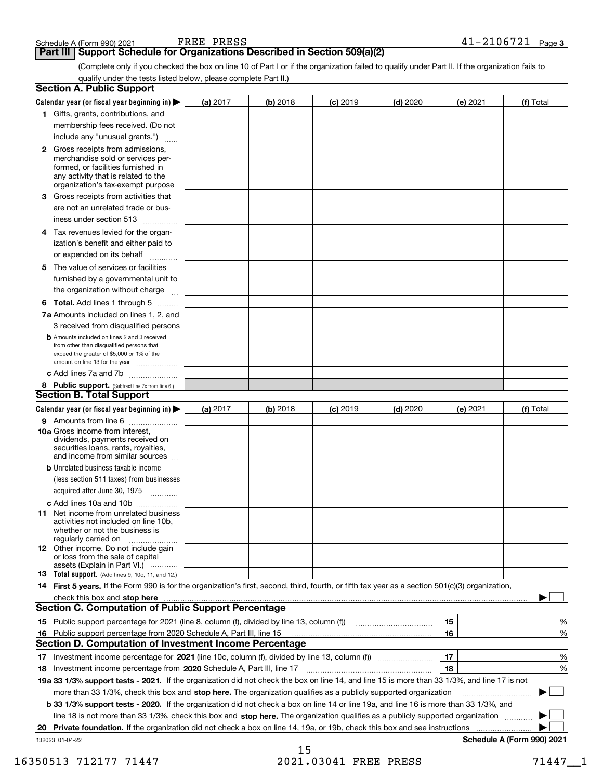**Part III Support Schedule for Organizations Described in Section 509(a)(2)** 

(Complete only if you checked the box on line 10 of Part I or if the organization failed to qualify under Part II. If the organization fails to qualify under the tests listed below, please complete Part II.)

|    | <b>Section A. Public Support</b>                                                                                                                                                                |          |          |            |            |          |                            |
|----|-------------------------------------------------------------------------------------------------------------------------------------------------------------------------------------------------|----------|----------|------------|------------|----------|----------------------------|
|    | Calendar year (or fiscal year beginning in) $\blacktriangleright$                                                                                                                               | (a) 2017 | (b) 2018 | $(c)$ 2019 | $(d)$ 2020 | (e) 2021 | (f) Total                  |
|    | 1 Gifts, grants, contributions, and                                                                                                                                                             |          |          |            |            |          |                            |
|    | membership fees received. (Do not                                                                                                                                                               |          |          |            |            |          |                            |
|    | include any "unusual grants.")                                                                                                                                                                  |          |          |            |            |          |                            |
|    | <b>2</b> Gross receipts from admissions,<br>merchandise sold or services per-<br>formed, or facilities furnished in<br>any activity that is related to the<br>organization's tax-exempt purpose |          |          |            |            |          |                            |
|    | 3 Gross receipts from activities that<br>are not an unrelated trade or bus-                                                                                                                     |          |          |            |            |          |                            |
|    | iness under section 513                                                                                                                                                                         |          |          |            |            |          |                            |
|    | 4 Tax revenues levied for the organ-<br>ization's benefit and either paid to<br>or expended on its behalf<br>.                                                                                  |          |          |            |            |          |                            |
|    | 5 The value of services or facilities<br>furnished by a governmental unit to<br>the organization without charge                                                                                 |          |          |            |            |          |                            |
|    | <b>6 Total.</b> Add lines 1 through 5                                                                                                                                                           |          |          |            |            |          |                            |
|    | 7a Amounts included on lines 1, 2, and<br>3 received from disqualified persons                                                                                                                  |          |          |            |            |          |                            |
|    | <b>b</b> Amounts included on lines 2 and 3 received<br>from other than disqualified persons that<br>exceed the greater of \$5,000 or 1% of the<br>amount on line 13 for the year                |          |          |            |            |          |                            |
|    | c Add lines 7a and 7b                                                                                                                                                                           |          |          |            |            |          |                            |
|    | 8 Public support. (Subtract line 7c from line 6.)                                                                                                                                               |          |          |            |            |          |                            |
|    | Section B. Total Support                                                                                                                                                                        |          |          |            |            |          |                            |
|    | Calendar year (or fiscal year beginning in)                                                                                                                                                     | (a) 2017 | (b) 2018 | $(c)$ 2019 | $(d)$ 2020 | (e) 2021 | (f) Total                  |
|    | 9 Amounts from line 6                                                                                                                                                                           |          |          |            |            |          |                            |
|    | <b>10a</b> Gross income from interest,<br>dividends, payments received on<br>securities loans, rents, royalties,<br>and income from similar sources                                             |          |          |            |            |          |                            |
|    | <b>b</b> Unrelated business taxable income                                                                                                                                                      |          |          |            |            |          |                            |
|    | (less section 511 taxes) from businesses<br>acquired after June 30, 1975                                                                                                                        |          |          |            |            |          |                            |
|    | c Add lines 10a and 10b                                                                                                                                                                         |          |          |            |            |          |                            |
|    | <b>11</b> Net income from unrelated business<br>activities not included on line 10b,<br>whether or not the business is<br>regularly carried on                                                  |          |          |            |            |          |                            |
|    | <b>12</b> Other income. Do not include gain<br>or loss from the sale of capital<br>assets (Explain in Part VI.)                                                                                 |          |          |            |            |          |                            |
|    | 13 Total support. (Add lines 9, 10c, 11, and 12.)                                                                                                                                               |          |          |            |            |          |                            |
|    | 14 First 5 years. If the Form 990 is for the organization's first, second, third, fourth, or fifth tax year as a section 501(c)(3) organization,                                                |          |          |            |            |          |                            |
|    | check this box and stop here www.altamana.com/management/community/community/community/community/community/comm                                                                                 |          |          |            |            |          |                            |
|    | <b>Section C. Computation of Public Support Percentage</b>                                                                                                                                      |          |          |            |            |          |                            |
|    | 15 Public support percentage for 2021 (line 8, column (f), divided by line 13, column (f))                                                                                                      |          |          |            |            | 15       | %                          |
|    | 16 Public support percentage from 2020 Schedule A, Part III, line 15                                                                                                                            |          |          |            |            | 16       | %                          |
|    | <b>Section D. Computation of Investment Income Percentage</b>                                                                                                                                   |          |          |            |            |          |                            |
|    | 17 Investment income percentage for 2021 (line 10c, column (f), divided by line 13, column (f))                                                                                                 |          |          |            |            | 17       | %                          |
|    | 18 Investment income percentage from 2020 Schedule A, Part III, line 17                                                                                                                         |          |          |            |            | 18       | %                          |
|    | 19a 33 1/3% support tests - 2021. If the organization did not check the box on line 14, and line 15 is more than 33 1/3%, and line 17 is not                                                    |          |          |            |            |          |                            |
|    | more than 33 1/3%, check this box and stop here. The organization qualifies as a publicly supported organization                                                                                |          |          |            |            |          |                            |
|    | b 33 1/3% support tests - 2020. If the organization did not check a box on line 14 or line 19a, and line 16 is more than 33 1/3%, and                                                           |          |          |            |            |          |                            |
|    | line 18 is not more than 33 1/3%, check this box and stop here. The organization qualifies as a publicly supported organization                                                                 |          |          |            |            |          |                            |
| 20 | Private foundation. If the organization did not check a box on line 14, 19a, or 19b, check this box and see instructions                                                                        |          |          |            |            |          |                            |
|    | 132023 01-04-22                                                                                                                                                                                 |          |          |            |            |          | Schedule A (Form 990) 2021 |

15 16350513 712177 71447 2021.03041 FREE PRESS 71447 1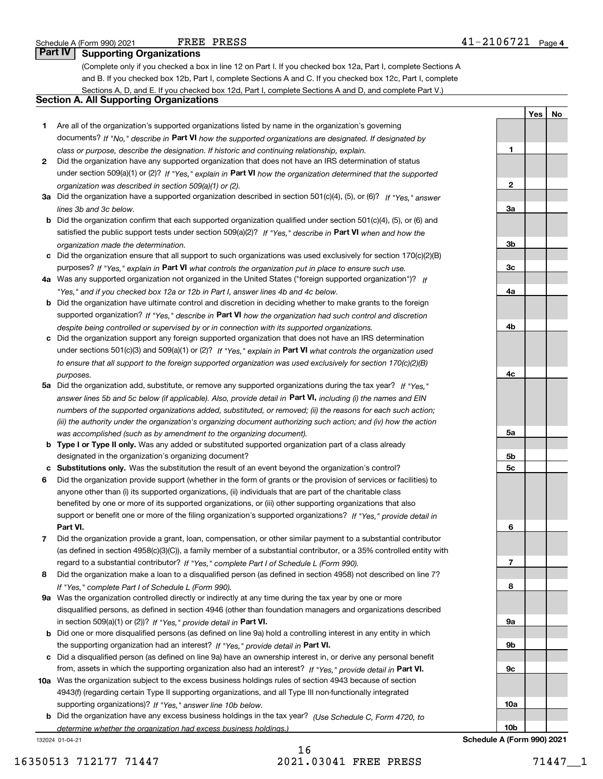**1**

**2**

**3a**

**3b**

**3c**

**4a**

**4b**

**4c**

**5a**

**5b5c**

**6**

**7**

**8**

**9a**

**9b**

**9c**

**10a**

**10b**

**YesNo**

## **Part IV Supporting Organizations**

(Complete only if you checked a box in line 12 on Part I. If you checked box 12a, Part I, complete Sections A and B. If you checked box 12b, Part I, complete Sections A and C. If you checked box 12c, Part I, complete Sections A, D, and E. If you checked box 12d, Part I, complete Sections A and D, and complete Part V.)

## **Section A. All Supporting Organizations**

- **1** Are all of the organization's supported organizations listed by name in the organization's governing documents? If "No," describe in **Part VI** how the supported organizations are designated. If designated by *class or purpose, describe the designation. If historic and continuing relationship, explain.*
- **2** Did the organization have any supported organization that does not have an IRS determination of status under section 509(a)(1) or (2)? If "Yes," explain in Part VI how the organization determined that the supported *organization was described in section 509(a)(1) or (2).*
- **3a** Did the organization have a supported organization described in section 501(c)(4), (5), or (6)? If "Yes," answer *lines 3b and 3c below.*
- **b** Did the organization confirm that each supported organization qualified under section 501(c)(4), (5), or (6) and satisfied the public support tests under section 509(a)(2)? If "Yes," describe in **Part VI** when and how the *organization made the determination.*
- **c**Did the organization ensure that all support to such organizations was used exclusively for section 170(c)(2)(B) purposes? If "Yes," explain in **Part VI** what controls the organization put in place to ensure such use.
- **4a***If* Was any supported organization not organized in the United States ("foreign supported organization")? *"Yes," and if you checked box 12a or 12b in Part I, answer lines 4b and 4c below.*
- **b** Did the organization have ultimate control and discretion in deciding whether to make grants to the foreign supported organization? If "Yes," describe in **Part VI** how the organization had such control and discretion *despite being controlled or supervised by or in connection with its supported organizations.*
- **c** Did the organization support any foreign supported organization that does not have an IRS determination under sections 501(c)(3) and 509(a)(1) or (2)? If "Yes," explain in **Part VI** what controls the organization used *to ensure that all support to the foreign supported organization was used exclusively for section 170(c)(2)(B) purposes.*
- **5a** Did the organization add, substitute, or remove any supported organizations during the tax year? If "Yes," answer lines 5b and 5c below (if applicable). Also, provide detail in **Part VI,** including (i) the names and EIN *numbers of the supported organizations added, substituted, or removed; (ii) the reasons for each such action; (iii) the authority under the organization's organizing document authorizing such action; and (iv) how the action was accomplished (such as by amendment to the organizing document).*
- **b** Type I or Type II only. Was any added or substituted supported organization part of a class already designated in the organization's organizing document?
- **cSubstitutions only.**  Was the substitution the result of an event beyond the organization's control?
- **6** Did the organization provide support (whether in the form of grants or the provision of services or facilities) to **Part VI.** *If "Yes," provide detail in* support or benefit one or more of the filing organization's supported organizations? anyone other than (i) its supported organizations, (ii) individuals that are part of the charitable class benefited by one or more of its supported organizations, or (iii) other supporting organizations that also
- **7**Did the organization provide a grant, loan, compensation, or other similar payment to a substantial contributor *If "Yes," complete Part I of Schedule L (Form 990).* regard to a substantial contributor? (as defined in section 4958(c)(3)(C)), a family member of a substantial contributor, or a 35% controlled entity with
- **8** Did the organization make a loan to a disqualified person (as defined in section 4958) not described on line 7? *If "Yes," complete Part I of Schedule L (Form 990).*
- **9a** Was the organization controlled directly or indirectly at any time during the tax year by one or more in section 509(a)(1) or (2))? If "Yes," *provide detail in* <code>Part VI.</code> disqualified persons, as defined in section 4946 (other than foundation managers and organizations described
- **b**the supporting organization had an interest? If "Yes," provide detail in P**art VI**. Did one or more disqualified persons (as defined on line 9a) hold a controlling interest in any entity in which
- **c**Did a disqualified person (as defined on line 9a) have an ownership interest in, or derive any personal benefit from, assets in which the supporting organization also had an interest? If "Yes," provide detail in P**art VI.**
- **10a** Was the organization subject to the excess business holdings rules of section 4943 because of section supporting organizations)? If "Yes," answer line 10b below. 4943(f) (regarding certain Type II supporting organizations, and all Type III non-functionally integrated
- **b** Did the organization have any excess business holdings in the tax year? (Use Schedule C, Form 4720, to *determine whether the organization had excess business holdings.)*

132024 01-04-21

## 16 16350513 712177 71447 2021.03041 FREE PRESS 71447\_\_1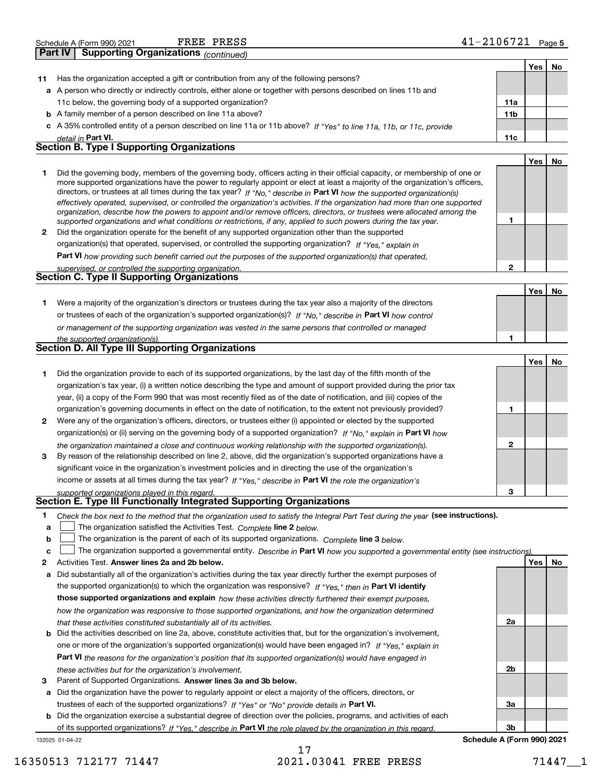| Schedule A (Form 990) 2021                  | PRESS<br>FREE | - - - -<br>06<br>Page L<br>ــ 4 ' |
|---------------------------------------------|---------------|-----------------------------------|
| $P_{\text{out}}$<br>Cusaculus Organizations |               |                                   |

|              | <b>Supporting Organizations</b> (continued)<br>Part IV                                                                                                                                                                                                                                                                                                                                                                                                                                                                                                                                                                                                                                                                                                                   |                |     |     |
|--------------|--------------------------------------------------------------------------------------------------------------------------------------------------------------------------------------------------------------------------------------------------------------------------------------------------------------------------------------------------------------------------------------------------------------------------------------------------------------------------------------------------------------------------------------------------------------------------------------------------------------------------------------------------------------------------------------------------------------------------------------------------------------------------|----------------|-----|-----|
|              |                                                                                                                                                                                                                                                                                                                                                                                                                                                                                                                                                                                                                                                                                                                                                                          |                | Yes | No  |
| 11           | Has the organization accepted a gift or contribution from any of the following persons?                                                                                                                                                                                                                                                                                                                                                                                                                                                                                                                                                                                                                                                                                  |                |     |     |
|              | a A person who directly or indirectly controls, either alone or together with persons described on lines 11b and                                                                                                                                                                                                                                                                                                                                                                                                                                                                                                                                                                                                                                                         |                |     |     |
|              | 11c below, the governing body of a supported organization?                                                                                                                                                                                                                                                                                                                                                                                                                                                                                                                                                                                                                                                                                                               | 11a            |     |     |
|              | <b>b</b> A family member of a person described on line 11a above?                                                                                                                                                                                                                                                                                                                                                                                                                                                                                                                                                                                                                                                                                                        | 11b            |     |     |
|              | c A 35% controlled entity of a person described on line 11a or 11b above? If "Yes" to line 11a, 11b, or 11c, provide                                                                                                                                                                                                                                                                                                                                                                                                                                                                                                                                                                                                                                                     |                |     |     |
|              | detail in Part VI.                                                                                                                                                                                                                                                                                                                                                                                                                                                                                                                                                                                                                                                                                                                                                       | 11c            |     |     |
|              | <b>Section B. Type I Supporting Organizations</b>                                                                                                                                                                                                                                                                                                                                                                                                                                                                                                                                                                                                                                                                                                                        |                |     |     |
|              |                                                                                                                                                                                                                                                                                                                                                                                                                                                                                                                                                                                                                                                                                                                                                                          |                | Yes | No  |
| 1            | Did the governing body, members of the governing body, officers acting in their official capacity, or membership of one or<br>more supported organizations have the power to regularly appoint or elect at least a majority of the organization's officers,<br>directors, or trustees at all times during the tax year? If "No," describe in Part VI how the supported organization(s)<br>effectively operated, supervised, or controlled the organization's activities. If the organization had more than one supported<br>organization, describe how the powers to appoint and/or remove officers, directors, or trustees were allocated among the<br>supported organizations and what conditions or restrictions, if any, applied to such powers during the tax year. | 1              |     |     |
| $\mathbf{2}$ | Did the organization operate for the benefit of any supported organization other than the supported                                                                                                                                                                                                                                                                                                                                                                                                                                                                                                                                                                                                                                                                      |                |     |     |
|              | organization(s) that operated, supervised, or controlled the supporting organization? If "Yes," explain in                                                                                                                                                                                                                                                                                                                                                                                                                                                                                                                                                                                                                                                               |                |     |     |
|              | Part VI how providing such benefit carried out the purposes of the supported organization(s) that operated,                                                                                                                                                                                                                                                                                                                                                                                                                                                                                                                                                                                                                                                              |                |     |     |
|              | supervised, or controlled the supporting organization.                                                                                                                                                                                                                                                                                                                                                                                                                                                                                                                                                                                                                                                                                                                   | $\overline{2}$ |     |     |
|              | Section C. Type II Supporting Organizations                                                                                                                                                                                                                                                                                                                                                                                                                                                                                                                                                                                                                                                                                                                              |                |     |     |
|              |                                                                                                                                                                                                                                                                                                                                                                                                                                                                                                                                                                                                                                                                                                                                                                          |                | Yes | No  |
| 1.           | Were a majority of the organization's directors or trustees during the tax year also a majority of the directors                                                                                                                                                                                                                                                                                                                                                                                                                                                                                                                                                                                                                                                         |                |     |     |
|              | or trustees of each of the organization's supported organization(s)? If "No," describe in Part VI how control                                                                                                                                                                                                                                                                                                                                                                                                                                                                                                                                                                                                                                                            |                |     |     |
|              | or management of the supporting organization was vested in the same persons that controlled or managed                                                                                                                                                                                                                                                                                                                                                                                                                                                                                                                                                                                                                                                                   |                |     |     |
|              | the supported organization(s).                                                                                                                                                                                                                                                                                                                                                                                                                                                                                                                                                                                                                                                                                                                                           | 1              |     |     |
|              | <b>Section D. All Type III Supporting Organizations</b>                                                                                                                                                                                                                                                                                                                                                                                                                                                                                                                                                                                                                                                                                                                  |                |     |     |
|              |                                                                                                                                                                                                                                                                                                                                                                                                                                                                                                                                                                                                                                                                                                                                                                          |                | Yes | No. |
| 1            | Did the organization provide to each of its supported organizations, by the last day of the fifth month of the                                                                                                                                                                                                                                                                                                                                                                                                                                                                                                                                                                                                                                                           |                |     |     |
|              | organization's tax year, (i) a written notice describing the type and amount of support provided during the prior tax                                                                                                                                                                                                                                                                                                                                                                                                                                                                                                                                                                                                                                                    |                |     |     |
|              | year, (ii) a copy of the Form 990 that was most recently filed as of the date of notification, and (iii) copies of the                                                                                                                                                                                                                                                                                                                                                                                                                                                                                                                                                                                                                                                   |                |     |     |
|              | organization's governing documents in effect on the date of notification, to the extent not previously provided?                                                                                                                                                                                                                                                                                                                                                                                                                                                                                                                                                                                                                                                         | 1              |     |     |
| 2            | Were any of the organization's officers, directors, or trustees either (i) appointed or elected by the supported                                                                                                                                                                                                                                                                                                                                                                                                                                                                                                                                                                                                                                                         |                |     |     |
|              | organization(s) or (ii) serving on the governing body of a supported organization? If "No," explain in Part VI how                                                                                                                                                                                                                                                                                                                                                                                                                                                                                                                                                                                                                                                       |                |     |     |
|              | the organization maintained a close and continuous working relationship with the supported organization(s).                                                                                                                                                                                                                                                                                                                                                                                                                                                                                                                                                                                                                                                              | $\mathbf{2}$   |     |     |
| 3            | By reason of the relationship described on line 2, above, did the organization's supported organizations have a                                                                                                                                                                                                                                                                                                                                                                                                                                                                                                                                                                                                                                                          |                |     |     |
|              | significant voice in the organization's investment policies and in directing the use of the organization's                                                                                                                                                                                                                                                                                                                                                                                                                                                                                                                                                                                                                                                               |                |     |     |
|              | income or assets at all times during the tax year? If "Yes," describe in Part VI the role the organization's                                                                                                                                                                                                                                                                                                                                                                                                                                                                                                                                                                                                                                                             |                |     |     |
|              | supported organizations played in this regard.                                                                                                                                                                                                                                                                                                                                                                                                                                                                                                                                                                                                                                                                                                                           | 3              |     |     |
|              | Section E. Type III Functionally Integrated Supporting Organizations                                                                                                                                                                                                                                                                                                                                                                                                                                                                                                                                                                                                                                                                                                     |                |     |     |
| 1            | Check the box next to the method that the organization used to satisfy the Integral Part Test during the year (see instructions).                                                                                                                                                                                                                                                                                                                                                                                                                                                                                                                                                                                                                                        |                |     |     |
| a            | The organization satisfied the Activities Test. Complete line 2 below.                                                                                                                                                                                                                                                                                                                                                                                                                                                                                                                                                                                                                                                                                                   |                |     |     |

**bThe organization is the parent of each of its supported organizations. Complete line 3 below.** 

|  |  | c □ The organization supported a governmental entity. Describe in Part VI how you supported a governmental entity (see instructions). |  |
|--|--|---------------------------------------------------------------------------------------------------------------------------------------|--|
|--|--|---------------------------------------------------------------------------------------------------------------------------------------|--|

- **2Answer lines 2a and 2b below. Yes No** Activities Test.
- **a** Did substantially all of the organization's activities during the tax year directly further the exempt purposes of the supported organization(s) to which the organization was responsive? If "Yes," then in **Part VI identify those supported organizations and explain**  *how these activities directly furthered their exempt purposes, how the organization was responsive to those supported organizations, and how the organization determined that these activities constituted substantially all of its activities.*
- **b** Did the activities described on line 2a, above, constitute activities that, but for the organization's involvement, **Part VI**  *the reasons for the organization's position that its supported organization(s) would have engaged in* one or more of the organization's supported organization(s) would have been engaged in? If "Yes," e*xplain in these activities but for the organization's involvement.*
- **3** Parent of Supported Organizations. Answer lines 3a and 3b below.
- **a** Did the organization have the power to regularly appoint or elect a majority of the officers, directors, or trustees of each of the supported organizations? If "Yes" or "No" provide details in **Part VI.**

**b** Did the organization exercise a substantial degree of direction over the policies, programs, and activities of each of its supported organizations? If "Yes," describe in Part VI the role played by the organization in this regard.

**2a 2b3a3b**

132025 01-04-22

## 17 16350513 712177 71447 2021.03041 FREE PRESS 71447\_\_1

## **Schedule A (Form 990) 2021**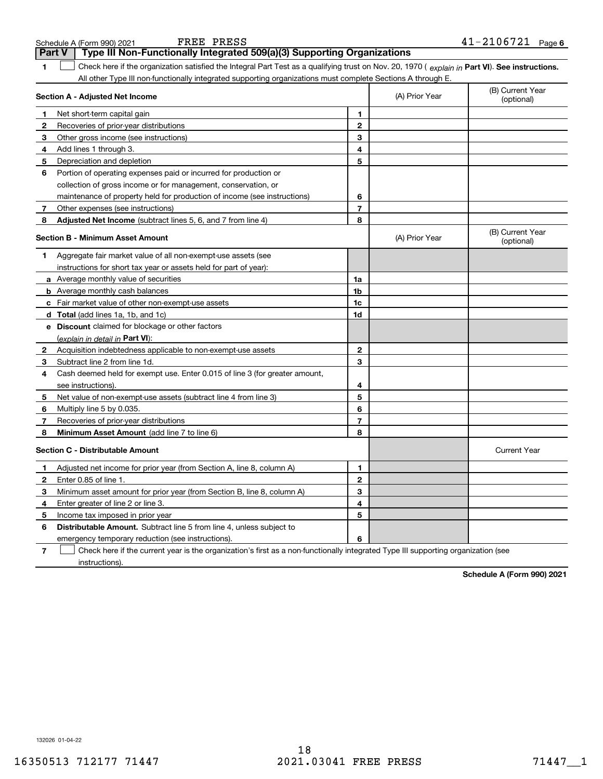| Type III Non-Functionally Integrated 509(a)(3) Supporting Organizations<br>Part V                                                                   |              |                |                                |
|-----------------------------------------------------------------------------------------------------------------------------------------------------|--------------|----------------|--------------------------------|
| Check here if the organization satisfied the Integral Part Test as a qualifying trust on Nov. 20, 1970 (explain in Part VI). See instructions.<br>1 |              |                |                                |
| All other Type III non-functionally integrated supporting organizations must complete Sections A through E.                                         |              |                |                                |
| Section A - Adjusted Net Income                                                                                                                     |              | (A) Prior Year | (B) Current Year<br>(optional) |
| Net short-term capital gain<br>$\mathbf{1}$                                                                                                         | 1            |                |                                |
| $\mathbf{2}$<br>Recoveries of prior-year distributions                                                                                              | $\mathbf{2}$ |                |                                |
| 3<br>Other gross income (see instructions)                                                                                                          | 3            |                |                                |
| Add lines 1 through 3.<br>4                                                                                                                         | 4            |                |                                |
| 5<br>Depreciation and depletion                                                                                                                     | 5            |                |                                |
| 6<br>Portion of operating expenses paid or incurred for production or                                                                               |              |                |                                |
| collection of gross income or for management, conservation, or                                                                                      |              |                |                                |
| maintenance of property held for production of income (see instructions)                                                                            | 6            |                |                                |
| Other expenses (see instructions)<br>7                                                                                                              | 7            |                |                                |
| Adjusted Net Income (subtract lines 5, 6, and 7 from line 4)<br>8                                                                                   | 8            |                |                                |
| Section B - Minimum Asset Amount                                                                                                                    |              | (A) Prior Year | (B) Current Year<br>(optional) |
| Aggregate fair market value of all non-exempt-use assets (see<br>1                                                                                  |              |                |                                |
| instructions for short tax year or assets held for part of year):                                                                                   |              |                |                                |
| a Average monthly value of securities                                                                                                               | 1a           |                |                                |
| <b>b</b> Average monthly cash balances                                                                                                              | 1b           |                |                                |
| c Fair market value of other non-exempt-use assets                                                                                                  | 1c           |                |                                |
| d Total (add lines 1a, 1b, and 1c)                                                                                                                  | 1d           |                |                                |
| e Discount claimed for blockage or other factors                                                                                                    |              |                |                                |
| (explain in detail in Part VI):                                                                                                                     |              |                |                                |
| $\mathbf{2}$<br>Acquisition indebtedness applicable to non-exempt-use assets                                                                        | $\mathbf{2}$ |                |                                |
| 3<br>Subtract line 2 from line 1d.                                                                                                                  | 3            |                |                                |
| 4<br>Cash deemed held for exempt use. Enter 0.015 of line 3 (for greater amount,                                                                    |              |                |                                |
| see instructions)                                                                                                                                   | 4            |                |                                |
| 5<br>Net value of non-exempt-use assets (subtract line 4 from line 3)                                                                               | 5            |                |                                |
| 6<br>Multiply line 5 by 0.035.                                                                                                                      | 6            |                |                                |
| 7<br>Recoveries of prior-year distributions                                                                                                         | 7            |                |                                |
| Minimum Asset Amount (add line 7 to line 6)<br>8                                                                                                    | 8            |                |                                |
| <b>Section C - Distributable Amount</b>                                                                                                             |              |                | <b>Current Year</b>            |
| Adjusted net income for prior year (from Section A, line 8, column A)<br>1.                                                                         | 1            |                |                                |
| $\mathbf{2}$<br>Enter 0.85 of line 1.                                                                                                               | $\mathbf{2}$ |                |                                |
| 3<br>Minimum asset amount for prior year (from Section B, line 8, column A)                                                                         | 3            |                |                                |
| 4<br>Enter greater of line 2 or line 3.                                                                                                             | 4            |                |                                |
| 5<br>Income tax imposed in prior year                                                                                                               | 5            |                |                                |
| 6<br><b>Distributable Amount.</b> Subtract line 5 from line 4, unless subject to                                                                    |              |                |                                |
| emergency temporary reduction (see instructions).                                                                                                   | 6            |                |                                |
| 7<br>Check here if the current year is the organization's first as a non-functionally integrated Type III supporting organization (see              |              |                |                                |

**6** Schedule A (Form 990) 2021 Page FREE PRESS 41-2106721

**Schedule A (Form 990) 2021**

132026 01-04-22

instructions).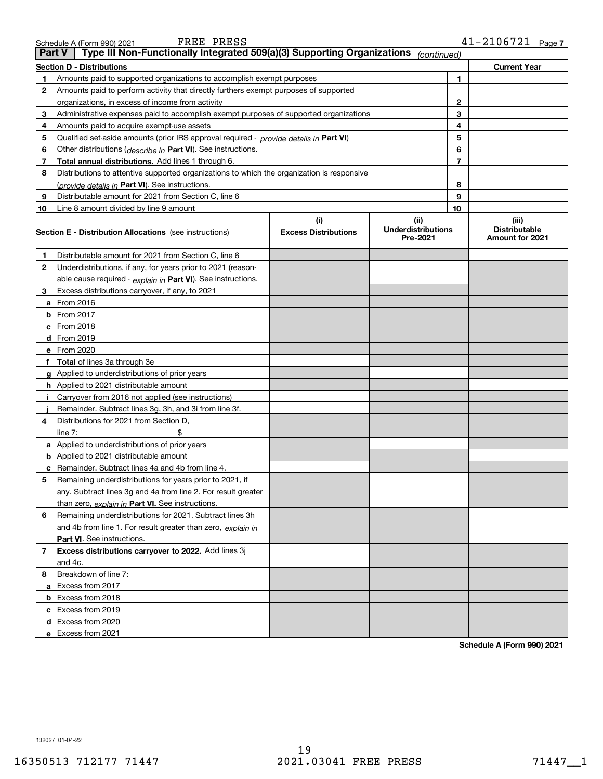| <b>rryover to 2022.</b> Add lines 3j |  |                            |
|--------------------------------------|--|----------------------------|
|                                      |  |                            |
|                                      |  |                            |
|                                      |  |                            |
|                                      |  |                            |
|                                      |  |                            |
|                                      |  |                            |
|                                      |  | Schedule A (Form 990) 2021 |
|                                      |  |                            |

| 1  | Amounts paid to supported organizations to accomplish exempt purposes                      |                             |                                       | 1  |                                         |
|----|--------------------------------------------------------------------------------------------|-----------------------------|---------------------------------------|----|-----------------------------------------|
| 2  | Amounts paid to perform activity that directly furthers exempt purposes of supported       |                             |                                       |    |                                         |
|    | organizations, in excess of income from activity                                           |                             |                                       | 2  |                                         |
| 3  | Administrative expenses paid to accomplish exempt purposes of supported organizations      |                             |                                       | 3  |                                         |
| 4  | Amounts paid to acquire exempt-use assets                                                  |                             |                                       | 4  |                                         |
| 5  | Qualified set-aside amounts (prior IRS approval required - provide details in Part VI)     |                             |                                       | 5  |                                         |
| 6  | Other distributions (describe in Part VI). See instructions.                               |                             |                                       | 6  |                                         |
| 7  | Total annual distributions. Add lines 1 through 6.                                         |                             |                                       | 7  |                                         |
| 8  | Distributions to attentive supported organizations to which the organization is responsive |                             |                                       |    |                                         |
|    | (provide details in Part VI). See instructions.                                            |                             |                                       | 8  |                                         |
| 9  | Distributable amount for 2021 from Section C, line 6                                       |                             |                                       | 9  |                                         |
| 10 | Line 8 amount divided by line 9 amount                                                     |                             |                                       | 10 |                                         |
|    |                                                                                            | (i)                         | (ii)                                  |    | (iii)                                   |
|    | <b>Section E - Distribution Allocations</b> (see instructions)                             | <b>Excess Distributions</b> | <b>Underdistributions</b><br>Pre-2021 |    | <b>Distributable</b><br>Amount for 2021 |
| 1. | Distributable amount for 2021 from Section C, line 6                                       |                             |                                       |    |                                         |
| 2  | Underdistributions, if any, for years prior to 2021 (reason-                               |                             |                                       |    |                                         |
|    | able cause required - explain in Part VI). See instructions.                               |                             |                                       |    |                                         |
| 3  | Excess distributions carryover, if any, to 2021                                            |                             |                                       |    |                                         |
|    | a From 2016                                                                                |                             |                                       |    |                                         |
|    | <b>b</b> From 2017                                                                         |                             |                                       |    |                                         |
|    | c From 2018                                                                                |                             |                                       |    |                                         |
|    | d From 2019                                                                                |                             |                                       |    |                                         |
|    | e From 2020                                                                                |                             |                                       |    |                                         |
|    | f Total of lines 3a through 3e                                                             |                             |                                       |    |                                         |
|    | g Applied to underdistributions of prior years                                             |                             |                                       |    |                                         |
|    | h Applied to 2021 distributable amount                                                     |                             |                                       |    |                                         |
|    | Carryover from 2016 not applied (see instructions)                                         |                             |                                       |    |                                         |
|    | Remainder. Subtract lines 3g, 3h, and 3i from line 3f.                                     |                             |                                       |    |                                         |
| 4  | Distributions for 2021 from Section D,                                                     |                             |                                       |    |                                         |
|    | \$<br>line $7:$                                                                            |                             |                                       |    |                                         |
|    | a Applied to underdistributions of prior years                                             |                             |                                       |    |                                         |
|    | <b>b</b> Applied to 2021 distributable amount                                              |                             |                                       |    |                                         |
|    | c Remainder. Subtract lines 4a and 4b from line 4.                                         |                             |                                       |    |                                         |
| 5  | Remaining underdistributions for years prior to 2021, if                                   |                             |                                       |    |                                         |
|    | any. Subtract lines 3g and 4a from line 2. For result greater                              |                             |                                       |    |                                         |
|    | than zero, explain in Part VI. See instructions.                                           |                             |                                       |    |                                         |
| 6  | Remaining underdistributions for 2021. Subtract lines 3h                                   |                             |                                       |    |                                         |
|    | and 4b from line 1. For result greater than zero, explain in                               |                             |                                       |    |                                         |
|    | Part VI. See instructions.                                                                 |                             |                                       |    |                                         |
| 7  | Excess distributions carryover to 2022. Add lines 3j                                       |                             |                                       |    |                                         |
|    | and 4c.                                                                                    |                             |                                       |    |                                         |
| 8  | Breakdown of line 7:                                                                       |                             |                                       |    |                                         |
|    | a Excess from 2017                                                                         |                             |                                       |    |                                         |
|    | <b>b</b> Excess from 2018                                                                  |                             |                                       |    |                                         |
|    | c Excess from 2019                                                                         |                             |                                       |    |                                         |
|    |                                                                                            |                             |                                       |    |                                         |
|    | d Excess from 2020                                                                         |                             |                                       |    |                                         |
|    | e Excess from 2021                                                                         |                             |                                       |    |                                         |

**Section D - Distributions Current Year**

**Part V Type III Non-Functionally Integrated 509(a)(3) Supporting Organizations** *(continued)*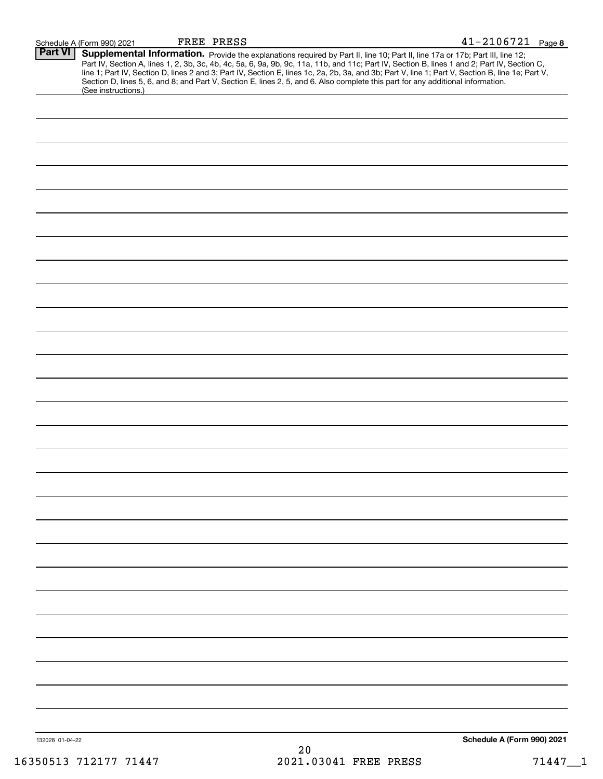| Schedule A (Form 990) 2021 | FREE | PRESS | $\mathbf{A}$ | 34007992<br>$-210672$ | Page 8 |
|----------------------------|------|-------|--------------|-----------------------|--------|
|                            |      |       |              |                       |        |

| <b>Part VI</b>  | Supplemental Information. Provide the explanations required by Part II, line 10; Part II, line 17a or 17b; Part III, line 12;<br>Part IV, Section A, lines 1, 2, 3b, 3c, 4b, 4c, 5a, 6, 9a, 9b, 9c, 11a, 11b, and 11c; Part IV, Section B, lines 1 and 2; Part IV, Section C,<br>line 1; Part IV, Section D, lines 2 and 3; Part IV, Section E, lines 1c, 2a, 2b, 3a, and 3b; Part V, line 1; Part V, Section B, line 1e; Part V,<br>Section D, lines 5, 6, and 8; and Part V, Section E, lines 2, 5, and 6. Also complete this part for any additional information.<br>(See instructions.) |    |                            |
|-----------------|---------------------------------------------------------------------------------------------------------------------------------------------------------------------------------------------------------------------------------------------------------------------------------------------------------------------------------------------------------------------------------------------------------------------------------------------------------------------------------------------------------------------------------------------------------------------------------------------|----|----------------------------|
|                 |                                                                                                                                                                                                                                                                                                                                                                                                                                                                                                                                                                                             |    |                            |
|                 |                                                                                                                                                                                                                                                                                                                                                                                                                                                                                                                                                                                             |    |                            |
|                 |                                                                                                                                                                                                                                                                                                                                                                                                                                                                                                                                                                                             |    |                            |
|                 |                                                                                                                                                                                                                                                                                                                                                                                                                                                                                                                                                                                             |    |                            |
|                 |                                                                                                                                                                                                                                                                                                                                                                                                                                                                                                                                                                                             |    |                            |
|                 |                                                                                                                                                                                                                                                                                                                                                                                                                                                                                                                                                                                             |    |                            |
|                 |                                                                                                                                                                                                                                                                                                                                                                                                                                                                                                                                                                                             |    |                            |
|                 |                                                                                                                                                                                                                                                                                                                                                                                                                                                                                                                                                                                             |    |                            |
|                 |                                                                                                                                                                                                                                                                                                                                                                                                                                                                                                                                                                                             |    |                            |
|                 |                                                                                                                                                                                                                                                                                                                                                                                                                                                                                                                                                                                             |    |                            |
|                 |                                                                                                                                                                                                                                                                                                                                                                                                                                                                                                                                                                                             |    |                            |
|                 |                                                                                                                                                                                                                                                                                                                                                                                                                                                                                                                                                                                             |    |                            |
|                 |                                                                                                                                                                                                                                                                                                                                                                                                                                                                                                                                                                                             |    |                            |
|                 |                                                                                                                                                                                                                                                                                                                                                                                                                                                                                                                                                                                             |    |                            |
|                 |                                                                                                                                                                                                                                                                                                                                                                                                                                                                                                                                                                                             |    |                            |
|                 |                                                                                                                                                                                                                                                                                                                                                                                                                                                                                                                                                                                             |    |                            |
|                 |                                                                                                                                                                                                                                                                                                                                                                                                                                                                                                                                                                                             |    |                            |
|                 |                                                                                                                                                                                                                                                                                                                                                                                                                                                                                                                                                                                             |    |                            |
|                 |                                                                                                                                                                                                                                                                                                                                                                                                                                                                                                                                                                                             |    |                            |
|                 |                                                                                                                                                                                                                                                                                                                                                                                                                                                                                                                                                                                             |    |                            |
|                 |                                                                                                                                                                                                                                                                                                                                                                                                                                                                                                                                                                                             |    |                            |
|                 |                                                                                                                                                                                                                                                                                                                                                                                                                                                                                                                                                                                             |    |                            |
|                 |                                                                                                                                                                                                                                                                                                                                                                                                                                                                                                                                                                                             |    |                            |
|                 |                                                                                                                                                                                                                                                                                                                                                                                                                                                                                                                                                                                             |    |                            |
|                 |                                                                                                                                                                                                                                                                                                                                                                                                                                                                                                                                                                                             |    |                            |
|                 |                                                                                                                                                                                                                                                                                                                                                                                                                                                                                                                                                                                             |    |                            |
|                 |                                                                                                                                                                                                                                                                                                                                                                                                                                                                                                                                                                                             |    |                            |
|                 |                                                                                                                                                                                                                                                                                                                                                                                                                                                                                                                                                                                             |    |                            |
|                 |                                                                                                                                                                                                                                                                                                                                                                                                                                                                                                                                                                                             |    |                            |
|                 |                                                                                                                                                                                                                                                                                                                                                                                                                                                                                                                                                                                             |    |                            |
|                 |                                                                                                                                                                                                                                                                                                                                                                                                                                                                                                                                                                                             |    |                            |
|                 |                                                                                                                                                                                                                                                                                                                                                                                                                                                                                                                                                                                             |    |                            |
| 132028 01-04-22 |                                                                                                                                                                                                                                                                                                                                                                                                                                                                                                                                                                                             |    | Schedule A (Form 990) 2021 |
|                 |                                                                                                                                                                                                                                                                                                                                                                                                                                                                                                                                                                                             | 20 |                            |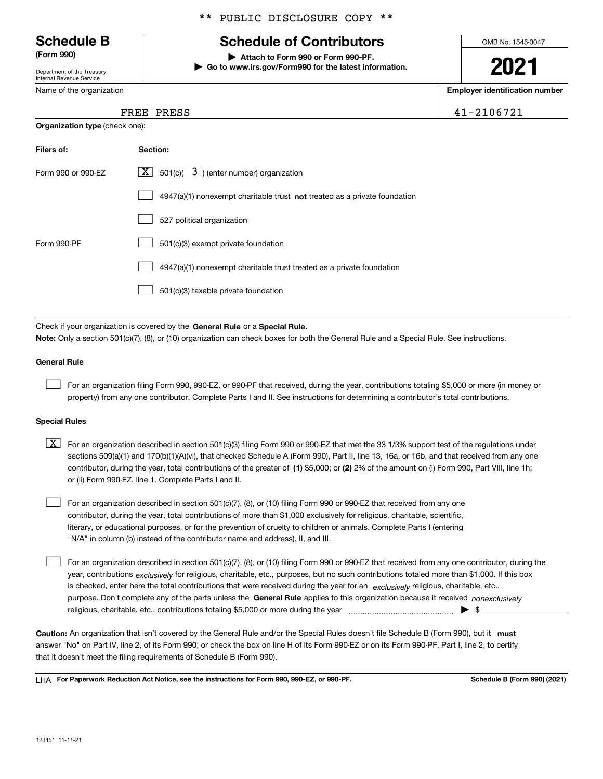Department of the Treasury Internal Revenue Service

Name of the organization

**Organization type** (check one):

\*\* PUBLIC DISCLOSURE COPY \*\*

## **Schedule B Schedule of Contributors**

**(Form 990) | Attach to Form 990 or Form 990-PF. | Go to www.irs.gov/Form990 for the latest information.** OMB No. 1545-0047

**2021**

**Employer identification number**

FREE PRESS 41-2106721

| FREE | PRESS |
|------|-------|
|      |       |

| Filers of:         | Section:                                                                  |
|--------------------|---------------------------------------------------------------------------|
| Form 990 or 990-EZ | $\lfloor \mathbf{X} \rfloor$ 501(c)( 3) (enter number) organization       |
|                    | 4947(a)(1) nonexempt charitable trust not treated as a private foundation |
|                    | 527 political organization                                                |
| Form 990-PF        | 501(c)(3) exempt private foundation                                       |
|                    | 4947(a)(1) nonexempt charitable trust treated as a private foundation     |
|                    | 501(c)(3) taxable private foundation                                      |

Check if your organization is covered by the **General Rule** or a **Special Rule. Note:**  Only a section 501(c)(7), (8), or (10) organization can check boxes for both the General Rule and a Special Rule. See instructions.

### **General Rule**

 $\mathcal{L}^{\text{max}}$ 

For an organization filing Form 990, 990-EZ, or 990-PF that received, during the year, contributions totaling \$5,000 or more (in money or property) from any one contributor. Complete Parts I and II. See instructions for determining a contributor's total contributions.

### **Special Rules**

contributor, during the year, total contributions of the greater of (1**)** \$5,000; or (2) 2% of the amount on (i) Form 990, Part VIII, line 1h;  $\boxed{\textbf{X}}$  For an organization described in section 501(c)(3) filing Form 990 or 990-EZ that met the 33 1/3% support test of the regulations under sections 509(a)(1) and 170(b)(1)(A)(vi), that checked Schedule A (Form 990), Part II, line 13, 16a, or 16b, and that received from any one or (ii) Form 990-EZ, line 1. Complete Parts I and II.

For an organization described in section 501(c)(7), (8), or (10) filing Form 990 or 990-EZ that received from any one contributor, during the year, total contributions of more than \$1,000 exclusively for religious, charitable, scientific, literary, or educational purposes, or for the prevention of cruelty to children or animals. Complete Parts I (entering "N/A" in column (b) instead of the contributor name and address), II, and III.  $\mathcal{L}^{\text{max}}$ 

purpose. Don't complete any of the parts unless the **General Rule** applies to this organization because it received *nonexclusively* year, contributions <sub>exclusively</sub> for religious, charitable, etc., purposes, but no such contributions totaled more than \$1,000. If this box is checked, enter here the total contributions that were received during the year for an  $\;$ exclusively religious, charitable, etc., For an organization described in section 501(c)(7), (8), or (10) filing Form 990 or 990-EZ that received from any one contributor, during the religious, charitable, etc., contributions totaling \$5,000 or more during the year  $\Box$ — $\Box$   $\Box$  $\mathcal{L}^{\text{max}}$ 

Caution: An organization that isn't covered by the General Rule and/or the Special Rules doesn't file Schedule B (Form 990), but it **must** answer "No" on Part IV, line 2, of its Form 990; or check the box on line H of its Form 990-EZ or on its Form 990-PF, Part I, line 2, to certify that it doesn't meet the filing requirements of Schedule B (Form 990).

LHA For Paperwork Reduction Act Notice, see the instructions for Form 990, 990-EZ, or 990-PF. **In the act and Schedule B** (Form 990) (2021)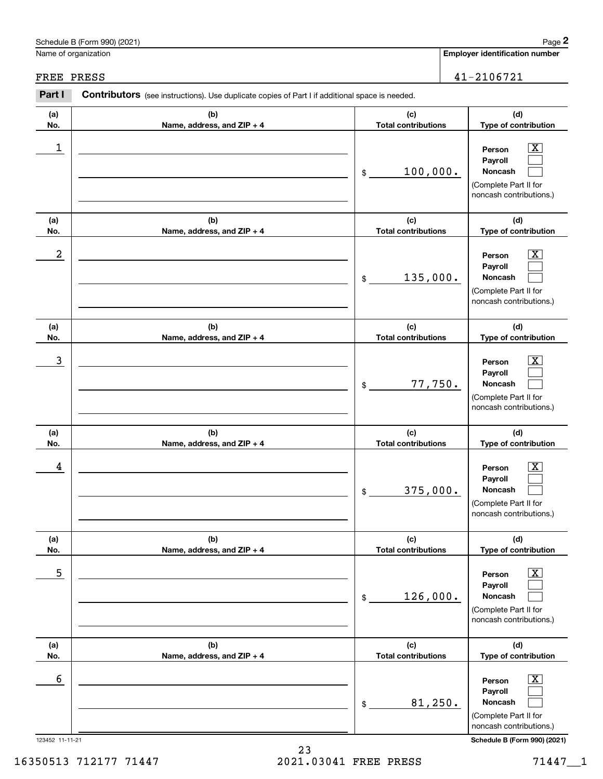|            | Schedule B (Form 990) (2021)                                                                   |                                   | Page 2                                                                                                      |
|------------|------------------------------------------------------------------------------------------------|-----------------------------------|-------------------------------------------------------------------------------------------------------------|
|            | Name of organization                                                                           |                                   | <b>Employer identification number</b>                                                                       |
| FREE PRESS |                                                                                                |                                   | 41-2106721                                                                                                  |
| Part I     | Contributors (see instructions). Use duplicate copies of Part I if additional space is needed. |                                   |                                                                                                             |
| (a)<br>No. | (b)<br>Name, address, and ZIP + 4                                                              | (c)<br><b>Total contributions</b> | (d)<br>Type of contribution                                                                                 |
| 1          |                                                                                                | 100,000.<br>\$                    | x<br>Person<br>Payroll<br><b>Noncash</b><br>(Complete Part II for<br>noncash contributions.)                |
| (a)<br>No. | (b)<br>Name, address, and ZIP + 4                                                              | (c)<br><b>Total contributions</b> | (d)<br>Type of contribution                                                                                 |
| 2          |                                                                                                | 135,000.<br>\$                    | х<br>Person<br>Payroll<br><b>Noncash</b><br>(Complete Part II for<br>noncash contributions.)                |
| (a)<br>No. | (b)<br>Name, address, and ZIP + 4                                                              | (c)<br><b>Total contributions</b> | (d)<br>Type of contribution                                                                                 |
| 3          |                                                                                                | 77,750.<br>\$                     | х<br>Person<br>Payroll<br><b>Noncash</b><br>(Complete Part II for<br>noncash contributions.)                |
| (a)<br>No. | (b)<br>Name, address, and ZIP + 4                                                              | (c)<br><b>Total contributions</b> | (d)<br>Type of contribution                                                                                 |
| 4          |                                                                                                | 375,000.<br>\$                    | $\boxed{\text{X}}$<br>Person<br>Payroll<br>Noncash<br>(Complete Part II for<br>noncash contributions.)      |
| (a)<br>No. | (b)<br>Name, address, and ZIP + 4                                                              | (c)<br><b>Total contributions</b> | (d)<br>Type of contribution                                                                                 |
| 5          |                                                                                                | 126,000.<br>$$\circ$$             | $\mathbf{X}$<br>Person<br>Payroll<br>Noncash<br>(Complete Part II for<br>noncash contributions.)            |
| (a)<br>No. | (b)<br>Name, address, and ZIP + 4                                                              | (c)<br><b>Total contributions</b> | (d)<br>Type of contribution                                                                                 |
| 6          |                                                                                                | 81,250.<br>\$                     | $\overline{\mathbf{X}}$<br>Person<br>Payroll<br>Noncash<br>(Complete Part II for<br>noncash contributions.) |

123452 11-11-21 **Schedule B (Form 990) (2021)**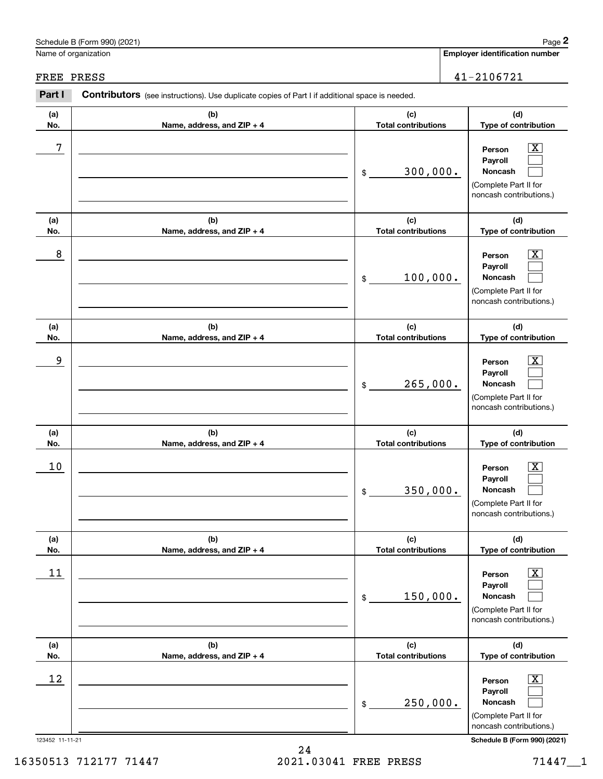|                       | Schedule B (Form 990) (2021)                                                                          |                                   | Page 2                                                                                                                                      |
|-----------------------|-------------------------------------------------------------------------------------------------------|-----------------------------------|---------------------------------------------------------------------------------------------------------------------------------------------|
| Name of organization  |                                                                                                       |                                   | <b>Employer identification number</b>                                                                                                       |
| FREE PRESS            |                                                                                                       |                                   | 41-2106721                                                                                                                                  |
| Part I                | <b>Contributors</b> (see instructions). Use duplicate copies of Part I if additional space is needed. |                                   |                                                                                                                                             |
| (a)<br>No.            | (b)<br>Name, address, and ZIP + 4                                                                     | (c)<br><b>Total contributions</b> | (d)<br>Type of contribution                                                                                                                 |
| 7                     |                                                                                                       | 300,000.<br>\$                    | $\overline{\texttt{X}}$<br>Person<br>Payroll<br>Noncash<br>(Complete Part II for<br>noncash contributions.)                                 |
| (a)<br>No.            | (b)<br>Name, address, and ZIP + 4                                                                     | (c)<br><b>Total contributions</b> | (d)<br>Type of contribution                                                                                                                 |
| 8                     |                                                                                                       | 100,000.<br>\$                    | $\overline{\mathbf{X}}$<br>Person<br>Payroll<br>Noncash<br>(Complete Part II for<br>noncash contributions.)                                 |
| (a)<br>No.            | (b)<br>Name, address, and ZIP + 4                                                                     | (c)<br><b>Total contributions</b> | (d)<br>Type of contribution                                                                                                                 |
| 9                     |                                                                                                       | 265,000.<br>\$                    | $\overline{\mathbf{X}}$<br>Person<br>Payroll<br>Noncash<br>(Complete Part II for<br>noncash contributions.)                                 |
| (a)<br>No.            | (b)<br>Name, address, and ZIP + 4                                                                     | (c)<br><b>Total contributions</b> | (d)<br>Type of contribution                                                                                                                 |
| 10                    |                                                                                                       | 350,000.<br>\$                    | $\overline{\mathbf{X}}$<br>Person<br>Payroll<br>Noncash<br>(Complete Part II for<br>noncash contributions.)                                 |
| (a)<br>No.            | (b)<br>Name, address, and ZIP + 4                                                                     | (c)<br><b>Total contributions</b> | (d)<br>Type of contribution                                                                                                                 |
| 11                    |                                                                                                       | 150,000.<br>\$                    | $\boxed{\text{X}}$<br>Person<br>Payroll<br>Noncash<br>(Complete Part II for<br>noncash contributions.)                                      |
| (a)<br>No.            | (b)<br>Name, address, and ZIP + 4                                                                     | (c)<br><b>Total contributions</b> | (d)<br>Type of contribution                                                                                                                 |
| 12<br>123452 11-11-21 |                                                                                                       | 250,000.<br>\$                    | $\overline{\mathbf{X}}$<br>Person<br>Payroll<br>Noncash<br>(Complete Part II for<br>noncash contributions.)<br>Schedule B (Form 990) (2021) |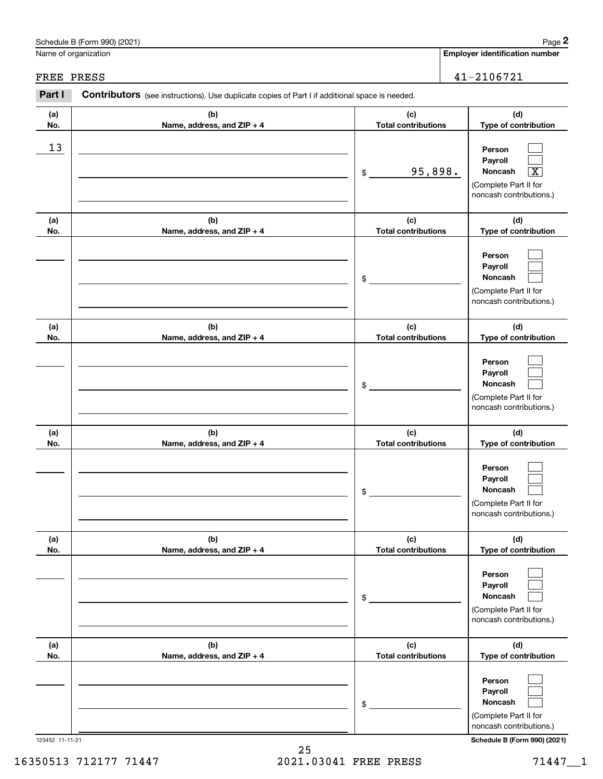|            | Schedule B (Form 990) (2021)                                                                   |                                   | Page 2                                                                                                      |
|------------|------------------------------------------------------------------------------------------------|-----------------------------------|-------------------------------------------------------------------------------------------------------------|
|            | Name of organization                                                                           |                                   | <b>Employer identification number</b>                                                                       |
| FREE PRESS |                                                                                                |                                   | 41-2106721                                                                                                  |
| Part I     | Contributors (see instructions). Use duplicate copies of Part I if additional space is needed. |                                   |                                                                                                             |
| (a)<br>No. | (b)<br>Name, address, and ZIP + 4                                                              | (c)<br><b>Total contributions</b> | (d)<br>Type of contribution                                                                                 |
| 13         |                                                                                                | 95,898.<br>\$                     | Person<br>Payroll<br>Noncash<br>$\overline{\texttt{x}}$<br>(Complete Part II for<br>noncash contributions.) |
| (a)<br>No. | (b)<br>Name, address, and ZIP + 4                                                              | (c)<br><b>Total contributions</b> | (d)<br>Type of contribution                                                                                 |
|            |                                                                                                | \$                                | Person<br>Payroll<br>Noncash<br>(Complete Part II for<br>noncash contributions.)                            |
| (a)<br>No. | (b)<br>Name, address, and ZIP + 4                                                              | (c)<br><b>Total contributions</b> | (d)<br>Type of contribution                                                                                 |
|            |                                                                                                | \$                                | Person<br>Payroll<br>Noncash<br>(Complete Part II for<br>noncash contributions.)                            |
| (a)<br>No. | (b)<br>Name, address, and ZIP + 4                                                              | (c)<br><b>Total contributions</b> | (d)<br>Type of contribution                                                                                 |
|            |                                                                                                | \$                                | Person<br>Payroll<br>Noncash<br>(Complete Part II for<br>noncash contributions.)                            |
| (a)<br>No. | (b)<br>Name, address, and ZIP + 4                                                              | (c)<br><b>Total contributions</b> | (d)<br>Type of contribution                                                                                 |
|            |                                                                                                | \$                                | Person<br>Payroll<br>Noncash<br>(Complete Part II for<br>noncash contributions.)                            |
| (a)<br>No. | (b)<br>Name, address, and ZIP + 4                                                              | (c)<br><b>Total contributions</b> | (d)<br>Type of contribution                                                                                 |
|            |                                                                                                | \$                                | Person<br>Payroll<br>Noncash<br>(Complete Part II for<br>noncash contributions.)                            |

123452 11-11-21 **Schedule B (Form 990) (2021)**

# Schedule B (Form 990) (2021) Page 2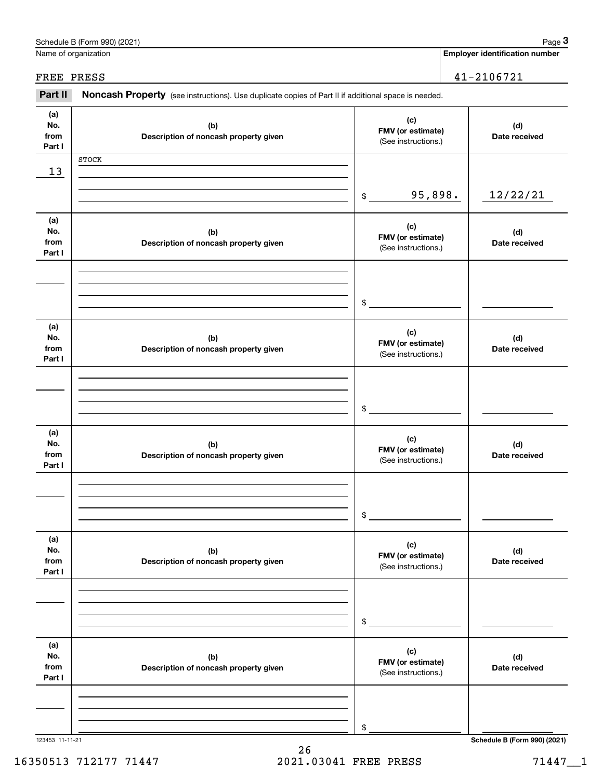|                              | Schedule B (Form 990) (2021)                                                                        |                                                 | Page 3                                |
|------------------------------|-----------------------------------------------------------------------------------------------------|-------------------------------------------------|---------------------------------------|
|                              | Name of organization                                                                                |                                                 | <b>Employer identification number</b> |
| FREE PRESS                   |                                                                                                     |                                                 | 41-2106721                            |
| Part II                      | Noncash Property (see instructions). Use duplicate copies of Part II if additional space is needed. |                                                 |                                       |
| (a)<br>No.<br>from<br>Part I | (b)<br>Description of noncash property given                                                        | (c)<br>FMV (or estimate)<br>(See instructions.) | (d)<br>Date received                  |
|                              | <b>STOCK</b>                                                                                        |                                                 |                                       |
| 13                           |                                                                                                     |                                                 |                                       |
|                              |                                                                                                     | 95,898.<br>\$                                   | 12/22/21                              |
| (a)<br>No.<br>from<br>Part I | (b)<br>Description of noncash property given                                                        | (c)<br>FMV (or estimate)<br>(See instructions.) | (d)<br>Date received                  |
|                              |                                                                                                     |                                                 |                                       |
|                              |                                                                                                     | \$                                              |                                       |
| (a)<br>No.<br>from<br>Part I | (b)<br>Description of noncash property given                                                        | (c)<br>FMV (or estimate)<br>(See instructions.) | (d)<br>Date received                  |
|                              |                                                                                                     |                                                 |                                       |
|                              |                                                                                                     | \$                                              |                                       |
| (a)<br>No.<br>from<br>Part I | (b)<br>Description of noncash property given                                                        | (c)<br>FMV (or estimate)<br>(See instructions.) | (d)<br>Date received                  |
|                              |                                                                                                     |                                                 |                                       |
|                              |                                                                                                     | \$                                              |                                       |
| (a)<br>No.<br>from<br>Part I | (b)<br>Description of noncash property given                                                        | (c)<br>FMV (or estimate)<br>(See instructions.) | (d)<br>Date received                  |
|                              |                                                                                                     |                                                 |                                       |
|                              |                                                                                                     | \$                                              |                                       |
| (a)<br>No.<br>from<br>Part I | (b)<br>Description of noncash property given                                                        | (c)<br>FMV (or estimate)<br>(See instructions.) | (d)<br>Date received                  |
|                              |                                                                                                     |                                                 |                                       |
|                              |                                                                                                     |                                                 |                                       |
| 123453 11-11-21              |                                                                                                     | \$                                              | Schedule B (Form 990) (2021)          |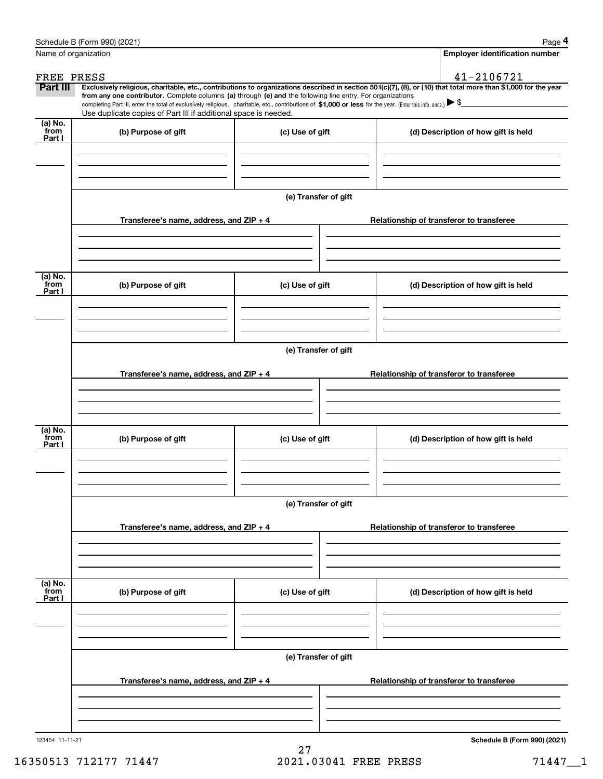|                           | Schedule B (Form 990) (2021)                                                                                                                                                                                                                                                                    |                      | Page 4                                                                                                                                                         |  |  |  |
|---------------------------|-------------------------------------------------------------------------------------------------------------------------------------------------------------------------------------------------------------------------------------------------------------------------------------------------|----------------------|----------------------------------------------------------------------------------------------------------------------------------------------------------------|--|--|--|
|                           | Name of organization                                                                                                                                                                                                                                                                            |                      | <b>Employer identification number</b>                                                                                                                          |  |  |  |
| FREE PRESS                |                                                                                                                                                                                                                                                                                                 |                      | 41-2106721                                                                                                                                                     |  |  |  |
| Part III                  |                                                                                                                                                                                                                                                                                                 |                      | Exclusively religious, charitable, etc., contributions to organizations described in section 501(c)(7), (8), or (10) that total more than \$1,000 for the year |  |  |  |
|                           | from any one contributor. Complete columns (a) through (e) and the following line entry. For organizations<br>completing Part III, enter the total of exclusively religious, charitable, etc., contributions of \$1,000 or less for the year. (Enter this info. once.) $\blacktriangleright$ \$ |                      |                                                                                                                                                                |  |  |  |
|                           | Use duplicate copies of Part III if additional space is needed.                                                                                                                                                                                                                                 |                      |                                                                                                                                                                |  |  |  |
| (a) No.<br>from<br>Part I | (b) Purpose of gift                                                                                                                                                                                                                                                                             | (c) Use of gift      | (d) Description of how gift is held                                                                                                                            |  |  |  |
|                           |                                                                                                                                                                                                                                                                                                 |                      |                                                                                                                                                                |  |  |  |
|                           |                                                                                                                                                                                                                                                                                                 | (e) Transfer of gift |                                                                                                                                                                |  |  |  |
|                           | Transferee's name, address, and ZIP + 4                                                                                                                                                                                                                                                         |                      | Relationship of transferor to transferee                                                                                                                       |  |  |  |
|                           |                                                                                                                                                                                                                                                                                                 |                      |                                                                                                                                                                |  |  |  |
| (a) No.                   |                                                                                                                                                                                                                                                                                                 |                      |                                                                                                                                                                |  |  |  |
| from<br>Part I            | (b) Purpose of gift                                                                                                                                                                                                                                                                             | (c) Use of gift      | (d) Description of how gift is held                                                                                                                            |  |  |  |
|                           |                                                                                                                                                                                                                                                                                                 |                      |                                                                                                                                                                |  |  |  |
|                           | (e) Transfer of gift                                                                                                                                                                                                                                                                            |                      |                                                                                                                                                                |  |  |  |
|                           | Transferee's name, address, and ZIP + 4                                                                                                                                                                                                                                                         |                      | Relationship of transferor to transferee                                                                                                                       |  |  |  |
|                           |                                                                                                                                                                                                                                                                                                 |                      |                                                                                                                                                                |  |  |  |
| (a) No.                   |                                                                                                                                                                                                                                                                                                 |                      |                                                                                                                                                                |  |  |  |
| from<br>Part I            | (b) Purpose of gift                                                                                                                                                                                                                                                                             | (c) Use of gift      | (d) Description of how gift is held                                                                                                                            |  |  |  |
|                           |                                                                                                                                                                                                                                                                                                 |                      |                                                                                                                                                                |  |  |  |
|                           | (e) Transfer of gift                                                                                                                                                                                                                                                                            |                      |                                                                                                                                                                |  |  |  |
|                           | Transferee's name, address, and ZIP + 4                                                                                                                                                                                                                                                         |                      | Relationship of transferor to transferee                                                                                                                       |  |  |  |
|                           |                                                                                                                                                                                                                                                                                                 |                      |                                                                                                                                                                |  |  |  |
|                           |                                                                                                                                                                                                                                                                                                 |                      |                                                                                                                                                                |  |  |  |
| (a) No.<br>from<br>Part I | (b) Purpose of gift                                                                                                                                                                                                                                                                             | (c) Use of gift      | (d) Description of how gift is held                                                                                                                            |  |  |  |
|                           |                                                                                                                                                                                                                                                                                                 |                      |                                                                                                                                                                |  |  |  |
|                           |                                                                                                                                                                                                                                                                                                 |                      |                                                                                                                                                                |  |  |  |
|                           |                                                                                                                                                                                                                                                                                                 | (e) Transfer of gift |                                                                                                                                                                |  |  |  |
|                           | Transferee's name, address, and ZIP + 4                                                                                                                                                                                                                                                         |                      | Relationship of transferor to transferee                                                                                                                       |  |  |  |
|                           |                                                                                                                                                                                                                                                                                                 |                      |                                                                                                                                                                |  |  |  |
| 123454 11-11-21           |                                                                                                                                                                                                                                                                                                 |                      | Schedule B (Form 990) (2021)                                                                                                                                   |  |  |  |

27 16350513 712177 71447 2021.03041 FREE PRESS 71447\_\_1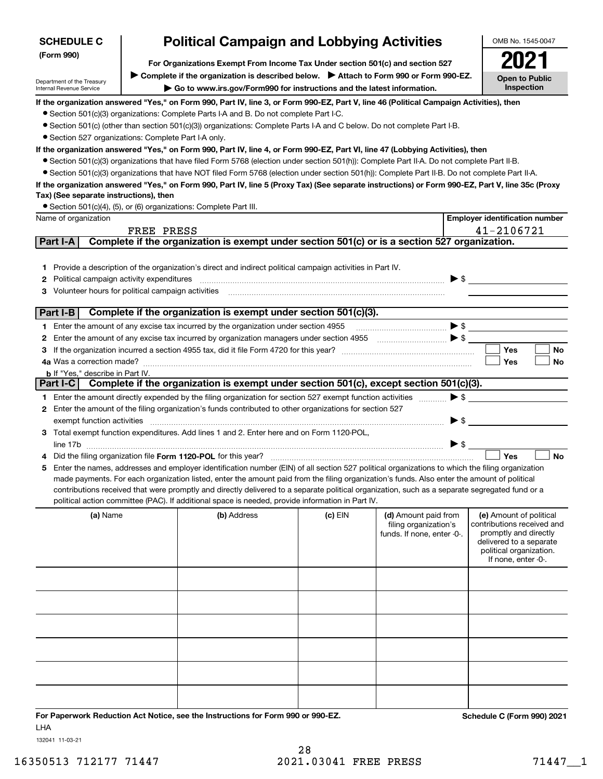| <b>SCHEDULE C</b>                                      |                                                                               | <b>Political Campaign and Lobbying Activities</b>                                                                                                                                                                                                                                                   |           |                                                                                                                                                                                                                                                                                                                                                     |                          | OMB No. 1545-0047                                |  |
|--------------------------------------------------------|-------------------------------------------------------------------------------|-----------------------------------------------------------------------------------------------------------------------------------------------------------------------------------------------------------------------------------------------------------------------------------------------------|-----------|-----------------------------------------------------------------------------------------------------------------------------------------------------------------------------------------------------------------------------------------------------------------------------------------------------------------------------------------------------|--------------------------|--------------------------------------------------|--|
| (Form 990)                                             | For Organizations Exempt From Income Tax Under section 501(c) and section 527 |                                                                                                                                                                                                                                                                                                     |           |                                                                                                                                                                                                                                                                                                                                                     |                          |                                                  |  |
|                                                        |                                                                               | ▶ Complete if the organization is described below. ▶ Attach to Form 990 or Form 990-EZ.                                                                                                                                                                                                             |           |                                                                                                                                                                                                                                                                                                                                                     |                          |                                                  |  |
| Department of the Treasury<br>Internal Revenue Service | <b>Open to Public</b><br>Inspection                                           |                                                                                                                                                                                                                                                                                                     |           |                                                                                                                                                                                                                                                                                                                                                     |                          |                                                  |  |
|                                                        |                                                                               | If the organization answered "Yes," on Form 990, Part IV, line 3, or Form 990-EZ, Part V, line 46 (Political Campaign Activities), then                                                                                                                                                             |           |                                                                                                                                                                                                                                                                                                                                                     |                          |                                                  |  |
|                                                        |                                                                               | • Section 501(c)(3) organizations: Complete Parts I-A and B. Do not complete Part I-C.                                                                                                                                                                                                              |           |                                                                                                                                                                                                                                                                                                                                                     |                          |                                                  |  |
|                                                        |                                                                               | • Section 501(c) (other than section 501(c)(3)) organizations: Complete Parts I-A and C below. Do not complete Part I-B.                                                                                                                                                                            |           |                                                                                                                                                                                                                                                                                                                                                     |                          |                                                  |  |
| • Section 527 organizations: Complete Part I-A only.   |                                                                               |                                                                                                                                                                                                                                                                                                     |           |                                                                                                                                                                                                                                                                                                                                                     |                          |                                                  |  |
|                                                        |                                                                               | If the organization answered "Yes," on Form 990, Part IV, line 4, or Form 990-EZ, Part VI, line 47 (Lobbying Activities), then                                                                                                                                                                      |           |                                                                                                                                                                                                                                                                                                                                                     |                          |                                                  |  |
|                                                        |                                                                               | • Section 501(c)(3) organizations that have filed Form 5768 (election under section 501(h)): Complete Part II-A. Do not complete Part II-B.                                                                                                                                                         |           |                                                                                                                                                                                                                                                                                                                                                     |                          |                                                  |  |
|                                                        |                                                                               | • Section 501(c)(3) organizations that have NOT filed Form 5768 (election under section 501(h)): Complete Part II-B. Do not complete Part II-A.<br>If the organization answered "Yes," on Form 990, Part IV, line 5 (Proxy Tax) (See separate instructions) or Form 990-EZ, Part V, line 35c (Proxy |           |                                                                                                                                                                                                                                                                                                                                                     |                          |                                                  |  |
| Tax) (See separate instructions), then                 |                                                                               |                                                                                                                                                                                                                                                                                                     |           |                                                                                                                                                                                                                                                                                                                                                     |                          |                                                  |  |
|                                                        |                                                                               | • Section 501(c)(4), (5), or (6) organizations: Complete Part III.                                                                                                                                                                                                                                  |           |                                                                                                                                                                                                                                                                                                                                                     |                          |                                                  |  |
| Name of organization                                   |                                                                               |                                                                                                                                                                                                                                                                                                     |           |                                                                                                                                                                                                                                                                                                                                                     |                          | <b>Employer identification number</b>            |  |
|                                                        | FREE PRESS                                                                    |                                                                                                                                                                                                                                                                                                     |           |                                                                                                                                                                                                                                                                                                                                                     |                          | 41-2106721                                       |  |
| Part I-A                                               |                                                                               | Complete if the organization is exempt under section 501(c) or is a section 527 organization.                                                                                                                                                                                                       |           |                                                                                                                                                                                                                                                                                                                                                     |                          |                                                  |  |
|                                                        |                                                                               |                                                                                                                                                                                                                                                                                                     |           |                                                                                                                                                                                                                                                                                                                                                     |                          |                                                  |  |
|                                                        |                                                                               | 1 Provide a description of the organization's direct and indirect political campaign activities in Part IV.                                                                                                                                                                                         |           |                                                                                                                                                                                                                                                                                                                                                     |                          |                                                  |  |
| Political campaign activity expenditures<br>2          |                                                                               |                                                                                                                                                                                                                                                                                                     |           |                                                                                                                                                                                                                                                                                                                                                     | $\blacktriangleright$ \$ |                                                  |  |
| Volunteer hours for political campaign activities<br>з |                                                                               |                                                                                                                                                                                                                                                                                                     |           |                                                                                                                                                                                                                                                                                                                                                     |                          |                                                  |  |
| Part I-B                                               |                                                                               | Complete if the organization is exempt under section 501(c)(3).                                                                                                                                                                                                                                     |           |                                                                                                                                                                                                                                                                                                                                                     |                          |                                                  |  |
|                                                        |                                                                               | 1 Enter the amount of any excise tax incurred by the organization under section 4955                                                                                                                                                                                                                |           |                                                                                                                                                                                                                                                                                                                                                     | $\blacktriangleright$ \$ |                                                  |  |
| 2                                                      |                                                                               | Enter the amount of any excise tax incurred by organization managers under section 4955                                                                                                                                                                                                             |           | $\begin{picture}(20,10) \put(0,0){\line(1,0){10}} \put(15,0){\line(1,0){10}} \put(15,0){\line(1,0){10}} \put(15,0){\line(1,0){10}} \put(15,0){\line(1,0){10}} \put(15,0){\line(1,0){10}} \put(15,0){\line(1,0){10}} \put(15,0){\line(1,0){10}} \put(15,0){\line(1,0){10}} \put(15,0){\line(1,0){10}} \put(15,0){\line(1,0){10}} \put(15,0){\line(1$ |                          |                                                  |  |
| 3                                                      |                                                                               |                                                                                                                                                                                                                                                                                                     |           |                                                                                                                                                                                                                                                                                                                                                     |                          | Yes<br>No                                        |  |
| 4a Was a correction made?                              |                                                                               |                                                                                                                                                                                                                                                                                                     |           |                                                                                                                                                                                                                                                                                                                                                     |                          | Yes<br>No                                        |  |
| <b>b</b> If "Yes," describe in Part IV.                |                                                                               |                                                                                                                                                                                                                                                                                                     |           |                                                                                                                                                                                                                                                                                                                                                     |                          |                                                  |  |
| Part I-C                                               |                                                                               | Complete if the organization is exempt under section 501(c), except section 501(c)(3).                                                                                                                                                                                                              |           |                                                                                                                                                                                                                                                                                                                                                     |                          |                                                  |  |
|                                                        |                                                                               | 1 Enter the amount directly expended by the filing organization for section 527 exempt function activities                                                                                                                                                                                          |           |                                                                                                                                                                                                                                                                                                                                                     | $\blacktriangleright$ \$ |                                                  |  |
|                                                        |                                                                               | 2 Enter the amount of the filing organization's funds contributed to other organizations for section 527                                                                                                                                                                                            |           |                                                                                                                                                                                                                                                                                                                                                     |                          |                                                  |  |
| exempt function activities                             |                                                                               |                                                                                                                                                                                                                                                                                                     |           |                                                                                                                                                                                                                                                                                                                                                     | $\blacktriangleright$ \$ |                                                  |  |
|                                                        |                                                                               | 3 Total exempt function expenditures. Add lines 1 and 2. Enter here and on Form 1120-POL,                                                                                                                                                                                                           |           |                                                                                                                                                                                                                                                                                                                                                     |                          |                                                  |  |
| line 17b                                               |                                                                               |                                                                                                                                                                                                                                                                                                     |           |                                                                                                                                                                                                                                                                                                                                                     | $\blacktriangleright$ \$ |                                                  |  |
|                                                        |                                                                               | Did the filing organization file Form 1120-POL for this year?                                                                                                                                                                                                                                       |           |                                                                                                                                                                                                                                                                                                                                                     |                          | <b>No</b><br>Yes                                 |  |
| 5.                                                     |                                                                               | Enter the names, addresses and employer identification number (EIN) of all section 527 political organizations to which the filing organization<br>made payments. For each organization listed, enter the amount paid from the filing organization's funds. Also enter the amount of political      |           |                                                                                                                                                                                                                                                                                                                                                     |                          |                                                  |  |
|                                                        |                                                                               | contributions received that were promptly and directly delivered to a separate political organization, such as a separate segregated fund or a                                                                                                                                                      |           |                                                                                                                                                                                                                                                                                                                                                     |                          |                                                  |  |
|                                                        |                                                                               | political action committee (PAC). If additional space is needed, provide information in Part IV.                                                                                                                                                                                                    |           |                                                                                                                                                                                                                                                                                                                                                     |                          |                                                  |  |
| (a) Name                                               |                                                                               | (b) Address                                                                                                                                                                                                                                                                                         | $(c)$ EIN | (d) Amount paid from                                                                                                                                                                                                                                                                                                                                |                          | (e) Amount of political                          |  |
|                                                        |                                                                               |                                                                                                                                                                                                                                                                                                     |           | filing organization's                                                                                                                                                                                                                                                                                                                               |                          | contributions received and                       |  |
|                                                        |                                                                               |                                                                                                                                                                                                                                                                                                     |           | funds. If none, enter -0-.                                                                                                                                                                                                                                                                                                                          |                          | promptly and directly<br>delivered to a separate |  |
|                                                        |                                                                               |                                                                                                                                                                                                                                                                                                     |           |                                                                                                                                                                                                                                                                                                                                                     |                          | political organization.                          |  |
|                                                        |                                                                               |                                                                                                                                                                                                                                                                                                     |           |                                                                                                                                                                                                                                                                                                                                                     |                          | If none, enter -0-.                              |  |
|                                                        |                                                                               |                                                                                                                                                                                                                                                                                                     |           |                                                                                                                                                                                                                                                                                                                                                     |                          |                                                  |  |
|                                                        |                                                                               |                                                                                                                                                                                                                                                                                                     |           |                                                                                                                                                                                                                                                                                                                                                     |                          |                                                  |  |
|                                                        |                                                                               |                                                                                                                                                                                                                                                                                                     |           |                                                                                                                                                                                                                                                                                                                                                     |                          |                                                  |  |
|                                                        |                                                                               |                                                                                                                                                                                                                                                                                                     |           |                                                                                                                                                                                                                                                                                                                                                     |                          |                                                  |  |
|                                                        |                                                                               |                                                                                                                                                                                                                                                                                                     |           |                                                                                                                                                                                                                                                                                                                                                     |                          |                                                  |  |
|                                                        |                                                                               |                                                                                                                                                                                                                                                                                                     |           |                                                                                                                                                                                                                                                                                                                                                     |                          |                                                  |  |
|                                                        |                                                                               |                                                                                                                                                                                                                                                                                                     |           |                                                                                                                                                                                                                                                                                                                                                     |                          |                                                  |  |
|                                                        |                                                                               |                                                                                                                                                                                                                                                                                                     |           |                                                                                                                                                                                                                                                                                                                                                     |                          |                                                  |  |
|                                                        |                                                                               |                                                                                                                                                                                                                                                                                                     |           |                                                                                                                                                                                                                                                                                                                                                     |                          |                                                  |  |
|                                                        |                                                                               |                                                                                                                                                                                                                                                                                                     |           |                                                                                                                                                                                                                                                                                                                                                     |                          |                                                  |  |
|                                                        |                                                                               |                                                                                                                                                                                                                                                                                                     |           |                                                                                                                                                                                                                                                                                                                                                     |                          |                                                  |  |
|                                                        |                                                                               | For Paperwork Reduction Act Notice, see the Instructions for Form 000 or 000-F7                                                                                                                                                                                                                     |           |                                                                                                                                                                                                                                                                                                                                                     |                          | Schedule C (Form 990) 2021                       |  |

28

**For Paperwork Reduction Act Notice, see the Instructions for Form 990 or 990-EZ. Schedule C (Form 990) 2021** LHA

132041 11-03-21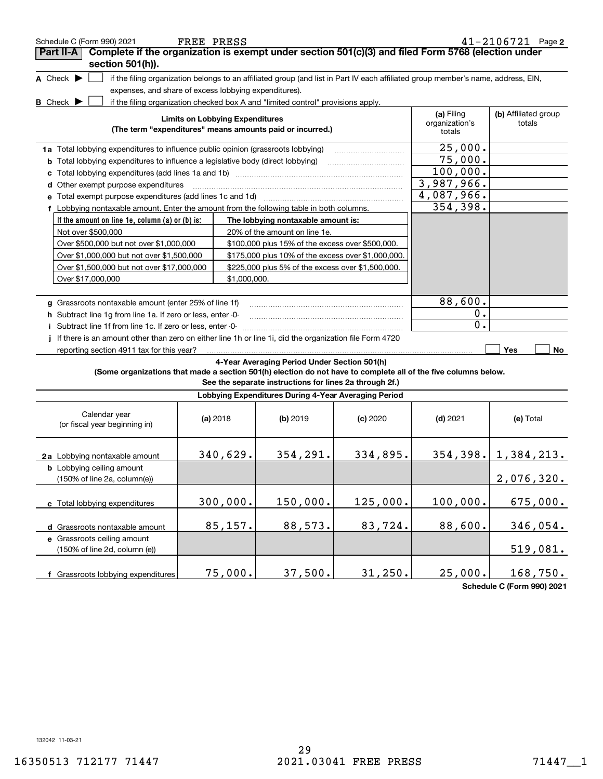| Schedule C (Form 990) 2021                                                                                                                  | FREE PRESS                                                                                                                        |                                                                     |          |                                        | $41 - 2106721$ Page 2          |
|---------------------------------------------------------------------------------------------------------------------------------------------|-----------------------------------------------------------------------------------------------------------------------------------|---------------------------------------------------------------------|----------|----------------------------------------|--------------------------------|
| Complete if the organization is exempt under section 501(c)(3) and filed Form 5768 (election under<br>Part II-A                             |                                                                                                                                   |                                                                     |          |                                        |                                |
| section 501(h)).                                                                                                                            |                                                                                                                                   |                                                                     |          |                                        |                                |
| A Check $\blacktriangleright$                                                                                                               | if the filing organization belongs to an affiliated group (and list in Part IV each affiliated group member's name, address, EIN, |                                                                     |          |                                        |                                |
|                                                                                                                                             | expenses, and share of excess lobbying expenditures).                                                                             |                                                                     |          |                                        |                                |
| <b>B</b> Check $\blacktriangleright$                                                                                                        | if the filing organization checked box A and "limited control" provisions apply.                                                  |                                                                     |          |                                        |                                |
|                                                                                                                                             | <b>Limits on Lobbying Expenditures</b><br>(The term "expenditures" means amounts paid or incurred.)                               |                                                                     |          | (a) Filing<br>organization's<br>totals | (b) Affiliated group<br>totals |
|                                                                                                                                             |                                                                                                                                   |                                                                     |          | 25,000.                                |                                |
| 1a Total lobbying expenditures to influence public opinion (grassroots lobbying)                                                            |                                                                                                                                   |                                                                     |          | 75,000.                                |                                |
| <b>b</b> Total lobbying expenditures to influence a legislative body (direct lobbying)                                                      |                                                                                                                                   |                                                                     |          | 100,000.                               |                                |
| c                                                                                                                                           |                                                                                                                                   |                                                                     |          | 3,987,966.                             |                                |
| d Other exempt purpose expenditures                                                                                                         |                                                                                                                                   |                                                                     |          | 4,087,966.                             |                                |
|                                                                                                                                             |                                                                                                                                   |                                                                     |          | 354,398.                               |                                |
| f Lobbying nontaxable amount. Enter the amount from the following table in both columns.<br>If the amount on line 1e, column (a) or (b) is: |                                                                                                                                   |                                                                     |          |                                        |                                |
| Not over \$500,000                                                                                                                          |                                                                                                                                   | The lobbying nontaxable amount is:<br>20% of the amount on line 1e. |          |                                        |                                |
| Over \$500,000 but not over \$1,000,000                                                                                                     |                                                                                                                                   | \$100,000 plus 15% of the excess over \$500,000.                    |          |                                        |                                |
| Over \$1,000,000 but not over \$1,500,000                                                                                                   |                                                                                                                                   | \$175,000 plus 10% of the excess over \$1,000,000.                  |          |                                        |                                |
| Over \$1,500,000 but not over \$17,000,000                                                                                                  |                                                                                                                                   | \$225,000 plus 5% of the excess over \$1,500,000.                   |          |                                        |                                |
| Over \$17,000,000                                                                                                                           | \$1,000,000.                                                                                                                      |                                                                     |          |                                        |                                |
|                                                                                                                                             |                                                                                                                                   |                                                                     |          |                                        |                                |
| g Grassroots nontaxable amount (enter 25% of line 1f)                                                                                       |                                                                                                                                   |                                                                     |          | 88,600.                                |                                |
| h Subtract line 1g from line 1a. If zero or less, enter -0-                                                                                 |                                                                                                                                   |                                                                     |          | $0$ .                                  |                                |
| Subtract line 1f from line 1c. If zero or less, enter -0-                                                                                   |                                                                                                                                   |                                                                     |          | 0.                                     |                                |
| If there is an amount other than zero on either line 1h or line 1i, did the organization file Form 4720                                     |                                                                                                                                   |                                                                     |          |                                        |                                |
| reporting section 4911 tax for this year?                                                                                                   |                                                                                                                                   |                                                                     |          |                                        | Yes<br>No                      |
|                                                                                                                                             |                                                                                                                                   | 4-Year Averaging Period Under Section 501(h)                        |          |                                        |                                |
| (Some organizations that made a section 501(h) election do not have to complete all of the five columns below.                              |                                                                                                                                   | See the separate instructions for lines 2a through 2f.)             |          |                                        |                                |
|                                                                                                                                             |                                                                                                                                   | Lobbying Expenditures During 4-Year Averaging Period                |          |                                        |                                |
| Calendar year                                                                                                                               | (a) 2018                                                                                                                          | (b) 2019                                                            | (c) 2020 | $(d)$ 2021                             | (e) Total                      |
| (or fiscal year beginning in)                                                                                                               |                                                                                                                                   |                                                                     |          |                                        |                                |
|                                                                                                                                             |                                                                                                                                   |                                                                     |          |                                        |                                |
| 2a Lobbying nontaxable amount                                                                                                               | 340,629.                                                                                                                          | 354, 291.                                                           | 334,895. |                                        | $354, 398.$ 1, $384, 213.$     |
| <b>b</b> Lobbying ceiling amount                                                                                                            |                                                                                                                                   |                                                                     |          |                                        |                                |
| (150% of line 2a, column(e))                                                                                                                |                                                                                                                                   |                                                                     |          |                                        | 2,076,320.                     |
|                                                                                                                                             |                                                                                                                                   |                                                                     |          |                                        |                                |
| c Total lobbying expenditures                                                                                                               | 300,000.                                                                                                                          | 150,000.                                                            | 125,000. | 100,000.                               | 675,000.                       |
|                                                                                                                                             |                                                                                                                                   |                                                                     |          |                                        |                                |
| d Grassroots nontaxable amount                                                                                                              | 85,157.                                                                                                                           | 88,573.                                                             | 83,724.  | 88,600.                                | 346,054.                       |
| e Grassroots ceiling amount                                                                                                                 |                                                                                                                                   |                                                                     |          |                                        |                                |
| (150% of line 2d, column (e))                                                                                                               |                                                                                                                                   |                                                                     |          |                                        | 519,081.                       |
|                                                                                                                                             |                                                                                                                                   |                                                                     |          |                                        |                                |
| f Grassroots lobbying expenditures                                                                                                          | 75,000.                                                                                                                           | 37,500.                                                             | 31, 250. | 25,000.                                | 168,750.                       |
|                                                                                                                                             |                                                                                                                                   |                                                                     |          |                                        | Schedule C (Form 990) 2021     |

**Schedule C (Form 990) 2021**

132042 11-03-21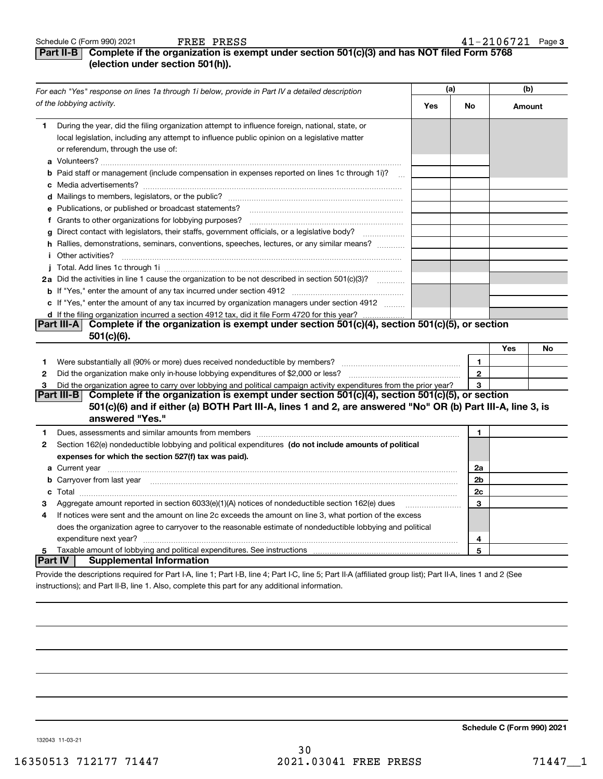## **Part II-B** Complete if the organization is exempt under section 501(c)(3) and has NOT filed Form 5768 **(election under section 501(h)).**

| For each "Yes" response on lines 1a through 1i below, provide in Part IV a detailed description |                                                                                                                                                                                                                                               | (a) |                | (b) |        |
|-------------------------------------------------------------------------------------------------|-----------------------------------------------------------------------------------------------------------------------------------------------------------------------------------------------------------------------------------------------|-----|----------------|-----|--------|
|                                                                                                 | of the lobbying activity.                                                                                                                                                                                                                     | Yes | No             |     | Amount |
| 1                                                                                               | During the year, did the filing organization attempt to influence foreign, national, state, or<br>local legislation, including any attempt to influence public opinion on a legislative matter<br>or referendum, through the use of:          |     |                |     |        |
|                                                                                                 | <b>b</b> Paid staff or management (include compensation in expenses reported on lines 1c through 1i)?                                                                                                                                         |     |                |     |        |
|                                                                                                 |                                                                                                                                                                                                                                               |     |                |     |        |
|                                                                                                 |                                                                                                                                                                                                                                               |     |                |     |        |
|                                                                                                 | e Publications, or published or broadcast statements?                                                                                                                                                                                         |     |                |     |        |
|                                                                                                 |                                                                                                                                                                                                                                               |     |                |     |        |
|                                                                                                 | g Direct contact with legislators, their staffs, government officials, or a legislative body?                                                                                                                                                 |     |                |     |        |
|                                                                                                 | h Rallies, demonstrations, seminars, conventions, speeches, lectures, or any similar means?                                                                                                                                                   |     |                |     |        |
|                                                                                                 |                                                                                                                                                                                                                                               |     |                |     |        |
|                                                                                                 |                                                                                                                                                                                                                                               |     |                |     |        |
|                                                                                                 | 2a Did the activities in line 1 cause the organization to be not described in section 501(c)(3)?                                                                                                                                              |     |                |     |        |
|                                                                                                 |                                                                                                                                                                                                                                               |     |                |     |        |
|                                                                                                 | c If "Yes," enter the amount of any tax incurred by organization managers under section 4912                                                                                                                                                  |     |                |     |        |
|                                                                                                 | d If the filing organization incurred a section 4912 tax, did it file Form 4720 for this year?                                                                                                                                                |     |                |     |        |
|                                                                                                 | Part III-A Complete if the organization is exempt under section 501(c)(4), section 501(c)(5), or section                                                                                                                                      |     |                |     |        |
|                                                                                                 | $501(c)(6)$ .                                                                                                                                                                                                                                 |     |                |     |        |
|                                                                                                 |                                                                                                                                                                                                                                               |     |                | Yes | No     |
| 1                                                                                               |                                                                                                                                                                                                                                               |     | $\mathbf{1}$   |     |        |
| 2                                                                                               |                                                                                                                                                                                                                                               |     | $\mathbf{2}$   |     |        |
| 3                                                                                               | Did the organization agree to carry over lobbying and political campaign activity expenditures from the prior year?                                                                                                                           |     | 3              |     |        |
|                                                                                                 | Complete if the organization is exempt under section 501(c)(4), section 501(c)(5), or section<br>Part III-B<br>501(c)(6) and if either (a) BOTH Part III-A, lines 1 and 2, are answered "No" OR (b) Part III-A, line 3, is<br>answered "Yes." |     |                |     |        |
| 1                                                                                               | Dues, assessments and similar amounts from members [11] matter contract the state and similar amounts from members [11] matter and similar amounts from members [11] matter and similar amounts from members [11] matter and s                |     | $\mathbf{1}$   |     |        |
| 2                                                                                               | Section 162(e) nondeductible lobbying and political expenditures (do not include amounts of political                                                                                                                                         |     |                |     |        |
|                                                                                                 | expenses for which the section 527(f) tax was paid).                                                                                                                                                                                          |     |                |     |        |
|                                                                                                 |                                                                                                                                                                                                                                               |     | 2a             |     |        |
|                                                                                                 | <b>b</b> Carryover from last year manufactured and contain a series of the contained and contained a series of the contained and contained a series of the contained and contained a series of the contained and contained a series           |     | 2 <sub>b</sub> |     |        |
|                                                                                                 |                                                                                                                                                                                                                                               |     | 2c             |     |        |
| з                                                                                               | Aggregate amount reported in section 6033(e)(1)(A) notices of nondeductible section 162(e) dues                                                                                                                                               |     | 3              |     |        |
| 4                                                                                               | If notices were sent and the amount on line 2c exceeds the amount on line 3, what portion of the excess                                                                                                                                       |     |                |     |        |
|                                                                                                 | does the organization agree to carryover to the reasonable estimate of nondeductible lobbying and political                                                                                                                                   |     |                |     |        |
|                                                                                                 |                                                                                                                                                                                                                                               |     | 4              |     |        |
| 5                                                                                               |                                                                                                                                                                                                                                               |     | 5              |     |        |
|                                                                                                 | <b>Supplemental Information</b><br>∣Part IV  I                                                                                                                                                                                                |     |                |     |        |
|                                                                                                 | acida the deconintings required for Doubl A. Read to Doubl D. Read L.O. Read U.A. (officiated areas light), Doubl A. Read A and O. (On                                                                                                        |     |                |     |        |

Provide the descriptions required for Part I-A, line 1; Part I-B, line 4; Part I-C, line 5; Part II-A (affiliated group list); Part II-A, lines 1 and 2 (See instructions); and Part II-B, line 1. Also, complete this part for any additional information.

**Schedule C (Form 990) 2021**

132043 11-03-21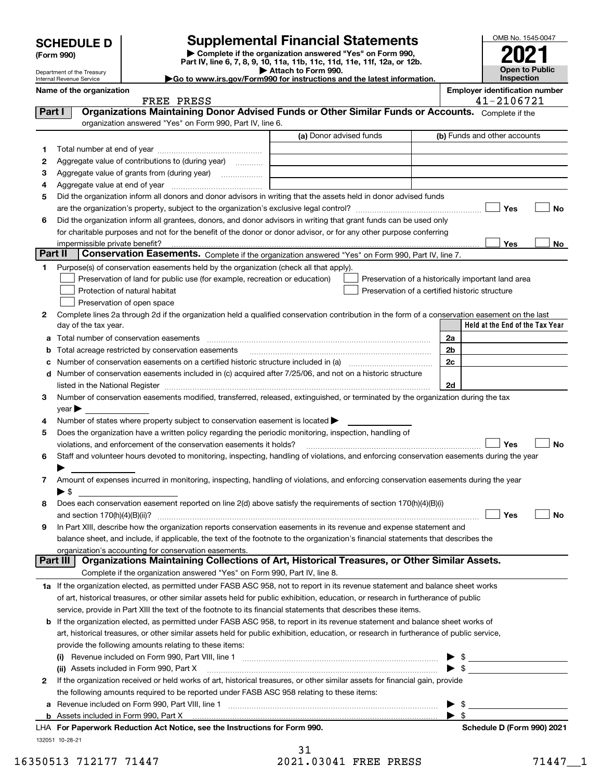Department of the Treasury Internal Revenue Service

**(Form 990)**

## **Supplemental Financial Statements**

**| Complete if the organization answered "Yes" on Form 990, Part IV, line 6, 7, 8, 9, 10, 11a, 11b, 11c, 11d, 11e, 11f, 12a, or 12b. | Attach to Form 990.** OMB No. 1545-0047 **Open to Public Inspection2021**

|  | Go to www.irs.gov/Form990 for instructions and the latest information. |  |  |
|--|------------------------------------------------------------------------|--|--|
|  |                                                                        |  |  |

|         | Name of the organization<br>FREE PRESS                                                                                                                                                                                                                   |                         | <b>Employer identification number</b><br>41-2106721 |
|---------|----------------------------------------------------------------------------------------------------------------------------------------------------------------------------------------------------------------------------------------------------------|-------------------------|-----------------------------------------------------|
| Part I  | Organizations Maintaining Donor Advised Funds or Other Similar Funds or Accounts. Complete if the                                                                                                                                                        |                         |                                                     |
|         | organization answered "Yes" on Form 990, Part IV, line 6.                                                                                                                                                                                                |                         |                                                     |
|         |                                                                                                                                                                                                                                                          | (a) Donor advised funds | (b) Funds and other accounts                        |
| 1       |                                                                                                                                                                                                                                                          |                         |                                                     |
| 2       | Aggregate value of contributions to (during year)                                                                                                                                                                                                        |                         |                                                     |
| 3       |                                                                                                                                                                                                                                                          |                         |                                                     |
| 4       |                                                                                                                                                                                                                                                          |                         |                                                     |
| 5       | Did the organization inform all donors and donor advisors in writing that the assets held in donor advised funds                                                                                                                                         |                         |                                                     |
|         |                                                                                                                                                                                                                                                          |                         | Yes<br>No                                           |
| 6       | Did the organization inform all grantees, donors, and donor advisors in writing that grant funds can be used only                                                                                                                                        |                         |                                                     |
|         | for charitable purposes and not for the benefit of the donor or donor advisor, or for any other purpose conferring                                                                                                                                       |                         |                                                     |
|         |                                                                                                                                                                                                                                                          |                         | Yes<br>No                                           |
| Part II | Conservation Easements. Complete if the organization answered "Yes" on Form 990, Part IV, line 7.                                                                                                                                                        |                         |                                                     |
| 1       | Purpose(s) of conservation easements held by the organization (check all that apply).                                                                                                                                                                    |                         |                                                     |
|         | Preservation of land for public use (for example, recreation or education)                                                                                                                                                                               |                         | Preservation of a historically important land area  |
|         | Protection of natural habitat                                                                                                                                                                                                                            |                         | Preservation of a certified historic structure      |
|         | Preservation of open space                                                                                                                                                                                                                               |                         |                                                     |
| 2       | Complete lines 2a through 2d if the organization held a qualified conservation contribution in the form of a conservation easement on the last                                                                                                           |                         |                                                     |
|         | day of the tax year.                                                                                                                                                                                                                                     |                         | Held at the End of the Tax Year                     |
|         | a Total number of conservation easements                                                                                                                                                                                                                 |                         | 2a                                                  |
| b       | Total acreage restricted by conservation easements                                                                                                                                                                                                       |                         | 2 <sub>b</sub>                                      |
| с       |                                                                                                                                                                                                                                                          |                         | 2c                                                  |
|         | d Number of conservation easements included in (c) acquired after 7/25/06, and not on a historic structure                                                                                                                                               |                         |                                                     |
|         |                                                                                                                                                                                                                                                          |                         | 2d                                                  |
| 3       | Number of conservation easements modified, transferred, released, extinguished, or terminated by the organization during the tax                                                                                                                         |                         |                                                     |
|         | $year \blacktriangleright$                                                                                                                                                                                                                               |                         |                                                     |
| 4       | Number of states where property subject to conservation easement is located >                                                                                                                                                                            |                         |                                                     |
| 5       | Does the organization have a written policy regarding the periodic monitoring, inspection, handling of                                                                                                                                                   |                         |                                                     |
|         | violations, and enforcement of the conservation easements it holds?                                                                                                                                                                                      |                         | Yes<br>No                                           |
| 6       | Staff and volunteer hours devoted to monitoring, inspecting, handling of violations, and enforcing conservation easements during the year                                                                                                                |                         |                                                     |
|         |                                                                                                                                                                                                                                                          |                         |                                                     |
| 7       | Amount of expenses incurred in monitoring, inspecting, handling of violations, and enforcing conservation easements during the year                                                                                                                      |                         |                                                     |
|         | ▶ \$                                                                                                                                                                                                                                                     |                         |                                                     |
| 8       | Does each conservation easement reported on line 2(d) above satisfy the requirements of section 170(h)(4)(B)(i)                                                                                                                                          |                         |                                                     |
|         |                                                                                                                                                                                                                                                          |                         | Yes<br>No                                           |
|         | In Part XIII, describe how the organization reports conservation easements in its revenue and expense statement and<br>balance sheet, and include, if applicable, the text of the footnote to the organization's financial statements that describes the |                         |                                                     |
|         | organization's accounting for conservation easements.                                                                                                                                                                                                    |                         |                                                     |
|         | Organizations Maintaining Collections of Art, Historical Treasures, or Other Similar Assets.<br>Part III                                                                                                                                                 |                         |                                                     |
|         | Complete if the organization answered "Yes" on Form 990, Part IV, line 8.                                                                                                                                                                                |                         |                                                     |
|         | 1a If the organization elected, as permitted under FASB ASC 958, not to report in its revenue statement and balance sheet works                                                                                                                          |                         |                                                     |
|         | of art, historical treasures, or other similar assets held for public exhibition, education, or research in furtherance of public                                                                                                                        |                         |                                                     |
|         | service, provide in Part XIII the text of the footnote to its financial statements that describes these items.                                                                                                                                           |                         |                                                     |
|         | <b>b</b> If the organization elected, as permitted under FASB ASC 958, to report in its revenue statement and balance sheet works of                                                                                                                     |                         |                                                     |
|         | art, historical treasures, or other similar assets held for public exhibition, education, or research in furtherance of public service,                                                                                                                  |                         |                                                     |
|         | provide the following amounts relating to these items:                                                                                                                                                                                                   |                         |                                                     |
|         | (i) Revenue included on Form 990, Part VIII, line 1 [2000] [2010] Contract the included on Form 990, Part VIII, line 1                                                                                                                                   |                         | $\blacktriangleright$ \$                            |
|         | (ii) Assets included in Form 990, Part X                                                                                                                                                                                                                 |                         | $\bullet$ \$                                        |
| 2       | If the organization received or held works of art, historical treasures, or other similar assets for financial gain, provide                                                                                                                             |                         |                                                     |
|         | the following amounts required to be reported under FASB ASC 958 relating to these items:                                                                                                                                                                |                         |                                                     |
|         |                                                                                                                                                                                                                                                          |                         | - \$                                                |
|         |                                                                                                                                                                                                                                                          |                         | $\blacktriangleright$ \$                            |
|         | LHA For Paperwork Reduction Act Notice, see the Instructions for Form 990.                                                                                                                                                                               |                         | Schedule D (Form 990) 2021                          |
|         | 132051 10-28-21                                                                                                                                                                                                                                          |                         |                                                     |

31 16350513 712177 71447 2021.03041 FREE PRESS 71447 1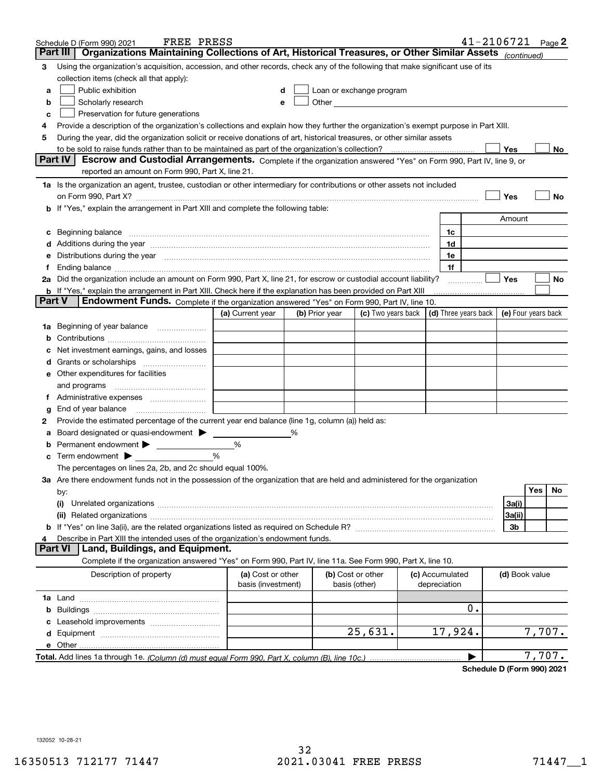|               | FREE PRESS<br>Schedule D (Form 990) 2021                                                                                                                                                                                                                                                                                                                                                                                                                         |                                         |   |                                    |                          |                                 |                      | 41-2106721          |        | Page 2 |
|---------------|------------------------------------------------------------------------------------------------------------------------------------------------------------------------------------------------------------------------------------------------------------------------------------------------------------------------------------------------------------------------------------------------------------------------------------------------------------------|-----------------------------------------|---|------------------------------------|--------------------------|---------------------------------|----------------------|---------------------|--------|--------|
|               | Organizations Maintaining Collections of Art, Historical Treasures, or Other Similar Assets (continued)<br>Part III                                                                                                                                                                                                                                                                                                                                              |                                         |   |                                    |                          |                                 |                      |                     |        |        |
| 3             | Using the organization's acquisition, accession, and other records, check any of the following that make significant use of its<br>collection items (check all that apply):                                                                                                                                                                                                                                                                                      |                                         |   |                                    |                          |                                 |                      |                     |        |        |
|               | Public exhibition                                                                                                                                                                                                                                                                                                                                                                                                                                                |                                         |   |                                    | Loan or exchange program |                                 |                      |                     |        |        |
| а             |                                                                                                                                                                                                                                                                                                                                                                                                                                                                  |                                         |   |                                    |                          |                                 |                      |                     |        |        |
| b             | Scholarly research                                                                                                                                                                                                                                                                                                                                                                                                                                               |                                         |   |                                    |                          |                                 |                      |                     |        |        |
| с             | Preservation for future generations                                                                                                                                                                                                                                                                                                                                                                                                                              |                                         |   |                                    |                          |                                 |                      |                     |        |        |
| 4             | Provide a description of the organization's collections and explain how they further the organization's exempt purpose in Part XIII.                                                                                                                                                                                                                                                                                                                             |                                         |   |                                    |                          |                                 |                      |                     |        |        |
| 5             | During the year, did the organization solicit or receive donations of art, historical treasures, or other similar assets                                                                                                                                                                                                                                                                                                                                         |                                         |   |                                    |                          |                                 |                      |                     |        |        |
|               | to be sold to raise funds rather than to be maintained as part of the organization's collection?<br><b>Part IV</b>                                                                                                                                                                                                                                                                                                                                               |                                         |   |                                    |                          |                                 | . <u>.</u>           | Yes                 |        | No     |
|               | Escrow and Custodial Arrangements. Complete if the organization answered "Yes" on Form 990, Part IV, line 9, or<br>reported an amount on Form 990, Part X, line 21.                                                                                                                                                                                                                                                                                              |                                         |   |                                    |                          |                                 |                      |                     |        |        |
|               | 1a Is the organization an agent, trustee, custodian or other intermediary for contributions or other assets not included                                                                                                                                                                                                                                                                                                                                         |                                         |   |                                    |                          |                                 |                      |                     |        |        |
|               | on Form 990, Part X? [11] matter contracts and contracts and contracts are contracted and contracts are contracted and contract and contract of the contract of the contract of the contract of the contract of the contract o                                                                                                                                                                                                                                   |                                         |   |                                    |                          |                                 |                      | Yes                 |        | No     |
|               | <b>b</b> If "Yes," explain the arrangement in Part XIII and complete the following table:                                                                                                                                                                                                                                                                                                                                                                        |                                         |   |                                    |                          |                                 |                      |                     |        |        |
|               |                                                                                                                                                                                                                                                                                                                                                                                                                                                                  |                                         |   |                                    |                          |                                 |                      | Amount              |        |        |
| c             | Beginning balance <b>contract to the contract of the contract of the contract of the contract of the contract of t</b>                                                                                                                                                                                                                                                                                                                                           |                                         |   |                                    |                          |                                 | 1c                   |                     |        |        |
|               |                                                                                                                                                                                                                                                                                                                                                                                                                                                                  |                                         |   |                                    |                          |                                 | 1d                   |                     |        |        |
|               | d Additions during the year manufactured and an account of a state of the state of the state of the state of the state of the state of the state of the state of the state of the state of the state of the state of the state<br>e Distributions during the year manufactured and an according to the distributions during the year manufactured and the state of the state of the state of the state of the state of the state of the state of the state of th |                                         |   |                                    |                          |                                 | 1e                   |                     |        |        |
| Ť.            |                                                                                                                                                                                                                                                                                                                                                                                                                                                                  |                                         |   |                                    |                          |                                 | 1f                   |                     |        |        |
|               | 2a Did the organization include an amount on Form 990, Part X, line 21, for escrow or custodial account liability?                                                                                                                                                                                                                                                                                                                                               |                                         |   |                                    |                          |                                 |                      | Yes                 |        | No     |
|               | <b>b</b> If "Yes," explain the arrangement in Part XIII. Check here if the explanation has been provided on Part XIII                                                                                                                                                                                                                                                                                                                                            |                                         |   |                                    |                          |                                 | .                    |                     |        |        |
| <b>Part V</b> | Endowment Funds. Complete if the organization answered "Yes" on Form 990, Part IV, line 10.                                                                                                                                                                                                                                                                                                                                                                      |                                         |   |                                    |                          |                                 |                      |                     |        |        |
|               |                                                                                                                                                                                                                                                                                                                                                                                                                                                                  | (a) Current year                        |   | (b) Prior year                     | (c) Two years back       |                                 | (d) Three years back | (e) Four years back |        |        |
|               | 1a Beginning of year balance                                                                                                                                                                                                                                                                                                                                                                                                                                     |                                         |   |                                    |                          |                                 |                      |                     |        |        |
|               |                                                                                                                                                                                                                                                                                                                                                                                                                                                                  |                                         |   |                                    |                          |                                 |                      |                     |        |        |
| b             |                                                                                                                                                                                                                                                                                                                                                                                                                                                                  |                                         |   |                                    |                          |                                 |                      |                     |        |        |
|               | Net investment earnings, gains, and losses                                                                                                                                                                                                                                                                                                                                                                                                                       |                                         |   |                                    |                          |                                 |                      |                     |        |        |
|               |                                                                                                                                                                                                                                                                                                                                                                                                                                                                  |                                         |   |                                    |                          |                                 |                      |                     |        |        |
|               | e Other expenditures for facilities                                                                                                                                                                                                                                                                                                                                                                                                                              |                                         |   |                                    |                          |                                 |                      |                     |        |        |
|               | and programs                                                                                                                                                                                                                                                                                                                                                                                                                                                     |                                         |   |                                    |                          |                                 |                      |                     |        |        |
|               |                                                                                                                                                                                                                                                                                                                                                                                                                                                                  |                                         |   |                                    |                          |                                 |                      |                     |        |        |
| g             |                                                                                                                                                                                                                                                                                                                                                                                                                                                                  |                                         |   |                                    |                          |                                 |                      |                     |        |        |
| 2             | Provide the estimated percentage of the current year end balance (line 1g, column (a)) held as:                                                                                                                                                                                                                                                                                                                                                                  |                                         |   |                                    |                          |                                 |                      |                     |        |        |
| а             | Board designated or quasi-endowment > _____                                                                                                                                                                                                                                                                                                                                                                                                                      |                                         | % |                                    |                          |                                 |                      |                     |        |        |
| b             | Permanent endowment > 1                                                                                                                                                                                                                                                                                                                                                                                                                                          | %                                       |   |                                    |                          |                                 |                      |                     |        |        |
|               | <b>c</b> Term endowment $\blacktriangleright$                                                                                                                                                                                                                                                                                                                                                                                                                    | %                                       |   |                                    |                          |                                 |                      |                     |        |        |
|               | The percentages on lines 2a, 2b, and 2c should equal 100%.                                                                                                                                                                                                                                                                                                                                                                                                       |                                         |   |                                    |                          |                                 |                      |                     |        |        |
|               | 3a Are there endowment funds not in the possession of the organization that are held and administered for the organization                                                                                                                                                                                                                                                                                                                                       |                                         |   |                                    |                          |                                 |                      |                     | Yes    |        |
|               | by:                                                                                                                                                                                                                                                                                                                                                                                                                                                              |                                         |   |                                    |                          |                                 |                      |                     |        | No     |
|               | (i)                                                                                                                                                                                                                                                                                                                                                                                                                                                              |                                         |   |                                    |                          |                                 |                      | 3a(i)               |        |        |
|               |                                                                                                                                                                                                                                                                                                                                                                                                                                                                  |                                         |   |                                    |                          |                                 |                      | 3a(ii)              |        |        |
|               |                                                                                                                                                                                                                                                                                                                                                                                                                                                                  |                                         |   |                                    |                          |                                 |                      | 3b                  |        |        |
| 4             | Describe in Part XIII the intended uses of the organization's endowment funds.<br>Land, Buildings, and Equipment.<br>Part VI                                                                                                                                                                                                                                                                                                                                     |                                         |   |                                    |                          |                                 |                      |                     |        |        |
|               | Complete if the organization answered "Yes" on Form 990, Part IV, line 11a. See Form 990, Part X, line 10.                                                                                                                                                                                                                                                                                                                                                       |                                         |   |                                    |                          |                                 |                      |                     |        |        |
|               |                                                                                                                                                                                                                                                                                                                                                                                                                                                                  |                                         |   |                                    |                          |                                 |                      |                     |        |        |
|               | Description of property                                                                                                                                                                                                                                                                                                                                                                                                                                          | (a) Cost or other<br>basis (investment) |   | (b) Cost or other<br>basis (other) |                          | (c) Accumulated<br>depreciation |                      | (d) Book value      |        |        |
|               |                                                                                                                                                                                                                                                                                                                                                                                                                                                                  |                                         |   |                                    |                          |                                 |                      |                     |        |        |
| b             |                                                                                                                                                                                                                                                                                                                                                                                                                                                                  |                                         |   |                                    |                          |                                 | 0.                   |                     |        |        |
| c             | Leasehold improvements                                                                                                                                                                                                                                                                                                                                                                                                                                           |                                         |   |                                    |                          |                                 |                      |                     |        |        |
| d             |                                                                                                                                                                                                                                                                                                                                                                                                                                                                  |                                         |   |                                    | 25,631.                  |                                 | 17,924.              |                     | 7,707. |        |
|               |                                                                                                                                                                                                                                                                                                                                                                                                                                                                  |                                         |   |                                    |                          |                                 |                      |                     |        |        |
|               |                                                                                                                                                                                                                                                                                                                                                                                                                                                                  |                                         |   |                                    |                          |                                 |                      |                     | 7,707. |        |
|               |                                                                                                                                                                                                                                                                                                                                                                                                                                                                  |                                         |   |                                    |                          |                                 |                      |                     |        |        |

**Schedule D (Form 990) 2021**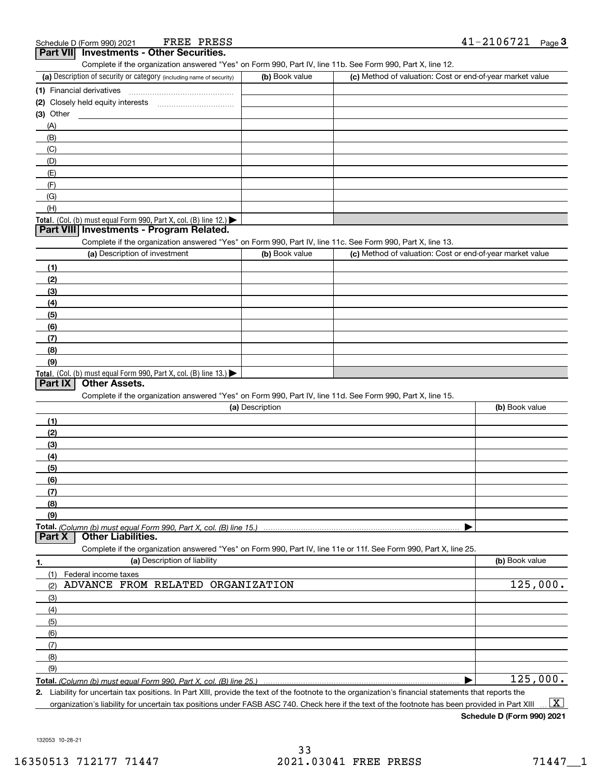|                 | FREE PRESS<br>Schedule D (Form 990) 2021                                                                          |                 |                                                           | 41-2106721<br>Page <sup>3</sup> |
|-----------------|-------------------------------------------------------------------------------------------------------------------|-----------------|-----------------------------------------------------------|---------------------------------|
| <b>Part VII</b> | <b>Investments - Other Securities.</b>                                                                            |                 |                                                           |                                 |
|                 | Complete if the organization answered "Yes" on Form 990, Part IV, line 11b. See Form 990, Part X, line 12.        |                 |                                                           |                                 |
|                 | (a) Description of security or category (including name of security)                                              | (b) Book value  | (c) Method of valuation: Cost or end-of-year market value |                                 |
|                 | (1) Financial derivatives                                                                                         |                 |                                                           |                                 |
|                 |                                                                                                                   |                 |                                                           |                                 |
| (3) Other       |                                                                                                                   |                 |                                                           |                                 |
| (A)             |                                                                                                                   |                 |                                                           |                                 |
| (B)             |                                                                                                                   |                 |                                                           |                                 |
| (C)             |                                                                                                                   |                 |                                                           |                                 |
| (D)             |                                                                                                                   |                 |                                                           |                                 |
| (E)             |                                                                                                                   |                 |                                                           |                                 |
| (F)             |                                                                                                                   |                 |                                                           |                                 |
| (G)             |                                                                                                                   |                 |                                                           |                                 |
| (H)             |                                                                                                                   |                 |                                                           |                                 |
|                 | Total. (Col. (b) must equal Form 990, Part X, col. (B) line 12.)                                                  |                 |                                                           |                                 |
|                 | Part VIII Investments - Program Related.                                                                          |                 |                                                           |                                 |
|                 | Complete if the organization answered "Yes" on Form 990, Part IV, line 11c. See Form 990, Part X, line 13.        |                 |                                                           |                                 |
|                 | (a) Description of investment                                                                                     | (b) Book value  | (c) Method of valuation: Cost or end-of-year market value |                                 |
| (1)             |                                                                                                                   |                 |                                                           |                                 |
| (2)             |                                                                                                                   |                 |                                                           |                                 |
| (3)             |                                                                                                                   |                 |                                                           |                                 |
| (4)             |                                                                                                                   |                 |                                                           |                                 |
| (5)             |                                                                                                                   |                 |                                                           |                                 |
| (6)             |                                                                                                                   |                 |                                                           |                                 |
| (7)             |                                                                                                                   |                 |                                                           |                                 |
| (8)             |                                                                                                                   |                 |                                                           |                                 |
| (9)             |                                                                                                                   |                 |                                                           |                                 |
|                 | Total. (Col. (b) must equal Form 990, Part X, col. (B) line 13.)                                                  |                 |                                                           |                                 |
| Part IX         | <b>Other Assets.</b>                                                                                              |                 |                                                           |                                 |
|                 | Complete if the organization answered "Yes" on Form 990, Part IV, line 11d. See Form 990, Part X, line 15.        |                 |                                                           |                                 |
|                 |                                                                                                                   | (a) Description |                                                           | (b) Book value                  |
| (1)             |                                                                                                                   |                 |                                                           |                                 |
| (2)             |                                                                                                                   |                 |                                                           |                                 |
| (3)             |                                                                                                                   |                 |                                                           |                                 |
| (4)             |                                                                                                                   |                 |                                                           |                                 |
| (5)             |                                                                                                                   |                 |                                                           |                                 |
| (6)             |                                                                                                                   |                 |                                                           |                                 |
| (7)             |                                                                                                                   |                 |                                                           |                                 |
| (8)             |                                                                                                                   |                 |                                                           |                                 |
| (9)             |                                                                                                                   |                 |                                                           |                                 |
|                 | Total. (Column (b) must equal Form 990, Part X, col. (B) line 15.)                                                |                 |                                                           |                                 |
| Part X          | <b>Other Liabilities.</b>                                                                                         |                 |                                                           |                                 |
|                 | Complete if the organization answered "Yes" on Form 990, Part IV, line 11e or 11f. See Form 990, Part X, line 25. |                 |                                                           |                                 |
| 1.              | (a) Description of liability                                                                                      |                 |                                                           | (b) Book value                  |
| (1)             | Federal income taxes                                                                                              |                 |                                                           |                                 |
| (2)             | ADVANCE FROM RELATED ORGANIZATION                                                                                 |                 |                                                           | 125,000.                        |
| (3)             |                                                                                                                   |                 |                                                           |                                 |
|                 |                                                                                                                   |                 |                                                           |                                 |
| (4)             |                                                                                                                   |                 |                                                           |                                 |
| (5)             |                                                                                                                   |                 |                                                           |                                 |
| (6)             |                                                                                                                   |                 |                                                           |                                 |
| (7)             |                                                                                                                   |                 |                                                           |                                 |
| (8)             |                                                                                                                   |                 |                                                           |                                 |
| (9)             |                                                                                                                   |                 |                                                           | 125,000.                        |
|                 | Total. (Column (b) must equal Form 990, Part X, col. (B) line 25.)                                                |                 |                                                           |                                 |

**2.** Liability for uncertain tax positions. In Part XIII, provide the text of the footnote to the organization's financial statements that reports the organization's liability for uncertain tax positions under FASB ASC 740. Check here if the text of the footnote has been provided in Part XIII  $\boxed{\text{X}}$ 

**Schedule D (Form 990) 2021**

132053 10-28-21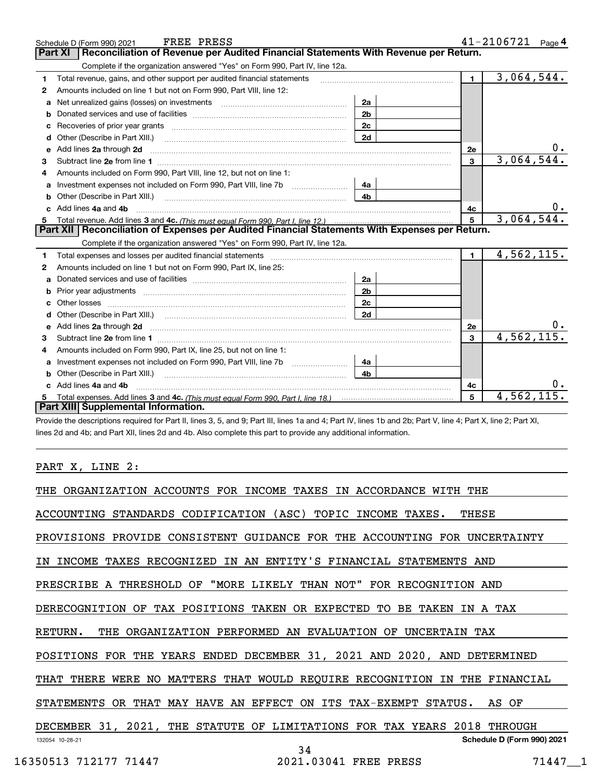|   | FREE PRESS<br>Schedule D (Form 990) 2021                                                                                                                                                                                       |                |                | $41 - 2106721$ Page 4 |
|---|--------------------------------------------------------------------------------------------------------------------------------------------------------------------------------------------------------------------------------|----------------|----------------|-----------------------|
|   | Reconciliation of Revenue per Audited Financial Statements With Revenue per Return.<br><b>Part XI</b>                                                                                                                          |                |                |                       |
|   | Complete if the organization answered "Yes" on Form 990, Part IV, line 12a.                                                                                                                                                    |                |                |                       |
| 1 | Total revenue, gains, and other support per audited financial statements                                                                                                                                                       |                | $\mathbf 1$    | 3,064,544.            |
| 2 | Amounts included on line 1 but not on Form 990, Part VIII, line 12:                                                                                                                                                            |                |                |                       |
| a | Net unrealized gains (losses) on investments [11] matter contracts and the unrealized gains (losses) on investments                                                                                                            | 2a             |                |                       |
| b |                                                                                                                                                                                                                                | 2 <sub>b</sub> |                |                       |
| c |                                                                                                                                                                                                                                | 2c             |                |                       |
| d | Other (Describe in Part XIII.)                                                                                                                                                                                                 | 2d             |                |                       |
| е | Add lines 2a through 2d <b>must be a constructed as the constant of the constant of the constant of the construction</b>                                                                                                       |                | 2e             |                       |
| з |                                                                                                                                                                                                                                |                | 3              | 3,064,544.            |
|   | Amounts included on Form 990, Part VIII, line 12, but not on line 1:                                                                                                                                                           |                |                |                       |
| a |                                                                                                                                                                                                                                | 4a             |                |                       |
| b | Other (Describe in Part XIII.)                                                                                                                                                                                                 | 4 <sub>b</sub> |                |                       |
|   | c Add lines 4a and 4b                                                                                                                                                                                                          |                | 4c             |                       |
| 5 |                                                                                                                                                                                                                                |                | 5              | 3,064,544.            |
|   | Part XII   Reconciliation of Expenses per Audited Financial Statements With Expenses per Return.                                                                                                                               |                |                |                       |
|   | Complete if the organization answered "Yes" on Form 990, Part IV, line 12a.                                                                                                                                                    |                |                |                       |
| 1 | Total expenses and losses per audited financial statements                                                                                                                                                                     |                | $\blacksquare$ | 4,562,115.            |
| 2 | Amounts included on line 1 but not on Form 990, Part IX, line 25:                                                                                                                                                              |                |                |                       |
| a |                                                                                                                                                                                                                                | 2a             |                |                       |
| b |                                                                                                                                                                                                                                | 2 <sub>b</sub> |                |                       |
|   |                                                                                                                                                                                                                                | 2c             |                |                       |
|   | Other (Describe in Part XIII.) (2000) (2000) (2000) (2000) (2000) (2000) (2000) (2000) (2000) (2000) (2000) (2000) (2000) (2000) (2000) (2000) (2000) (2000) (2000) (2000) (2000) (2000) (2000) (2000) (2000) (2000) (2000) (2 | 2d             |                |                       |
| e |                                                                                                                                                                                                                                |                | 2e             |                       |
| 3 |                                                                                                                                                                                                                                |                | 3              | 4,562,115.            |
| 4 | Amounts included on Form 990, Part IX, line 25, but not on line 1:                                                                                                                                                             |                |                |                       |
| a |                                                                                                                                                                                                                                | 4a             |                |                       |
| b | Other (Describe in Part XIII.) <b>Construction Contract Construction</b> Chemistry Chemistry Chemistry Chemistry Chemistry                                                                                                     | 4b             |                |                       |
|   | Add lines 4a and 4b                                                                                                                                                                                                            |                | 4с             |                       |
|   |                                                                                                                                                                                                                                |                | 5              | 4,562,11              |
|   | Part XIII Supplemental Information.                                                                                                                                                                                            |                |                |                       |

Provide the descriptions required for Part II, lines 3, 5, and 9; Part III, lines 1a and 4; Part IV, lines 1b and 2b; Part V, line 4; Part X, line 2; Part XI, lines 2d and 4b; and Part XII, lines 2d and 4b. Also complete this part to provide any additional information.

## PART X, LINE 2:

| THE ORGANIZATION ACCOUNTS FOR INCOME TAXES IN ACCORDANCE WITH THE          |                            |
|----------------------------------------------------------------------------|----------------------------|
| ACCOUNTING STANDARDS CODIFICATION (ASC) TOPIC INCOME TAXES.<br>THESE       |                            |
| PROVISIONS PROVIDE CONSISTENT GUIDANCE FOR THE ACCOUNTING FOR UNCERTAINTY  |                            |
| IN INCOME TAXES RECOGNIZED IN AN ENTITY'S FINANCIAL STATEMENTS AND         |                            |
| PRESCRIBE A THRESHOLD OF "MORE LIKELY THAN NOT" FOR RECOGNITION AND        |                            |
| DERECOGNITION OF TAX POSITIONS TAKEN OR EXPECTED TO<br>BE TAKEN IN A TAX   |                            |
| RETURN.<br>THE ORGANIZATION PERFORMED AN EVALUATION OF UNCERTAIN TAX       |                            |
| POSITIONS FOR THE YEARS ENDED DECEMBER 31, 2021 AND 2020, AND DETERMINED   |                            |
| THAT THERE WERE NO MATTERS THAT WOULD REQUIRE RECOGNITION IN THE FINANCIAL |                            |
| OR THAT MAY HAVE AN EFFECT ON ITS TAX-EXEMPT STATUS.<br><b>STATEMENTS</b>  | AS OF                      |
| DECEMBER 31, 2021, THE STATUTE OF LIMITATIONS FOR TAX YEARS<br>2018        | THROUGH                    |
| 132054 10-28-21<br>34                                                      | Schedule D (Form 990) 2021 |
| 2021.03041 FREE PRESS<br>16350513 712177 71447                             | 71447 1                    |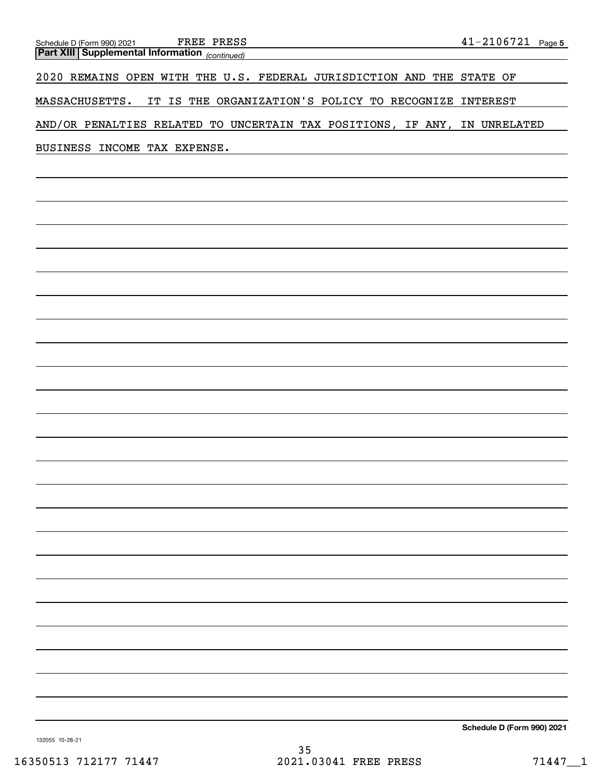*(continued)* **Part XIII Supplemental Information**  Schedule D (Form 990) 2021 FREE PRESS

2020 REMAINS OPEN WITH THE U.S. FEDERAL JURISDICTION AND THE STATE OF

MASSACHUSETTS. IT IS THE ORGANIZATION'S POLICY TO RECOGNIZE INTEREST

AND/OR PENALTIES RELATED TO UNCERTAIN TAX POSITIONS, IF ANY, IN UNRELATED

BUSINESS INCOME TAX EXPENSE.

**Schedule D (Form 990) 2021**

132055 10-28-21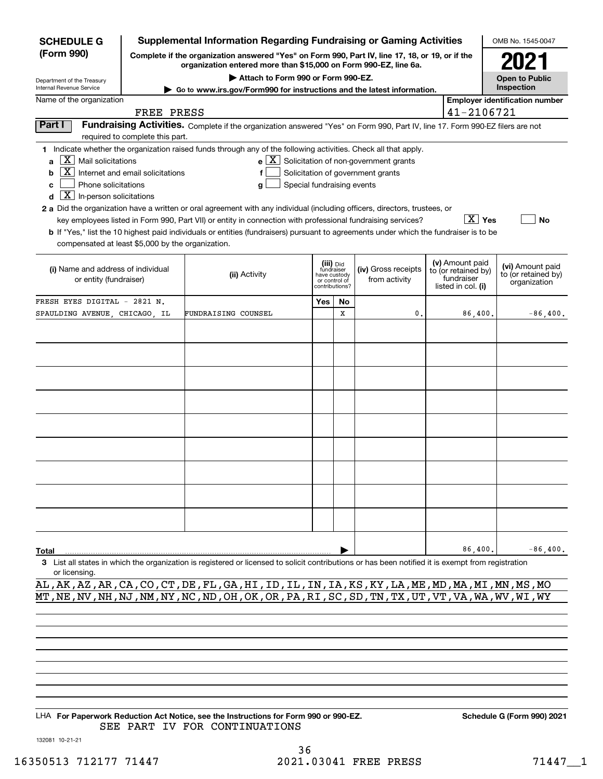| <b>SCHEDULE G</b>                                                                                                                                                                                                                                                                                                                                                                                                                                                                                                                                                                                                                                                                                                                                                                                                                |                                                                                                                                                                     | <b>Supplemental Information Regarding Fundraising or Gaming Activities</b>                                                                         |                                              |                            |                                      |  |                                                                            | OMB No. 1545-0047                                       |  |  |
|----------------------------------------------------------------------------------------------------------------------------------------------------------------------------------------------------------------------------------------------------------------------------------------------------------------------------------------------------------------------------------------------------------------------------------------------------------------------------------------------------------------------------------------------------------------------------------------------------------------------------------------------------------------------------------------------------------------------------------------------------------------------------------------------------------------------------------|---------------------------------------------------------------------------------------------------------------------------------------------------------------------|----------------------------------------------------------------------------------------------------------------------------------------------------|----------------------------------------------|----------------------------|--------------------------------------|--|----------------------------------------------------------------------------|---------------------------------------------------------|--|--|
| (Form 990)                                                                                                                                                                                                                                                                                                                                                                                                                                                                                                                                                                                                                                                                                                                                                                                                                       | Complete if the organization answered "Yes" on Form 990, Part IV, line 17, 18, or 19, or if the<br>organization entered more than \$15,000 on Form 990-EZ, line 6a. |                                                                                                                                                    |                                              |                            |                                      |  |                                                                            |                                                         |  |  |
| Department of the Treasury                                                                                                                                                                                                                                                                                                                                                                                                                                                                                                                                                                                                                                                                                                                                                                                                       |                                                                                                                                                                     | Attach to Form 990 or Form 990-EZ.                                                                                                                 |                                              |                            |                                      |  |                                                                            | <b>Open to Public</b>                                   |  |  |
| Inspection<br>Internal Revenue Service<br>Go to www.irs.gov/Form990 for instructions and the latest information.<br><b>Employer identification number</b>                                                                                                                                                                                                                                                                                                                                                                                                                                                                                                                                                                                                                                                                        |                                                                                                                                                                     |                                                                                                                                                    |                                              |                            |                                      |  |                                                                            |                                                         |  |  |
| Name of the organization<br>41-2106721<br>FREE PRESS                                                                                                                                                                                                                                                                                                                                                                                                                                                                                                                                                                                                                                                                                                                                                                             |                                                                                                                                                                     |                                                                                                                                                    |                                              |                            |                                      |  |                                                                            |                                                         |  |  |
| Part I<br>Fundraising Activities. Complete if the organization answered "Yes" on Form 990, Part IV, line 17. Form 990-EZ filers are not                                                                                                                                                                                                                                                                                                                                                                                                                                                                                                                                                                                                                                                                                          |                                                                                                                                                                     |                                                                                                                                                    |                                              |                            |                                      |  |                                                                            |                                                         |  |  |
|                                                                                                                                                                                                                                                                                                                                                                                                                                                                                                                                                                                                                                                                                                                                                                                                                                  | required to complete this part.                                                                                                                                     |                                                                                                                                                    |                                              |                            |                                      |  |                                                                            |                                                         |  |  |
| 1 Indicate whether the organization raised funds through any of the following activities. Check all that apply.<br>$X$   Mail solicitations<br>$e$ $\boxed{X}$ Solicitation of non-government grants<br>a<br>X  <br>Internet and email solicitations<br>Solicitation of government grants<br>b<br>Phone solicitations<br>Special fundraising events<br>c<br>g<br>$\boxed{\text{X}}$ In-person solicitations<br>d<br>2 a Did the organization have a written or oral agreement with any individual (including officers, directors, trustees, or<br>∣ X ∣ Yes<br>key employees listed in Form 990, Part VII) or entity in connection with professional fundraising services?<br>No<br><b>b</b> If "Yes," list the 10 highest paid individuals or entities (fundraisers) pursuant to agreements under which the fundraiser is to be |                                                                                                                                                                     |                                                                                                                                                    |                                              |                            |                                      |  |                                                                            |                                                         |  |  |
| compensated at least \$5,000 by the organization.                                                                                                                                                                                                                                                                                                                                                                                                                                                                                                                                                                                                                                                                                                                                                                                |                                                                                                                                                                     |                                                                                                                                                    |                                              |                            |                                      |  |                                                                            |                                                         |  |  |
| (i) Name and address of individual<br>or entity (fundraiser)                                                                                                                                                                                                                                                                                                                                                                                                                                                                                                                                                                                                                                                                                                                                                                     |                                                                                                                                                                     | (ii) Activity                                                                                                                                      | fundraiser<br>have custody<br>contributions? | (iii) Did<br>or control of | (iv) Gross receipts<br>from activity |  | (v) Amount paid<br>to (or retained by)<br>fundraiser<br>listed in col. (i) | (vi) Amount paid<br>to (or retained by)<br>organization |  |  |
| FRESH EYES DIGITAL - 2821 N.                                                                                                                                                                                                                                                                                                                                                                                                                                                                                                                                                                                                                                                                                                                                                                                                     |                                                                                                                                                                     |                                                                                                                                                    | Yes                                          | No                         |                                      |  |                                                                            |                                                         |  |  |
| SPAULDING AVENUE, CHICAGO, IL                                                                                                                                                                                                                                                                                                                                                                                                                                                                                                                                                                                                                                                                                                                                                                                                    |                                                                                                                                                                     | FUNDRAISING COUNSEL                                                                                                                                |                                              | X                          | $\mathbf{0}$                         |  | 86,400.                                                                    | $-86,400.$                                              |  |  |
|                                                                                                                                                                                                                                                                                                                                                                                                                                                                                                                                                                                                                                                                                                                                                                                                                                  |                                                                                                                                                                     |                                                                                                                                                    |                                              |                            |                                      |  |                                                                            |                                                         |  |  |
|                                                                                                                                                                                                                                                                                                                                                                                                                                                                                                                                                                                                                                                                                                                                                                                                                                  |                                                                                                                                                                     |                                                                                                                                                    |                                              |                            |                                      |  |                                                                            |                                                         |  |  |
|                                                                                                                                                                                                                                                                                                                                                                                                                                                                                                                                                                                                                                                                                                                                                                                                                                  |                                                                                                                                                                     |                                                                                                                                                    |                                              |                            |                                      |  |                                                                            |                                                         |  |  |
|                                                                                                                                                                                                                                                                                                                                                                                                                                                                                                                                                                                                                                                                                                                                                                                                                                  |                                                                                                                                                                     |                                                                                                                                                    |                                              |                            |                                      |  |                                                                            |                                                         |  |  |
|                                                                                                                                                                                                                                                                                                                                                                                                                                                                                                                                                                                                                                                                                                                                                                                                                                  |                                                                                                                                                                     |                                                                                                                                                    |                                              |                            |                                      |  |                                                                            |                                                         |  |  |
|                                                                                                                                                                                                                                                                                                                                                                                                                                                                                                                                                                                                                                                                                                                                                                                                                                  |                                                                                                                                                                     |                                                                                                                                                    |                                              |                            |                                      |  |                                                                            |                                                         |  |  |
|                                                                                                                                                                                                                                                                                                                                                                                                                                                                                                                                                                                                                                                                                                                                                                                                                                  |                                                                                                                                                                     |                                                                                                                                                    |                                              |                            |                                      |  |                                                                            |                                                         |  |  |
|                                                                                                                                                                                                                                                                                                                                                                                                                                                                                                                                                                                                                                                                                                                                                                                                                                  |                                                                                                                                                                     |                                                                                                                                                    |                                              |                            |                                      |  |                                                                            |                                                         |  |  |
|                                                                                                                                                                                                                                                                                                                                                                                                                                                                                                                                                                                                                                                                                                                                                                                                                                  |                                                                                                                                                                     |                                                                                                                                                    |                                              |                            |                                      |  |                                                                            |                                                         |  |  |
|                                                                                                                                                                                                                                                                                                                                                                                                                                                                                                                                                                                                                                                                                                                                                                                                                                  |                                                                                                                                                                     |                                                                                                                                                    |                                              |                            |                                      |  |                                                                            |                                                         |  |  |
|                                                                                                                                                                                                                                                                                                                                                                                                                                                                                                                                                                                                                                                                                                                                                                                                                                  |                                                                                                                                                                     |                                                                                                                                                    |                                              |                            |                                      |  |                                                                            |                                                         |  |  |
|                                                                                                                                                                                                                                                                                                                                                                                                                                                                                                                                                                                                                                                                                                                                                                                                                                  |                                                                                                                                                                     |                                                                                                                                                    |                                              |                            |                                      |  |                                                                            |                                                         |  |  |
|                                                                                                                                                                                                                                                                                                                                                                                                                                                                                                                                                                                                                                                                                                                                                                                                                                  |                                                                                                                                                                     |                                                                                                                                                    |                                              |                            |                                      |  |                                                                            |                                                         |  |  |
|                                                                                                                                                                                                                                                                                                                                                                                                                                                                                                                                                                                                                                                                                                                                                                                                                                  |                                                                                                                                                                     |                                                                                                                                                    |                                              |                            |                                      |  |                                                                            |                                                         |  |  |
| Total                                                                                                                                                                                                                                                                                                                                                                                                                                                                                                                                                                                                                                                                                                                                                                                                                            |                                                                                                                                                                     |                                                                                                                                                    |                                              |                            |                                      |  | 86,400.                                                                    | $-86,400.$                                              |  |  |
| or licensing.                                                                                                                                                                                                                                                                                                                                                                                                                                                                                                                                                                                                                                                                                                                                                                                                                    |                                                                                                                                                                     | 3 List all states in which the organization is registered or licensed to solicit contributions or has been notified it is exempt from registration |                                              |                            |                                      |  |                                                                            |                                                         |  |  |

AL,AK,AZ,AR,CA,CO,CT,DE,FL,GA,HI,ID,IL,IN,IA,KS,KY,LA,ME,MD,MA,MI,MN,MS,MO MT,NE,NV,NH,NJ,NM,NY,NC,ND,OH,OK,OR,PA,RI,SC,SD,TN,TX,UT,VT,VA,WA,WV,WI,WY

LHA For Paperwork Reduction Act Notice, see the Instructions for Form 990 or 990-EZ. Schedule G (Form 990) 2021 SEE PART IV FOR CONTINUATIONS

132081 10-21-21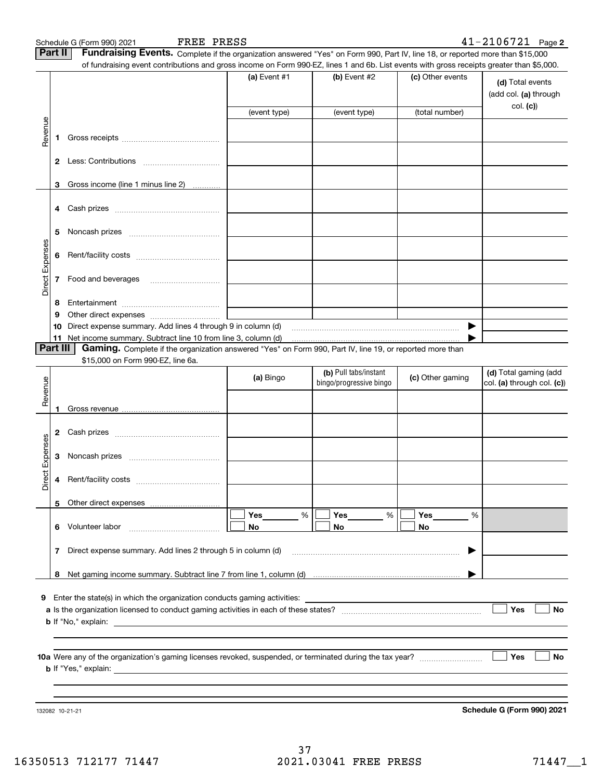|                 | Part II        | FREE PRESS<br>Schedule G (Form 990) 2021<br>Fundraising Events. Complete if the organization answered "Yes" on Form 990, Part IV, line 18, or reported more than \$15,000                                                                 |              |                         |                  | $41 - 2106721$ Page 2                     |
|-----------------|----------------|-------------------------------------------------------------------------------------------------------------------------------------------------------------------------------------------------------------------------------------------|--------------|-------------------------|------------------|-------------------------------------------|
|                 |                | of fundraising event contributions and gross income on Form 990-EZ, lines 1 and 6b. List events with gross receipts greater than \$5,000.                                                                                                 |              |                         |                  |                                           |
|                 |                |                                                                                                                                                                                                                                           | (a) Event #1 | (b) Event $#2$          | (c) Other events | (d) Total events<br>(add col. (a) through |
|                 |                |                                                                                                                                                                                                                                           | (event type) | (event type)            | (total number)   | col. (c)                                  |
| Revenue         |                |                                                                                                                                                                                                                                           |              |                         |                  |                                           |
|                 | 1              |                                                                                                                                                                                                                                           |              |                         |                  |                                           |
|                 | $\mathbf{2}$   |                                                                                                                                                                                                                                           |              |                         |                  |                                           |
|                 | 3              | Gross income (line 1 minus line 2)                                                                                                                                                                                                        |              |                         |                  |                                           |
|                 | 4              |                                                                                                                                                                                                                                           |              |                         |                  |                                           |
|                 | 5              |                                                                                                                                                                                                                                           |              |                         |                  |                                           |
|                 | 6              |                                                                                                                                                                                                                                           |              |                         |                  |                                           |
| Direct Expenses | 7              | Food and beverages                                                                                                                                                                                                                        |              |                         |                  |                                           |
|                 | 8              |                                                                                                                                                                                                                                           |              |                         |                  |                                           |
|                 | 9              |                                                                                                                                                                                                                                           |              |                         |                  |                                           |
|                 | 10             | Direct expense summary. Add lines 4 through 9 in column (d)                                                                                                                                                                               |              |                         |                  |                                           |
|                 | 11<br>Part III | Net income summary. Subtract line 10 from line 3, column (d)                                                                                                                                                                              |              |                         |                  |                                           |
|                 |                | Gaming. Complete if the organization answered "Yes" on Form 990, Part IV, line 19, or reported more than<br>\$15,000 on Form 990-EZ, line 6a.                                                                                             |              |                         |                  |                                           |
|                 |                |                                                                                                                                                                                                                                           |              | (b) Pull tabs/instant   |                  | (d) Total gaming (add                     |
|                 |                |                                                                                                                                                                                                                                           | (a) Bingo    | bingo/progressive bingo | (c) Other gaming | $ col. (a)$ through col. $(c)$            |
| Revenue         |                |                                                                                                                                                                                                                                           |              |                         |                  |                                           |
|                 | 1              |                                                                                                                                                                                                                                           |              |                         |                  |                                           |
|                 | 2              |                                                                                                                                                                                                                                           |              |                         |                  |                                           |
| Expenses        | 3              |                                                                                                                                                                                                                                           |              |                         |                  |                                           |
| ₩.<br>Direc     | 4              |                                                                                                                                                                                                                                           |              |                         |                  |                                           |
|                 | 5              |                                                                                                                                                                                                                                           |              |                         |                  |                                           |
|                 |                |                                                                                                                                                                                                                                           | %            | Yes<br>%                | %                |                                           |
|                 | 6              | Volunteer labor                                                                                                                                                                                                                           | No           | No                      | No               |                                           |
|                 | 7              | Direct expense summary. Add lines 2 through 5 in column (d)                                                                                                                                                                               |              |                         |                  |                                           |
|                 |                |                                                                                                                                                                                                                                           |              |                         |                  |                                           |
|                 | 8              |                                                                                                                                                                                                                                           |              |                         |                  |                                           |
| 9               |                | Enter the state(s) in which the organization conducts gaming activities:                                                                                                                                                                  |              |                         |                  |                                           |
|                 |                |                                                                                                                                                                                                                                           |              |                         |                  | Yes<br>No                                 |
|                 |                | <b>b</b> If "No," explain: <u>example and the set of the set of the set of the set of the set of the set of the set of the set of the set of the set of the set of the set of the set of the set of the set of the set of the set of </u> |              |                         |                  |                                           |
|                 |                |                                                                                                                                                                                                                                           |              |                         |                  |                                           |
|                 |                |                                                                                                                                                                                                                                           |              |                         |                  |                                           |
|                 |                |                                                                                                                                                                                                                                           |              |                         |                  | Yes<br>No                                 |
|                 |                | <b>b</b> If "Yes," explain: <u>the contract of the contract of the contract of the contract of the contract of the contract of the contract of the contract of the contract of the contract of the contract of the contract of the co</u> |              |                         |                  |                                           |
|                 |                |                                                                                                                                                                                                                                           |              |                         |                  |                                           |
|                 |                |                                                                                                                                                                                                                                           |              |                         |                  |                                           |

132082 10-21-21

**Schedule G (Form 990) 2021**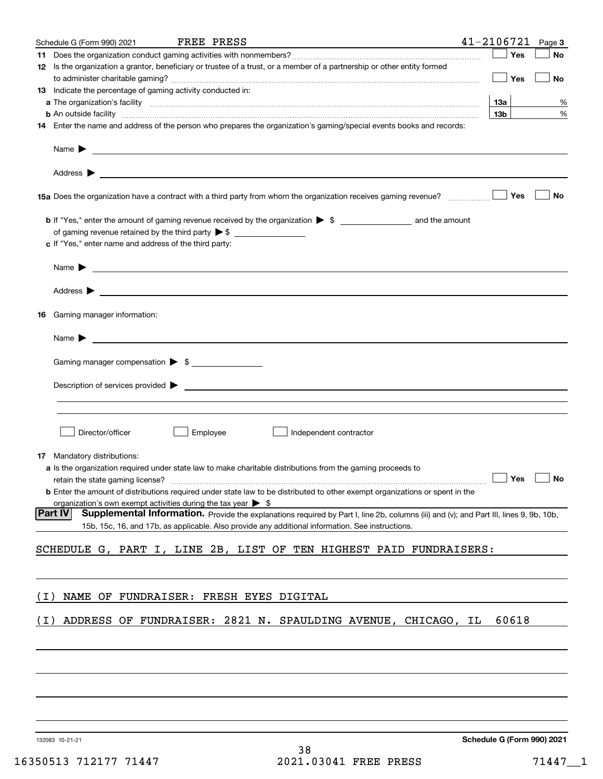| No<br>No<br>%<br>%                                                                                                                     |
|----------------------------------------------------------------------------------------------------------------------------------------|
|                                                                                                                                        |
|                                                                                                                                        |
|                                                                                                                                        |
|                                                                                                                                        |
|                                                                                                                                        |
|                                                                                                                                        |
|                                                                                                                                        |
|                                                                                                                                        |
|                                                                                                                                        |
|                                                                                                                                        |
|                                                                                                                                        |
|                                                                                                                                        |
| No                                                                                                                                     |
|                                                                                                                                        |
|                                                                                                                                        |
|                                                                                                                                        |
|                                                                                                                                        |
|                                                                                                                                        |
|                                                                                                                                        |
|                                                                                                                                        |
|                                                                                                                                        |
|                                                                                                                                        |
|                                                                                                                                        |
|                                                                                                                                        |
|                                                                                                                                        |
|                                                                                                                                        |
|                                                                                                                                        |
|                                                                                                                                        |
|                                                                                                                                        |
|                                                                                                                                        |
|                                                                                                                                        |
|                                                                                                                                        |
|                                                                                                                                        |
|                                                                                                                                        |
|                                                                                                                                        |
|                                                                                                                                        |
| retain the state gaming license? $\Box$ No                                                                                             |
|                                                                                                                                        |
|                                                                                                                                        |
| Supplemental Information. Provide the explanations required by Part I, line 2b, columns (iii) and (v); and Part III, lines 9, 9b, 10b, |
|                                                                                                                                        |
|                                                                                                                                        |
|                                                                                                                                        |
|                                                                                                                                        |
|                                                                                                                                        |
|                                                                                                                                        |
|                                                                                                                                        |
|                                                                                                                                        |
|                                                                                                                                        |
|                                                                                                                                        |
|                                                                                                                                        |
|                                                                                                                                        |
|                                                                                                                                        |
|                                                                                                                                        |
|                                                                                                                                        |
|                                                                                                                                        |

132083 10-21-21

**Schedule G (Form 990) 2021**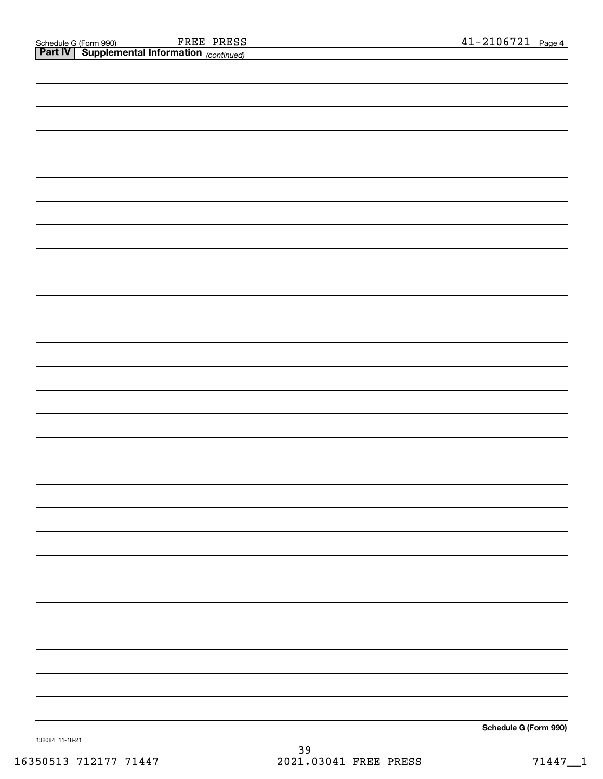| <b>Part IV</b> Supplemental Information (continued) |                       |
|-----------------------------------------------------|-----------------------|
|                                                     |                       |
|                                                     |                       |
|                                                     |                       |
|                                                     |                       |
|                                                     |                       |
|                                                     |                       |
|                                                     |                       |
|                                                     |                       |
|                                                     |                       |
|                                                     |                       |
|                                                     |                       |
|                                                     |                       |
|                                                     |                       |
|                                                     |                       |
|                                                     |                       |
|                                                     |                       |
|                                                     |                       |
|                                                     |                       |
|                                                     |                       |
|                                                     |                       |
|                                                     |                       |
|                                                     |                       |
|                                                     |                       |
|                                                     |                       |
|                                                     |                       |
|                                                     |                       |
|                                                     |                       |
|                                                     |                       |
|                                                     |                       |
|                                                     |                       |
|                                                     |                       |
|                                                     |                       |
|                                                     |                       |
|                                                     |                       |
|                                                     |                       |
|                                                     |                       |
|                                                     |                       |
|                                                     |                       |
|                                                     |                       |
|                                                     |                       |
|                                                     |                       |
|                                                     |                       |
|                                                     |                       |
|                                                     |                       |
|                                                     |                       |
|                                                     |                       |
|                                                     |                       |
|                                                     |                       |
|                                                     |                       |
|                                                     | Schedule G (Form 990) |

132084 11-18-21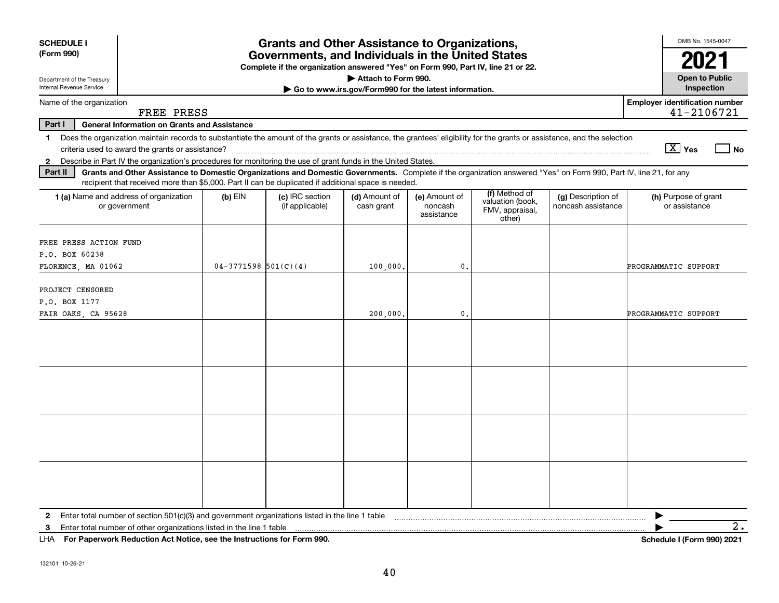| <b>SCHEDULE I</b><br>(Form 990)                                                                                                                                                                                                                                                      | <b>Grants and Other Assistance to Organizations,</b><br>Governments, and Individuals in the United States<br>Complete if the organization answered "Yes" on Form 990, Part IV, line 21 or 22. |                                    |                                                       |                                        |                                                                |                                          |                                                     |  |  |  |  |
|--------------------------------------------------------------------------------------------------------------------------------------------------------------------------------------------------------------------------------------------------------------------------------------|-----------------------------------------------------------------------------------------------------------------------------------------------------------------------------------------------|------------------------------------|-------------------------------------------------------|----------------------------------------|----------------------------------------------------------------|------------------------------------------|-----------------------------------------------------|--|--|--|--|
| Department of the Treasury                                                                                                                                                                                                                                                           |                                                                                                                                                                                               |                                    | Attach to Form 990.                                   |                                        |                                                                |                                          | <b>Open to Public</b>                               |  |  |  |  |
| Internal Revenue Service                                                                                                                                                                                                                                                             |                                                                                                                                                                                               |                                    | Go to www.irs.gov/Form990 for the latest information. |                                        |                                                                |                                          | Inspection                                          |  |  |  |  |
| Name of the organization<br>FREE PRESS                                                                                                                                                                                                                                               |                                                                                                                                                                                               |                                    |                                                       |                                        |                                                                |                                          | <b>Employer identification number</b><br>41-2106721 |  |  |  |  |
| Part I<br><b>General Information on Grants and Assistance</b>                                                                                                                                                                                                                        |                                                                                                                                                                                               |                                    |                                                       |                                        |                                                                |                                          |                                                     |  |  |  |  |
| Does the organization maintain records to substantiate the amount of the grants or assistance, the grantees' eligibility for the grants or assistance, and the selection<br>$\mathbf 1$                                                                                              |                                                                                                                                                                                               |                                    |                                                       |                                        |                                                                |                                          | $\boxed{\text{X}}$ Yes<br>$ $ No                    |  |  |  |  |
| Describe in Part IV the organization's procedures for monitoring the use of grant funds in the United States.<br>$\mathbf{2}$                                                                                                                                                        |                                                                                                                                                                                               |                                    |                                                       |                                        |                                                                |                                          |                                                     |  |  |  |  |
| Grants and Other Assistance to Domestic Organizations and Domestic Governments. Complete if the organization answered "Yes" on Form 990, Part IV, line 21, for any<br>Part II<br>recipient that received more than \$5,000. Part II can be duplicated if additional space is needed. |                                                                                                                                                                                               |                                    |                                                       |                                        |                                                                |                                          |                                                     |  |  |  |  |
| 1 (a) Name and address of organization<br>or government                                                                                                                                                                                                                              | $(b)$ EIN                                                                                                                                                                                     | (c) IRC section<br>(if applicable) | (d) Amount of<br>cash grant                           | (e) Amount of<br>noncash<br>assistance | (f) Method of<br>valuation (book,<br>FMV, appraisal,<br>other) | (g) Description of<br>noncash assistance | (h) Purpose of grant<br>or assistance               |  |  |  |  |
| FREE PRESS ACTION FUND<br>P.O. BOX 60238<br>FLORENCE, MA 01062                                                                                                                                                                                                                       | $04-3771598$ 501(C)(4)                                                                                                                                                                        |                                    | 100,000.                                              | $\mathbf{0}$ .                         |                                                                |                                          | PROGRAMMATIC SUPPORT                                |  |  |  |  |
| PROJECT CENSORED<br>P.O. BOX 1177<br>FAIR OAKS, CA 95628                                                                                                                                                                                                                             |                                                                                                                                                                                               |                                    | 200,000.                                              | 0.                                     |                                                                |                                          | PROGRAMMATIC SUPPORT                                |  |  |  |  |
|                                                                                                                                                                                                                                                                                      |                                                                                                                                                                                               |                                    |                                                       |                                        |                                                                |                                          |                                                     |  |  |  |  |
|                                                                                                                                                                                                                                                                                      |                                                                                                                                                                                               |                                    |                                                       |                                        |                                                                |                                          |                                                     |  |  |  |  |
|                                                                                                                                                                                                                                                                                      |                                                                                                                                                                                               |                                    |                                                       |                                        |                                                                |                                          |                                                     |  |  |  |  |
|                                                                                                                                                                                                                                                                                      |                                                                                                                                                                                               |                                    |                                                       |                                        |                                                                |                                          |                                                     |  |  |  |  |
| Enter total number of section 501(c)(3) and government organizations listed in the line 1 table<br>$\mathbf{2}$<br>3<br>$\sim$ $\sim$ $\sim$ $\sim$ $\sim$<br>.                                                                                                                      | and the state of the state of the state of the state of the state of the state of the state of the state of the                                                                               |                                    |                                                       |                                        |                                                                |                                          | $\overline{2}$ .                                    |  |  |  |  |

**For Paperwork Reduction Act Notice, see the Instructions for Form 990. Schedule I (Form 990) 2021** LHA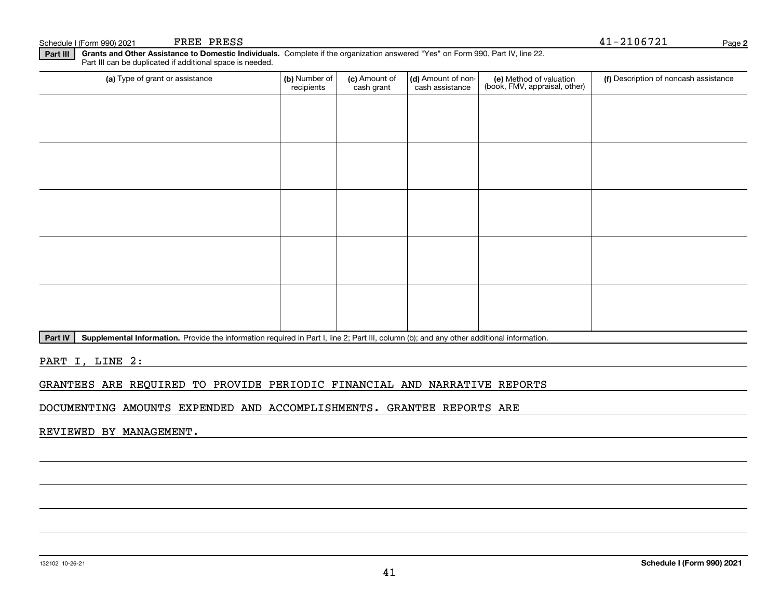#### **Part III Grants and Other Assistance to Domestic Individuals.**  Complete if the organization answered "Yes" on Form 990, Part IV, line 22. Part III can be duplicated if additional space is needed.

| (a) Type of grant or assistance | (b) Number of<br>recipients | (c) Amount of<br>cash grant | (d) Amount of non-<br>cash assistance | (e) Method of valuation<br>(book, FMV, appraisal, other) | (f) Description of noncash assistance |
|---------------------------------|-----------------------------|-----------------------------|---------------------------------------|----------------------------------------------------------|---------------------------------------|
|                                 |                             |                             |                                       |                                                          |                                       |
|                                 |                             |                             |                                       |                                                          |                                       |
|                                 |                             |                             |                                       |                                                          |                                       |
|                                 |                             |                             |                                       |                                                          |                                       |
|                                 |                             |                             |                                       |                                                          |                                       |
|                                 |                             |                             |                                       |                                                          |                                       |
|                                 |                             |                             |                                       |                                                          |                                       |
|                                 |                             |                             |                                       |                                                          |                                       |
|                                 |                             |                             |                                       |                                                          |                                       |
|                                 |                             |                             |                                       |                                                          |                                       |

Part IV | Supplemental Information. Provide the information required in Part I, line 2; Part III, column (b); and any other additional information.

PART I, LINE 2:

## GRANTEES ARE REQUIRED TO PROVIDE PERIODIC FINANCIAL AND NARRATIVE REPORTS

DOCUMENTING AMOUNTS EXPENDED AND ACCOMPLISHMENTS. GRANTEE REPORTS ARE

REVIEWED BY MANAGEMENT.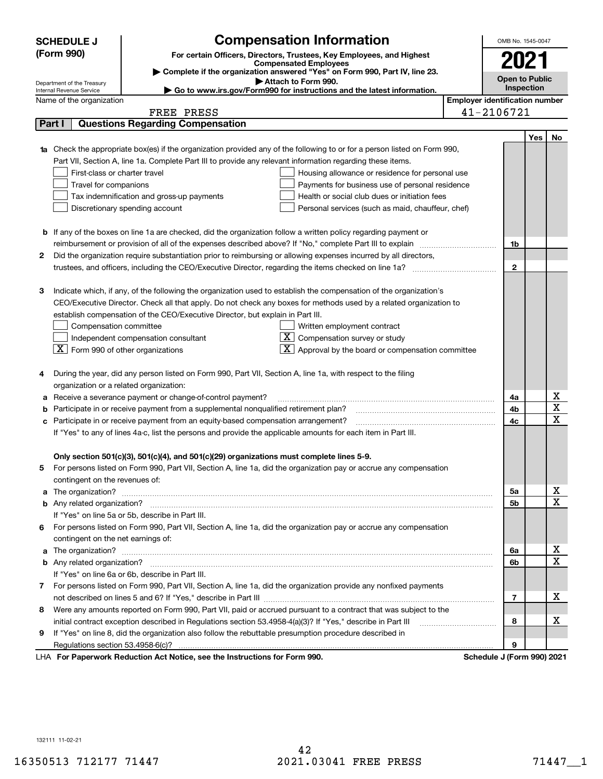|                                                                                                               | <b>SCHEDULE J</b>                                                                                                  |                                                                                          | <b>Compensation Information</b>                                                                                                                                                                                                      |                                       | OMB No. 1545-0047          |     |    |
|---------------------------------------------------------------------------------------------------------------|--------------------------------------------------------------------------------------------------------------------|------------------------------------------------------------------------------------------|--------------------------------------------------------------------------------------------------------------------------------------------------------------------------------------------------------------------------------------|---------------------------------------|----------------------------|-----|----|
|                                                                                                               | (Form 990)                                                                                                         |                                                                                          | For certain Officers, Directors, Trustees, Key Employees, and Highest                                                                                                                                                                |                                       |                            |     |    |
|                                                                                                               |                                                                                                                    |                                                                                          | <b>Compensated Employees</b><br>Complete if the organization answered "Yes" on Form 990, Part IV, line 23.                                                                                                                           |                                       | 2021                       |     |    |
|                                                                                                               |                                                                                                                    |                                                                                          | <b>Open to Public</b>                                                                                                                                                                                                                |                                       |                            |     |    |
|                                                                                                               | Department of the Treasury<br>Internal Revenue Service                                                             |                                                                                          | Inspection                                                                                                                                                                                                                           |                                       |                            |     |    |
|                                                                                                               | Name of the organization                                                                                           |                                                                                          | Go to www.irs.gov/Form990 for instructions and the latest information.                                                                                                                                                               | <b>Employer identification number</b> |                            |     |    |
|                                                                                                               |                                                                                                                    | FREE PRESS                                                                               |                                                                                                                                                                                                                                      |                                       | 41-2106721                 |     |    |
|                                                                                                               | Part I                                                                                                             | <b>Questions Regarding Compensation</b>                                                  |                                                                                                                                                                                                                                      |                                       |                            |     |    |
|                                                                                                               |                                                                                                                    |                                                                                          |                                                                                                                                                                                                                                      |                                       |                            | Yes | No |
|                                                                                                               |                                                                                                                    |                                                                                          | Check the appropriate box(es) if the organization provided any of the following to or for a person listed on Form 990,                                                                                                               |                                       |                            |     |    |
|                                                                                                               |                                                                                                                    |                                                                                          | Part VII, Section A, line 1a. Complete Part III to provide any relevant information regarding these items.                                                                                                                           |                                       |                            |     |    |
|                                                                                                               | First-class or charter travel                                                                                      |                                                                                          | Housing allowance or residence for personal use                                                                                                                                                                                      |                                       |                            |     |    |
|                                                                                                               | Travel for companions                                                                                              |                                                                                          | Payments for business use of personal residence                                                                                                                                                                                      |                                       |                            |     |    |
|                                                                                                               |                                                                                                                    | Tax indemnification and gross-up payments                                                | Health or social club dues or initiation fees                                                                                                                                                                                        |                                       |                            |     |    |
|                                                                                                               |                                                                                                                    | Discretionary spending account                                                           | Personal services (such as maid, chauffeur, chef)                                                                                                                                                                                    |                                       |                            |     |    |
|                                                                                                               |                                                                                                                    |                                                                                          |                                                                                                                                                                                                                                      |                                       |                            |     |    |
|                                                                                                               |                                                                                                                    |                                                                                          | <b>b</b> If any of the boxes on line 1a are checked, did the organization follow a written policy regarding payment or                                                                                                               |                                       |                            |     |    |
|                                                                                                               |                                                                                                                    |                                                                                          | reimbursement or provision of all of the expenses described above? If "No," complete Part III to explain                                                                                                                             |                                       | 1b                         |     |    |
| 2                                                                                                             |                                                                                                                    |                                                                                          | Did the organization require substantiation prior to reimbursing or allowing expenses incurred by all directors,                                                                                                                     |                                       |                            |     |    |
|                                                                                                               |                                                                                                                    |                                                                                          |                                                                                                                                                                                                                                      |                                       | $\mathbf{2}$               |     |    |
|                                                                                                               |                                                                                                                    |                                                                                          |                                                                                                                                                                                                                                      |                                       |                            |     |    |
| З                                                                                                             |                                                                                                                    |                                                                                          | Indicate which, if any, of the following the organization used to establish the compensation of the organization's                                                                                                                   |                                       |                            |     |    |
|                                                                                                               |                                                                                                                    |                                                                                          | CEO/Executive Director. Check all that apply. Do not check any boxes for methods used by a related organization to                                                                                                                   |                                       |                            |     |    |
|                                                                                                               |                                                                                                                    | establish compensation of the CEO/Executive Director, but explain in Part III.           |                                                                                                                                                                                                                                      |                                       |                            |     |    |
|                                                                                                               | Compensation committee<br>Written employment contract                                                              |                                                                                          |                                                                                                                                                                                                                                      |                                       |                            |     |    |
|                                                                                                               |                                                                                                                    | Independent compensation consultant                                                      | $X$ Compensation survey or study                                                                                                                                                                                                     |                                       |                            |     |    |
|                                                                                                               | $\boxed{\textbf{X}}$ Form 990 of other organizations                                                               |                                                                                          | $\overline{X}$ Approval by the board or compensation committee                                                                                                                                                                       |                                       |                            |     |    |
|                                                                                                               |                                                                                                                    |                                                                                          |                                                                                                                                                                                                                                      |                                       |                            |     |    |
| 4                                                                                                             |                                                                                                                    |                                                                                          | During the year, did any person listed on Form 990, Part VII, Section A, line 1a, with respect to the filing                                                                                                                         |                                       |                            |     |    |
|                                                                                                               | organization or a related organization:                                                                            |                                                                                          |                                                                                                                                                                                                                                      |                                       |                            |     |    |
| а                                                                                                             |                                                                                                                    | Receive a severance payment or change-of-control payment?                                |                                                                                                                                                                                                                                      |                                       | 4a                         |     | х  |
| b                                                                                                             | Participate in or receive payment from a supplemental nonqualified retirement plan?                                |                                                                                          |                                                                                                                                                                                                                                      |                                       |                            |     | X  |
| c                                                                                                             | Participate in or receive payment from an equity-based compensation arrangement?                                   |                                                                                          |                                                                                                                                                                                                                                      |                                       |                            |     | X  |
| If "Yes" to any of lines 4a-c, list the persons and provide the applicable amounts for each item in Part III. |                                                                                                                    |                                                                                          |                                                                                                                                                                                                                                      |                                       |                            |     |    |
|                                                                                                               |                                                                                                                    |                                                                                          |                                                                                                                                                                                                                                      |                                       |                            |     |    |
|                                                                                                               |                                                                                                                    | Only section 501(c)(3), 501(c)(4), and 501(c)(29) organizations must complete lines 5-9. |                                                                                                                                                                                                                                      |                                       |                            |     |    |
|                                                                                                               |                                                                                                                    |                                                                                          | For persons listed on Form 990, Part VII, Section A, line 1a, did the organization pay or accrue any compensation                                                                                                                    |                                       |                            |     |    |
|                                                                                                               | contingent on the revenues of:                                                                                     |                                                                                          |                                                                                                                                                                                                                                      |                                       |                            |     |    |
| a                                                                                                             |                                                                                                                    |                                                                                          | The organization? <b>With the contract of the contract of the contract of the contract of the contract of the contract of the contract of the contract of the contract of the contract of the contract of the contract of the co</b> |                                       | 5a                         |     | x  |
|                                                                                                               |                                                                                                                    |                                                                                          |                                                                                                                                                                                                                                      |                                       | 5b                         |     | X  |
|                                                                                                               |                                                                                                                    | If "Yes" on line 5a or 5b, describe in Part III.                                         |                                                                                                                                                                                                                                      |                                       |                            |     |    |
|                                                                                                               |                                                                                                                    |                                                                                          | 6 For persons listed on Form 990, Part VII, Section A, line 1a, did the organization pay or accrue any compensation                                                                                                                  |                                       |                            |     |    |
|                                                                                                               | contingent on the net earnings of:                                                                                 |                                                                                          |                                                                                                                                                                                                                                      |                                       |                            |     |    |
| a                                                                                                             |                                                                                                                    |                                                                                          |                                                                                                                                                                                                                                      |                                       |                            |     | x  |
|                                                                                                               |                                                                                                                    |                                                                                          |                                                                                                                                                                                                                                      |                                       | 6b                         |     | X  |
|                                                                                                               |                                                                                                                    | If "Yes" on line 6a or 6b, describe in Part III.                                         |                                                                                                                                                                                                                                      |                                       |                            |     |    |
|                                                                                                               | 7 For persons listed on Form 990, Part VII, Section A, line 1a, did the organization provide any nonfixed payments |                                                                                          |                                                                                                                                                                                                                                      |                                       |                            |     |    |
|                                                                                                               |                                                                                                                    |                                                                                          |                                                                                                                                                                                                                                      |                                       |                            |     |    |
|                                                                                                               |                                                                                                                    |                                                                                          | 8 Were any amounts reported on Form 990, Part VII, paid or accrued pursuant to a contract that was subject to the                                                                                                                    |                                       |                            |     |    |
|                                                                                                               |                                                                                                                    |                                                                                          | initial contract exception described in Regulations section 53.4958-4(a)(3)? If "Yes," describe in Part III                                                                                                                          |                                       | 8                          |     | х  |
| 9                                                                                                             |                                                                                                                    |                                                                                          | If "Yes" on line 8, did the organization also follow the rebuttable presumption procedure described in                                                                                                                               |                                       |                            |     |    |
|                                                                                                               | Regulations section 53.4958-6(c)?                                                                                  |                                                                                          |                                                                                                                                                                                                                                      |                                       | 9                          |     |    |
|                                                                                                               |                                                                                                                    | LHA For Paperwork Reduction Act Notice, see the Instructions for Form 990.               |                                                                                                                                                                                                                                      |                                       | Schedule J (Form 990) 2021 |     |    |

132111 11-02-21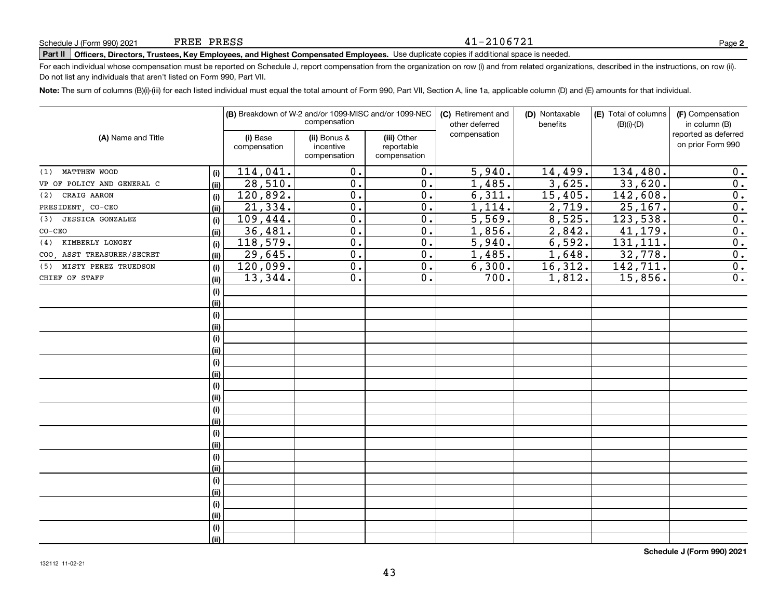#### 41-2106721

# **Part II Officers, Directors, Trustees, Key Employees, and Highest Compensated Employees.**  Schedule J (Form 990) 2021 Page Use duplicate copies if additional space is needed.

For each individual whose compensation must be reported on Schedule J, report compensation from the organization on row (i) and from related organizations, described in the instructions, on row (ii). Do not list any individuals that aren't listed on Form 990, Part VII.

**Note:**  The sum of columns (B)(i)-(iii) for each listed individual must equal the total amount of Form 990, Part VII, Section A, line 1a, applicable column (D) and (E) amounts for that individual.

|                             |      |                          | (B) Breakdown of W-2 and/or 1099-MISC and/or 1099-NEC<br>compensation |                                           | (C) Retirement and<br>other deferred | (D) Nontaxable<br>benefits | (E) Total of columns<br>$(B)(i)-(D)$ | (F) Compensation<br>in column (B)         |
|-----------------------------|------|--------------------------|-----------------------------------------------------------------------|-------------------------------------------|--------------------------------------|----------------------------|--------------------------------------|-------------------------------------------|
| (A) Name and Title          |      | (i) Base<br>compensation | (ii) Bonus &<br>incentive<br>compensation                             | (iii) Other<br>reportable<br>compensation | compensation                         |                            |                                      | reported as deferred<br>on prior Form 990 |
| (1) MATTHEW WOOD            | (i)  | 114,041.                 | 0.                                                                    | 0.                                        | $\overline{5,940}$ .                 | 14,499.                    | 134,480.                             | 0.                                        |
| VP OF POLICY AND GENERAL C  | (ii) | 28,510.                  | 0.                                                                    | $\overline{0}$ .                          | 1,485.                               | 3,625.                     | 33,620.                              | $\overline{0}$ .                          |
| (2) CRAIG AARON             | (i)  | 120,892.                 | $\mathbf 0$ .                                                         | $\overline{0}$ .                          | 6,311.                               | 15,405.                    | 142,608.                             | $\overline{0}$ .                          |
| PRESIDENT, CO-CEO           | (ii) | 21,334.                  | 0.                                                                    | 0.                                        | 1,114.                               | 2,719.                     | 25, 167.                             | $\overline{0}$ .                          |
| (3) JESSICA GONZALEZ        | (i)  | 109,444.                 | $\mathbf 0$ .                                                         | 0.                                        | $\overline{5,569}$ .                 | 8,525.                     | 123,538.                             | $\overline{0}$ .                          |
| $CO-CEO$                    | (ii) | 36,481.                  | $\overline{0}$ .                                                      | $\overline{0}$ .                          | 1,856.                               | 2,842.                     | 41,179.                              | $\overline{0}$ .                          |
| KIMBERLY LONGEY<br>(4)      | (i)  | 118,579.                 | $\mathbf 0$ .                                                         | 0.                                        | 5,940.                               | 6,592.                     | 131, 111.                            | $\overline{0}$ .                          |
| COO, ASST TREASURER/SECRET  | (ii) | 29,645.                  | 0.                                                                    | 0.                                        | 1,485.                               | 1,648.                     | 32,778.                              | $\overline{0}$ .                          |
| MISTY PEREZ TRUEDSON<br>(5) | (i)  | 120,099.                 | 0.                                                                    | 0.                                        | 6,300.                               | 16,312.                    | 142,711.                             | 0.                                        |
| CHIEF OF STAFF              | (ii) | 13,344.                  | 0.                                                                    | 0.                                        | 700.                                 | 1,812.                     | 15,856.                              | $\overline{0}$ .                          |
|                             | (i)  |                          |                                                                       |                                           |                                      |                            |                                      |                                           |
|                             | (ii) |                          |                                                                       |                                           |                                      |                            |                                      |                                           |
|                             | (i)  |                          |                                                                       |                                           |                                      |                            |                                      |                                           |
|                             | (ii) |                          |                                                                       |                                           |                                      |                            |                                      |                                           |
|                             | (i)  |                          |                                                                       |                                           |                                      |                            |                                      |                                           |
|                             | (ii) |                          |                                                                       |                                           |                                      |                            |                                      |                                           |
|                             | (i)  |                          |                                                                       |                                           |                                      |                            |                                      |                                           |
|                             | (ii) |                          |                                                                       |                                           |                                      |                            |                                      |                                           |
|                             | (i)  |                          |                                                                       |                                           |                                      |                            |                                      |                                           |
|                             | (ii) |                          |                                                                       |                                           |                                      |                            |                                      |                                           |
|                             | (i)  |                          |                                                                       |                                           |                                      |                            |                                      |                                           |
|                             | (ii) |                          |                                                                       |                                           |                                      |                            |                                      |                                           |
|                             | (i)  |                          |                                                                       |                                           |                                      |                            |                                      |                                           |
|                             | (ii) |                          |                                                                       |                                           |                                      |                            |                                      |                                           |
|                             | (i)  |                          |                                                                       |                                           |                                      |                            |                                      |                                           |
|                             | (ii) |                          |                                                                       |                                           |                                      |                            |                                      |                                           |
|                             | (i)  |                          |                                                                       |                                           |                                      |                            |                                      |                                           |
|                             | (ii) |                          |                                                                       |                                           |                                      |                            |                                      |                                           |
|                             | (i)  |                          |                                                                       |                                           |                                      |                            |                                      |                                           |
|                             | (ii) |                          |                                                                       |                                           |                                      |                            |                                      |                                           |
|                             | (i)  |                          |                                                                       |                                           |                                      |                            |                                      |                                           |
|                             | (ii) |                          |                                                                       |                                           |                                      |                            |                                      |                                           |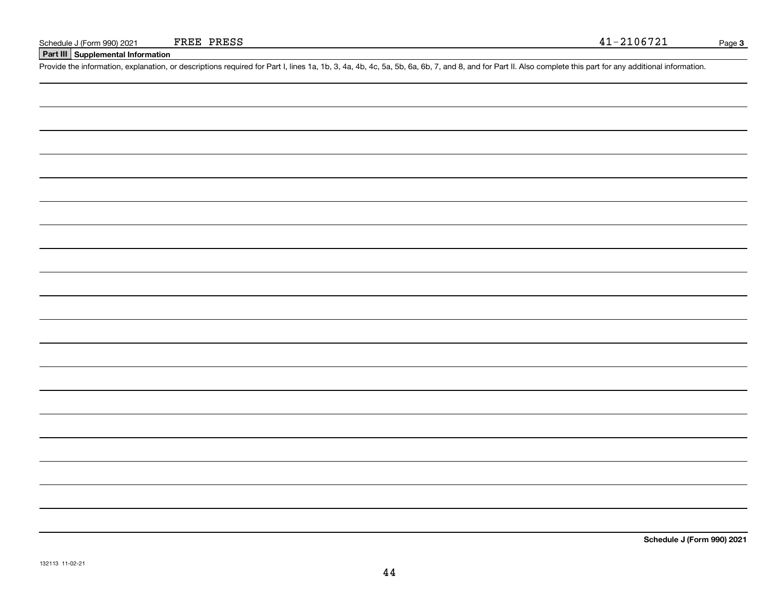**Part III Supplemental Information**

Schedule J (Form 990) 2021 FREE PRESS 41 - 2106721<br>Part III Supplemental Information<br>Provide the information, explanation, or descriptions required for Part I, lines 1a, 1b, 3, 4a, 4b, 4c, 5a, 5b, 6a, 6b, 7, and 8, and fo

**Schedule J (Form 990) 2021**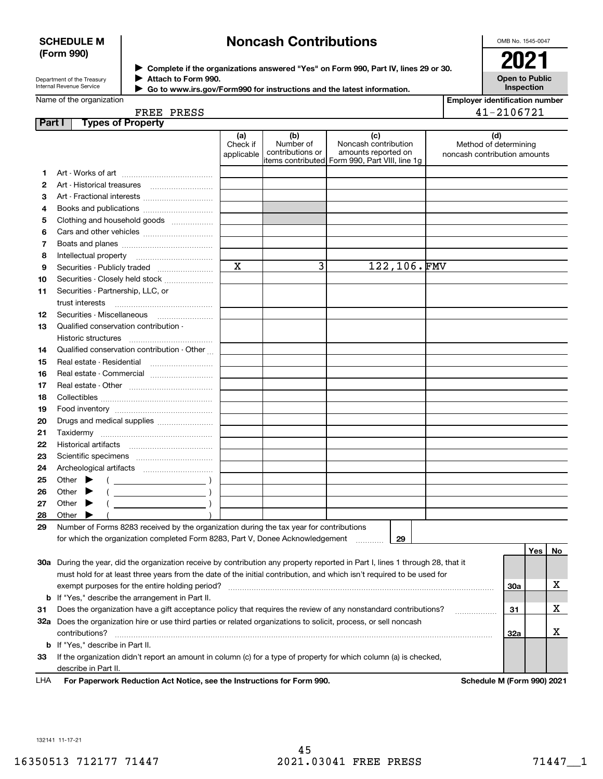### **SCHEDULE M (Form 990)**

## **Noncash Contributions**

OMB No. 1545-0047

Department of the Treasury Internal Revenue Service

**Complete if the organizations answered "Yes" on Form 990, Part IV, lines 29 or 30.** <sup>J</sup>**2021 Attach to Form 990.** J

**Open to Public Inspection**

| Internal Revenue Service | Go to www.irs.gov/Form990 for instructions and the latest information. |
|--------------------------|------------------------------------------------------------------------|
| Name of the organization |                                                                        |

| <b>Employer identification number</b> |
|---------------------------------------|
| 41-2106721                            |

| FREE PRESS |  |
|------------|--|
|            |  |

| Part I | <b>Types of Property</b>                                                                                                       |                               |                                      |                                                                                                       |                                                              |     |     |    |
|--------|--------------------------------------------------------------------------------------------------------------------------------|-------------------------------|--------------------------------------|-------------------------------------------------------------------------------------------------------|--------------------------------------------------------------|-----|-----|----|
|        |                                                                                                                                | (a)<br>Check if<br>applicable | (b)<br>Number of<br>contributions or | (c)<br>Noncash contribution<br>amounts reported on<br>litems contributed Form 990, Part VIII, line 1g | (d)<br>Method of determining<br>noncash contribution amounts |     |     |    |
|        |                                                                                                                                |                               |                                      |                                                                                                       |                                                              |     |     |    |
| 1      |                                                                                                                                |                               |                                      |                                                                                                       |                                                              |     |     |    |
| 2      | Art - Historical treasures                                                                                                     |                               |                                      |                                                                                                       |                                                              |     |     |    |
| З      | Art - Fractional interests                                                                                                     |                               |                                      |                                                                                                       |                                                              |     |     |    |
| 4      | Books and publications                                                                                                         |                               |                                      |                                                                                                       |                                                              |     |     |    |
| 5      | Clothing and household goods                                                                                                   |                               |                                      |                                                                                                       |                                                              |     |     |    |
| 6      |                                                                                                                                |                               |                                      |                                                                                                       |                                                              |     |     |    |
| 7      |                                                                                                                                |                               |                                      |                                                                                                       |                                                              |     |     |    |
| 8      | Intellectual property                                                                                                          | х                             | 3                                    | 122,106.FMV                                                                                           |                                                              |     |     |    |
| 9      | Securities - Publicly traded                                                                                                   |                               |                                      |                                                                                                       |                                                              |     |     |    |
| 10     | Securities - Closely held stock                                                                                                |                               |                                      |                                                                                                       |                                                              |     |     |    |
| 11     | Securities - Partnership, LLC, or                                                                                              |                               |                                      |                                                                                                       |                                                              |     |     |    |
|        | trust interests                                                                                                                |                               |                                      |                                                                                                       |                                                              |     |     |    |
| 12     | Securities - Miscellaneous                                                                                                     |                               |                                      |                                                                                                       |                                                              |     |     |    |
| 13     | Qualified conservation contribution -                                                                                          |                               |                                      |                                                                                                       |                                                              |     |     |    |
|        | Historic structures                                                                                                            |                               |                                      |                                                                                                       |                                                              |     |     |    |
| 14     | Qualified conservation contribution - Other                                                                                    |                               |                                      |                                                                                                       |                                                              |     |     |    |
| 15     | Real estate - Residential                                                                                                      |                               |                                      |                                                                                                       |                                                              |     |     |    |
| 16     |                                                                                                                                |                               |                                      |                                                                                                       |                                                              |     |     |    |
| 17     |                                                                                                                                |                               |                                      |                                                                                                       |                                                              |     |     |    |
| 18     |                                                                                                                                |                               |                                      |                                                                                                       |                                                              |     |     |    |
| 19     |                                                                                                                                |                               |                                      |                                                                                                       |                                                              |     |     |    |
| 20     | Drugs and medical supplies                                                                                                     |                               |                                      |                                                                                                       |                                                              |     |     |    |
| 21     |                                                                                                                                |                               |                                      |                                                                                                       |                                                              |     |     |    |
| 22     |                                                                                                                                |                               |                                      |                                                                                                       |                                                              |     |     |    |
| 23     |                                                                                                                                |                               |                                      |                                                                                                       |                                                              |     |     |    |
| 24     |                                                                                                                                |                               |                                      |                                                                                                       |                                                              |     |     |    |
| 25     | Other $\blacktriangleright$<br>$\overline{\phantom{a}}$ )                                                                      |                               |                                      |                                                                                                       |                                                              |     |     |    |
| 26     | Other<br>$\overline{\phantom{a}}$ )<br>▸                                                                                       |                               |                                      |                                                                                                       |                                                              |     |     |    |
| 27     | Other<br>$\overline{\phantom{a}}$ )<br>▸                                                                                       |                               |                                      |                                                                                                       |                                                              |     |     |    |
| 28     | Other                                                                                                                          |                               |                                      |                                                                                                       |                                                              |     |     |    |
| 29     | Number of Forms 8283 received by the organization during the tax year for contributions                                        |                               |                                      |                                                                                                       |                                                              |     |     |    |
|        | for which the organization completed Form 8283, Part V, Donee Acknowledgement                                                  |                               |                                      | 29                                                                                                    |                                                              |     |     |    |
|        |                                                                                                                                |                               |                                      |                                                                                                       |                                                              |     | Yes | No |
|        | 30a During the year, did the organization receive by contribution any property reported in Part I, lines 1 through 28, that it |                               |                                      |                                                                                                       |                                                              |     |     |    |
|        | must hold for at least three years from the date of the initial contribution, and which isn't required to be used for          |                               |                                      |                                                                                                       |                                                              |     |     |    |
|        | exempt purposes for the entire holding period?                                                                                 |                               |                                      |                                                                                                       |                                                              | 30a |     | х  |
|        | <b>b</b> If "Yes," describe the arrangement in Part II.                                                                        |                               |                                      |                                                                                                       |                                                              |     |     |    |
| 31     | Does the organization have a gift acceptance policy that requires the review of any nonstandard contributions?                 |                               |                                      |                                                                                                       | .                                                            | 31  |     | x  |
|        | 32a Does the organization hire or use third parties or related organizations to solicit, process, or sell noncash              |                               |                                      |                                                                                                       |                                                              |     |     |    |
|        | contributions?                                                                                                                 |                               |                                      |                                                                                                       |                                                              | 32a |     | x  |
|        | <b>b</b> If "Yes," describe in Part II.                                                                                        |                               |                                      |                                                                                                       |                                                              |     |     |    |
| 33     | If the organization didn't report an amount in column (c) for a type of property for which column (a) is checked,              |                               |                                      |                                                                                                       |                                                              |     |     |    |
|        | describe in Part II.                                                                                                           |                               |                                      |                                                                                                       |                                                              |     |     |    |

**For Paperwork Reduction Act Notice, see the Instructions for Form 990. Schedule M (Form 990) 2021** LHA

132141 11-17-21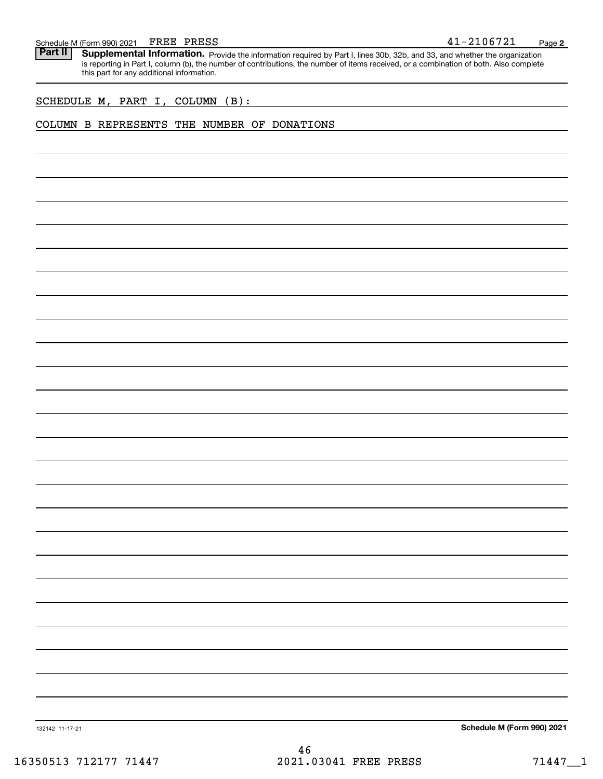Schedule M (Form 990) 2021 FREE PRESS<br>**Part II** Supplemental Information. Provide the information required by Part I. lines 30b. 32b. and 33, and whether the organ Part II | Supplemental Information. Provide the information required by Part I, lines 30b, 32b, and 33, and whether the organization is reporting in Part I, column (b), the number of contributions, the number of items received, or a combination of both. Also complete this part for any additional information.

SCHEDULE M, PART I, COLUMN (B):

## COLUMN B REPRESENTS THE NUMBER OF DONATIONS

**Schedule M (Form 990) 2021**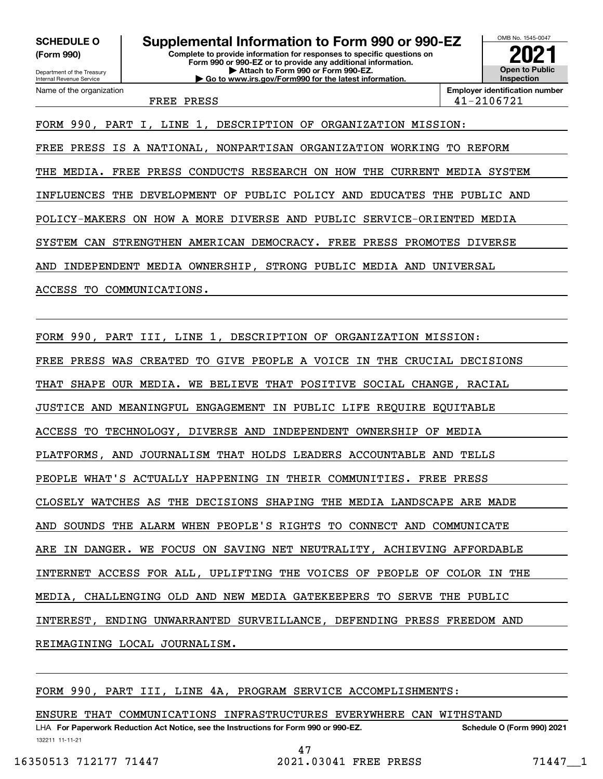**(Form 990)**

Department of the Treasury Internal Revenue Service

Name of the organization



**Employer identification number** FREE PRESS 41-2106721

FORM 990, PART I, LINE 1, DESCRIPTION OF ORGANIZATION MISSION: FREE PRESS IS A NATIONAL, NONPARTISAN ORGANIZATION WORKING TO REFORM THE MEDIA. FREE PRESS CONDUCTS RESEARCH ON HOW THE CURRENT MEDIA SYSTEM INFLUENCES THE DEVELOPMENT OF PUBLIC POLICY AND EDUCATES THE PUBLIC AND POLICY-MAKERS ON HOW A MORE DIVERSE AND PUBLIC SERVICE-ORIENTED MEDIA SYSTEM CAN STRENGTHEN AMERICAN DEMOCRACY. FREE PRESS PROMOTES DIVERSE AND INDEPENDENT MEDIA OWNERSHIP, STRONG PUBLIC MEDIA AND UNIVERSAL ACCESS TO COMMUNICATIONS.

FORM 990, PART III, LINE 1, DESCRIPTION OF ORGANIZATION MISSION:

FREE PRESS WAS CREATED TO GIVE PEOPLE A VOICE IN THE CRUCIAL DECISIONS

THAT SHAPE OUR MEDIA. WE BELIEVE THAT POSITIVE SOCIAL CHANGE, RACIAL

JUSTICE AND MEANINGFUL ENGAGEMENT IN PUBLIC LIFE REQUIRE EQUITABLE

ACCESS TO TECHNOLOGY, DIVERSE AND INDEPENDENT OWNERSHIP OF MEDIA

PLATFORMS, AND JOURNALISM THAT HOLDS LEADERS ACCOUNTABLE AND TELLS

PEOPLE WHAT'S ACTUALLY HAPPENING IN THEIR COMMUNITIES. FREE PRESS

CLOSELY WATCHES AS THE DECISIONS SHAPING THE MEDIA LANDSCAPE ARE MADE

AND SOUNDS THE ALARM WHEN PEOPLE'S RIGHTS TO CONNECT AND COMMUNICATE

ARE IN DANGER. WE FOCUS ON SAVING NET NEUTRALITY, ACHIEVING AFFORDABLE

INTERNET ACCESS FOR ALL, UPLIFTING THE VOICES OF PEOPLE OF COLOR IN THE

MEDIA, CHALLENGING OLD AND NEW MEDIA GATEKEEPERS TO SERVE THE PUBLIC

INTEREST, ENDING UNWARRANTED SURVEILLANCE, DEFENDING PRESS FREEDOM AND

REIMAGINING LOCAL JOURNALISM.

FORM 990, PART III, LINE 4A, PROGRAM SERVICE ACCOMPLISHMENTS:

132211 11-11-21 LHA For Paperwork Reduction Act Notice, see the Instructions for Form 990 or 990-EZ. Schedule O (Form 990) 2021 ENSURE THAT COMMUNICATIONS INFRASTRUCTURES EVERYWHERE CAN WITHSTAND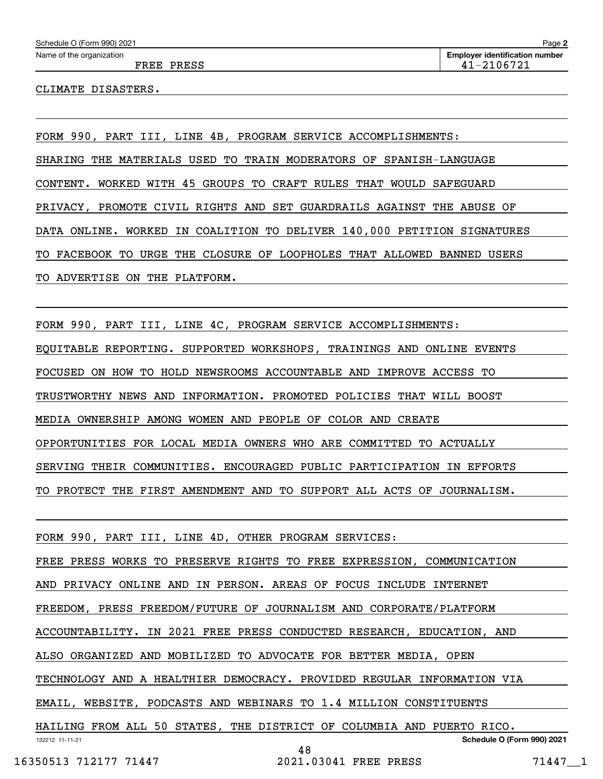CLIMATE DISASTERS.

FORM 990, PART III, LINE 4B, PROGRAM SERVICE ACCOMPLISHMENTS: SHARING THE MATERIALS USED TO TRAIN MODERATORS OF SPANISH-LANGUAGE CONTENT. WORKED WITH 45 GROUPS TO CRAFT RULES THAT WOULD SAFEGUARD PRIVACY, PROMOTE CIVIL RIGHTS AND SET GUARDRAILS AGAINST THE ABUSE OF DATA ONLINE. WORKED IN COALITION TO DELIVER 140,000 PETITION SIGNATURES TO FACEBOOK TO URGE THE CLOSURE OF LOOPHOLES THAT ALLOWED BANNED USERS TO ADVERTISE ON THE PLATFORM.

FORM 990, PART III, LINE 4C, PROGRAM SERVICE ACCOMPLISHMENTS:

EQUITABLE REPORTING. SUPPORTED WORKSHOPS, TRAININGS AND ONLINE EVENTS

FOCUSED ON HOW TO HOLD NEWSROOMS ACCOUNTABLE AND IMPROVE ACCESS TO

TRUSTWORTHY NEWS AND INFORMATION. PROMOTED POLICIES THAT WILL BOOST

MEDIA OWNERSHIP AMONG WOMEN AND PEOPLE OF COLOR AND CREATE

OPPORTUNITIES FOR LOCAL MEDIA OWNERS WHO ARE COMMITTED TO ACTUALLY

SERVING THEIR COMMUNITIES. ENCOURAGED PUBLIC PARTICIPATION IN EFFORTS

TO PROTECT THE FIRST AMENDMENT AND TO SUPPORT ALL ACTS OF JOURNALISM.

FORM 990, PART III, LINE 4D, OTHER PROGRAM SERVICES:

FREE PRESS WORKS TO PRESERVE RIGHTS TO FREE EXPRESSION, COMMUNICATION

AND PRIVACY ONLINE AND IN PERSON. AREAS OF FOCUS INCLUDE INTERNET

FREEDOM, PRESS FREEDOM/FUTURE OF JOURNALISM AND CORPORATE/PLATFORM

ACCOUNTABILITY. IN 2021 FREE PRESS CONDUCTED RESEARCH, EDUCATION, AND

ALSO ORGANIZED AND MOBILIZED TO ADVOCATE FOR BETTER MEDIA, OPEN

TECHNOLOGY AND A HEALTHIER DEMOCRACY. PROVIDED REGULAR INFORMATION VIA

EMAIL, WEBSITE, PODCASTS AND WEBINARS TO 1.4 MILLION CONSTITUENTS

132212 11-11-21 **Schedule O (Form 990) 2021** HAILING FROM ALL 50 STATES, THE DISTRICT OF COLUMBIA AND PUERTO RICO. 48

```
 16350513 712177 71447 2021.03041 FREE PRESS 71447__1
```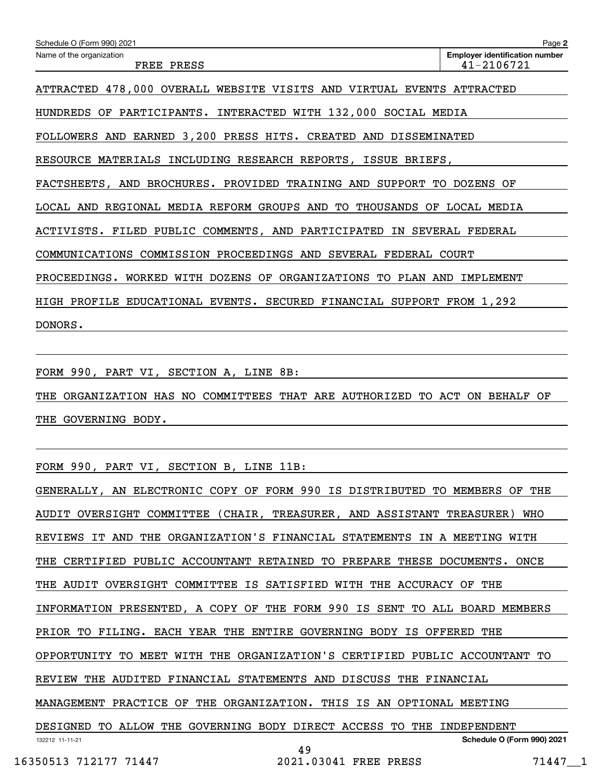| Schedule O (Form 990) 2021                                                | Page 2                                              |  |  |  |  |  |  |
|---------------------------------------------------------------------------|-----------------------------------------------------|--|--|--|--|--|--|
| Name of the organization<br>FREE PRESS                                    | <b>Employer identification number</b><br>41-2106721 |  |  |  |  |  |  |
| ATTRACTED 478,000 OVERALL WEBSITE VISITS AND VIRTUAL EVENTS ATTRACTED     |                                                     |  |  |  |  |  |  |
| HUNDREDS OF PARTICIPANTS. INTERACTED WITH 132,000 SOCIAL MEDIA            |                                                     |  |  |  |  |  |  |
| FOLLOWERS AND EARNED 3,200 PRESS HITS. CREATED AND DISSEMINATED           |                                                     |  |  |  |  |  |  |
| RESOURCE MATERIALS INCLUDING RESEARCH REPORTS, ISSUE BRIEFS,              |                                                     |  |  |  |  |  |  |
| FACTSHEETS, AND BROCHURES. PROVIDED TRAINING AND SUPPORT TO DOZENS OF     |                                                     |  |  |  |  |  |  |
| LOCAL AND REGIONAL MEDIA REFORM GROUPS AND TO THOUSANDS OF LOCAL MEDIA    |                                                     |  |  |  |  |  |  |
| ACTIVISTS. FILED PUBLIC COMMENTS, AND PARTICIPATED IN SEVERAL FEDERAL     |                                                     |  |  |  |  |  |  |
| COMMUNICATIONS COMMISSION PROCEEDINGS AND SEVERAL FEDERAL COURT           |                                                     |  |  |  |  |  |  |
| PROCEEDINGS. WORKED WITH DOZENS OF ORGANIZATIONS TO PLAN AND<br>IMPLEMENT |                                                     |  |  |  |  |  |  |
| HIGH PROFILE EDUCATIONAL EVENTS. SECURED FINANCIAL SUPPORT FROM 1,292     |                                                     |  |  |  |  |  |  |
| DONORS.                                                                   |                                                     |  |  |  |  |  |  |

FORM 990, PART VI, SECTION A, LINE 8B:

THE ORGANIZATION HAS NO COMMITTEES THAT ARE AUTHORIZED TO ACT ON BEHALF OF THE GOVERNING BODY.

FORM 990, PART VI, SECTION B, LINE 11B:

132212 11-11-21 **Schedule O (Form 990) 2021** GENERALLY, AN ELECTRONIC COPY OF FORM 990 IS DISTRIBUTED TO MEMBERS OF THE AUDIT OVERSIGHT COMMITTEE (CHAIR, TREASURER, AND ASSISTANT TREASURER) WHO REVIEWS IT AND THE ORGANIZATION'S FINANCIAL STATEMENTS IN A MEETING WITH THE CERTIFIED PUBLIC ACCOUNTANT RETAINED TO PREPARE THESE DOCUMENTS. ONCE THE AUDIT OVERSIGHT COMMITTEE IS SATISFIED WITH THE ACCURACY OF THE INFORMATION PRESENTED, A COPY OF THE FORM 990 IS SENT TO ALL BOARD MEMBERS PRIOR TO FILING. EACH YEAR THE ENTIRE GOVERNING BODY IS OFFERED THE OPPORTUNITY TO MEET WITH THE ORGANIZATION'S CERTIFIED PUBLIC ACCOUNTANT TO REVIEW THE AUDITED FINANCIAL STATEMENTS AND DISCUSS THE FINANCIAL MANAGEMENT PRACTICE OF THE ORGANIZATION. THIS IS AN OPTIONAL MEETING DESIGNED TO ALLOW THE GOVERNING BODY DIRECT ACCESS TO THE INDEPENDENT 49

16350513 712177 71447 2021.03041 FREE PRESS 71447 1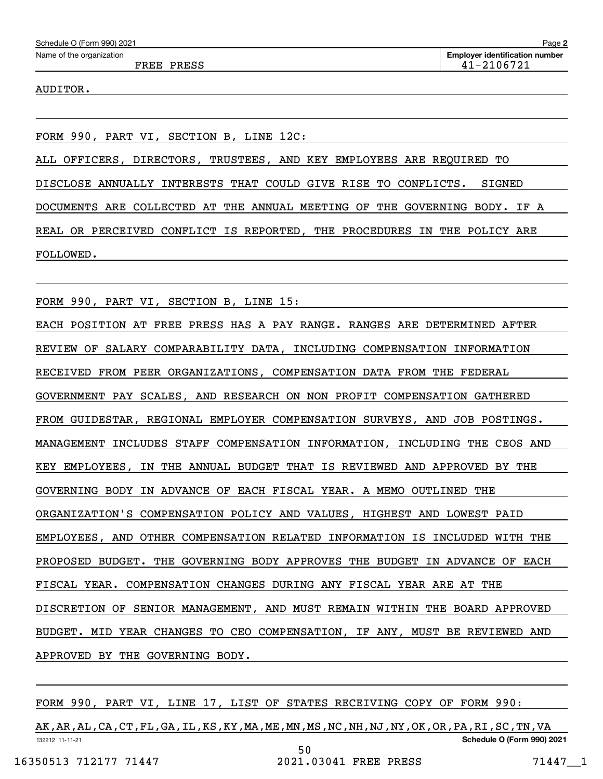AUDITOR.

FORM 990, PART VI, SECTION B, LINE 12C:

ALL OFFICERS, DIRECTORS, TRUSTEES, AND KEY EMPLOYEES ARE REQUIRED TO DISCLOSE ANNUALLY INTERESTS THAT COULD GIVE RISE TO CONFLICTS. SIGNED DOCUMENTS ARE COLLECTED AT THE ANNUAL MEETING OF THE GOVERNING BODY. IF A REAL OR PERCEIVED CONFLICT IS REPORTED, THE PROCEDURES IN THE POLICY ARE FOLLOWED.

FORM 990, PART VI, SECTION B, LINE 15:

EACH POSITION AT FREE PRESS HAS A PAY RANGE. RANGES ARE DETERMINED AFTER REVIEW OF SALARY COMPARABILITY DATA, INCLUDING COMPENSATION INFORMATION RECEIVED FROM PEER ORGANIZATIONS, COMPENSATION DATA FROM THE FEDERAL GOVERNMENT PAY SCALES, AND RESEARCH ON NON PROFIT COMPENSATION GATHERED FROM GUIDESTAR, REGIONAL EMPLOYER COMPENSATION SURVEYS, AND JOB POSTINGS. MANAGEMENT INCLUDES STAFF COMPENSATION INFORMATION, INCLUDING THE CEOS AND KEY EMPLOYEES, IN THE ANNUAL BUDGET THAT IS REVIEWED AND APPROVED BY THE GOVERNING BODY IN ADVANCE OF EACH FISCAL YEAR. A MEMO OUTLINED THE ORGANIZATION'S COMPENSATION POLICY AND VALUES, HIGHEST AND LOWEST PAID EMPLOYEES, AND OTHER COMPENSATION RELATED INFORMATION IS INCLUDED WITH THE PROPOSED BUDGET. THE GOVERNING BODY APPROVES THE BUDGET IN ADVANCE OF EACH FISCAL YEAR. COMPENSATION CHANGES DURING ANY FISCAL YEAR ARE AT THE DISCRETION OF SENIOR MANAGEMENT, AND MUST REMAIN WITHIN THE BOARD APPROVED BUDGET. MID YEAR CHANGES TO CEO COMPENSATION, IF ANY, MUST BE REVIEWED AND APPROVED BY THE GOVERNING BODY.

FORM 990, PART VI, LINE 17, LIST OF STATES RECEIVING COPY OF FORM 990:

132212 11-11-21 **Schedule O (Form 990) 2021** AK,AR,AL,CA,CT,FL,GA,IL,KS,KY,MA,ME,MN,MS,NC,NH,NJ,NY,OK,OR,PA,RI,SC,TN,VA 50

16350513 712177 71447 2021.03041 FREE PRESS 71447\_\_1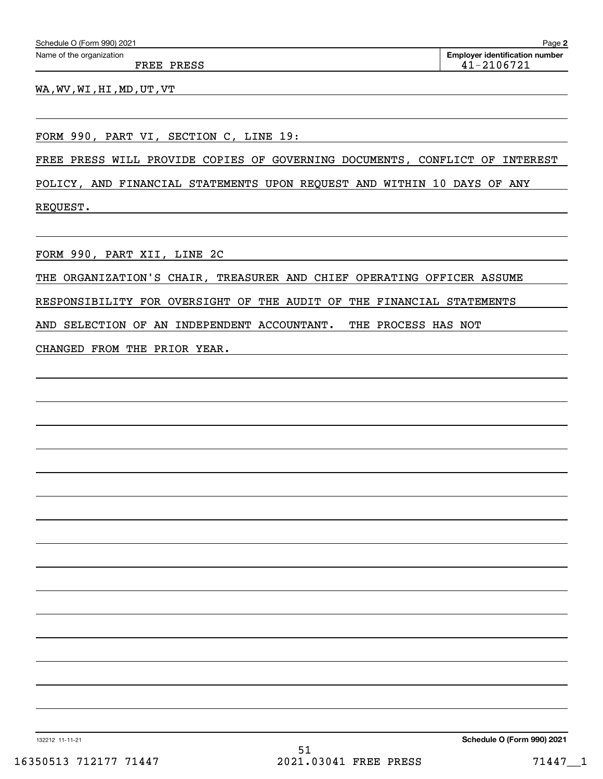|  | Schedule O (Form 990) 2021 |  |  |
|--|----------------------------|--|--|
|--|----------------------------|--|--|

FREE PRESS 41-2106721

WA,WV,WI,HI,MD,UT,VT

FORM 990, PART VI, SECTION C, LINE 19:

FREE PRESS WILL PROVIDE COPIES OF GOVERNING DOCUMENTS, CONFLICT OF INTEREST

POLICY, AND FINANCIAL STATEMENTS UPON REQUEST AND WITHIN 10 DAYS OF ANY REQUEST.

FORM 990, PART XII, LINE 2C

THE ORGANIZATION'S CHAIR, TREASURER AND CHIEF OPERATING OFFICER ASSUME

RESPONSIBILITY FOR OVERSIGHT OF THE AUDIT OF THE FINANCIAL STATEMENTS

AND SELECTION OF AN INDEPENDENT ACCOUNTANT. THE PROCESS HAS NOT

CHANGED FROM THE PRIOR YEAR.

132212 11-11-21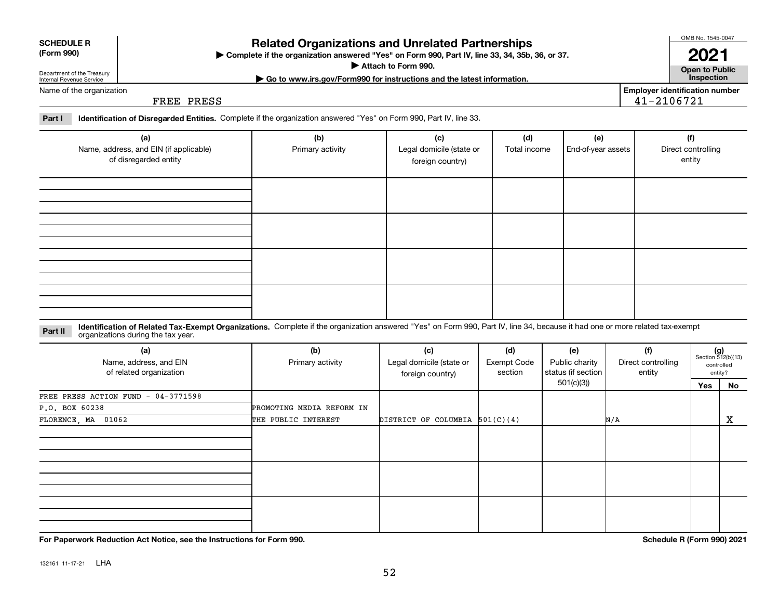## **For Paperwork Reduction Act Notice, see the Instructions for Form 990. Schedule R (Form 990) 2021**

132161 11-17-21 LHA

## **Related Organizations and Unrelated Partnerships**

**Complete if the organization answered "Yes" on Form 990, Part IV, line 33, 34, 35b, 36, or 37.** |

**Attach to Form 990.**  |

Name of the organization

Department of the Treasury Internal Revenue Service

**SCHEDULE R (Form 990)**

FREE PRESS

**Part I Identification of Disregarded Entities.**  Complete if the organization answered "Yes" on Form 990, Part IV, line 33.

| (a)<br>Name, address, and EIN (if applicable)<br>of disregarded entity | (b)<br>Primary activity | (c)<br>Legal domicile (state or<br>foreign country) | (d)<br>Total income | (e)<br>End-of-year assets | (f)<br>Direct controlling<br>entity |
|------------------------------------------------------------------------|-------------------------|-----------------------------------------------------|---------------------|---------------------------|-------------------------------------|
|                                                                        |                         |                                                     |                     |                           |                                     |
|                                                                        |                         |                                                     |                     |                           |                                     |
|                                                                        |                         |                                                     |                     |                           |                                     |
|                                                                        |                         |                                                     |                     |                           |                                     |

#### **Identification of Related Tax-Exempt Organizations.** Complete if the organization answered "Yes" on Form 990, Part IV, line 34, because it had one or more related tax-exempt **Part II** organizations during the tax year.

| (a)<br>Name, address, and EIN<br>of related organization | (b)<br>Primary activity   | (c)<br>Legal domicile (state or<br>foreign country) | (d)<br><b>Exempt Code</b><br>section | (e)<br>Public charity<br>status (if section | (f)<br>Direct controlling<br>entity | $(g)$<br>Section 512(b)(13) | controlled<br>entity? |
|----------------------------------------------------------|---------------------------|-----------------------------------------------------|--------------------------------------|---------------------------------------------|-------------------------------------|-----------------------------|-----------------------|
|                                                          |                           |                                                     |                                      | 501(c)(3)                                   |                                     | Yes                         | No                    |
| FREE PRESS ACTION FUND - 04-3771598                      |                           |                                                     |                                      |                                             |                                     |                             |                       |
| P.O. BOX 60238                                           | PROMOTING MEDIA REFORM IN |                                                     |                                      |                                             |                                     |                             |                       |
| FLORENCE, MA 01062                                       | THE PUBLIC INTEREST       | DISTRICT OF COLUMBIA $501(C)(4)$                    |                                      |                                             | N/A                                 |                             | x                     |
|                                                          |                           |                                                     |                                      |                                             |                                     |                             |                       |
|                                                          |                           |                                                     |                                      |                                             |                                     |                             |                       |
|                                                          |                           |                                                     |                                      |                                             |                                     |                             |                       |

OMB No. 1545-0047

**Open to Public 2021**

**Employer identification number**

41-2106721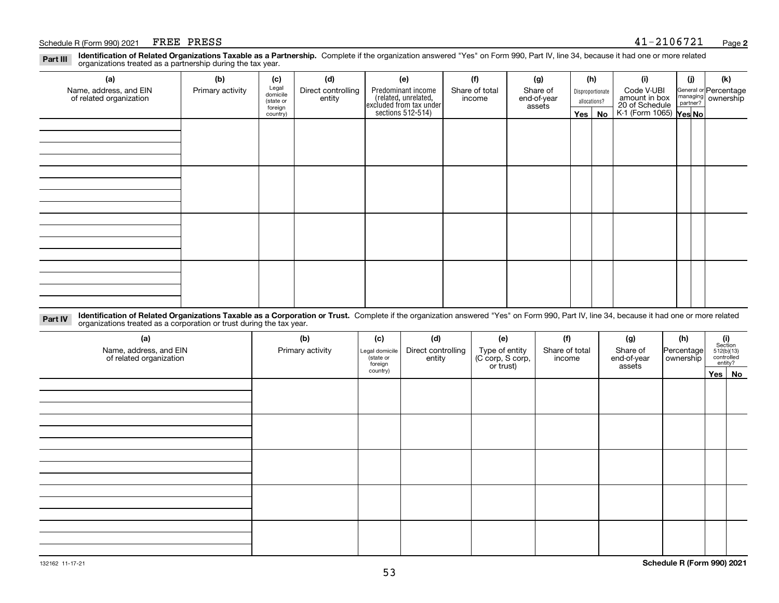### Schedule R (Form 990) 2021  $FREF$  PRESS

**Identification of Related Organizations Taxable as a Partnership.** Complete if the organization answered "Yes" on Form 990, Part IV, line 34, because it had one or more related **Part III** organizations treated as a partnership during the tax year.

| (a)                                               | (b)              | (c)                  | (d)                          | (e)                                                                 | (f)                      | (g)                     |            | (h)              | (i)                                                              | (j) | (k)                                                     |
|---------------------------------------------------|------------------|----------------------|------------------------------|---------------------------------------------------------------------|--------------------------|-------------------------|------------|------------------|------------------------------------------------------------------|-----|---------------------------------------------------------|
| Name, address, and EIN<br>of related organization | Primary activity | Legal<br>domicile    | Direct controlling<br>entity | Predominant income                                                  | Share of total<br>income | Share of<br>end-of-year |            | Disproportionate | Code V-UBI                                                       |     | General or Percentage<br>managing ownership<br>partner? |
|                                                   |                  | (state or<br>foreign |                              |                                                                     |                          | assets                  |            | allocations?     |                                                                  |     |                                                         |
|                                                   |                  | country)             |                              | related, unrelated,<br>excluded from tax under<br>sections 512-514) |                          |                         | $Yes \mid$ | No               | amount in box<br>20 of Schedule<br>K-1 (Form 1065) <b>Yes No</b> |     |                                                         |
|                                                   |                  |                      |                              |                                                                     |                          |                         |            |                  |                                                                  |     |                                                         |
|                                                   |                  |                      |                              |                                                                     |                          |                         |            |                  |                                                                  |     |                                                         |
|                                                   |                  |                      |                              |                                                                     |                          |                         |            |                  |                                                                  |     |                                                         |
|                                                   |                  |                      |                              |                                                                     |                          |                         |            |                  |                                                                  |     |                                                         |
|                                                   |                  |                      |                              |                                                                     |                          |                         |            |                  |                                                                  |     |                                                         |
|                                                   |                  |                      |                              |                                                                     |                          |                         |            |                  |                                                                  |     |                                                         |
|                                                   |                  |                      |                              |                                                                     |                          |                         |            |                  |                                                                  |     |                                                         |
|                                                   |                  |                      |                              |                                                                     |                          |                         |            |                  |                                                                  |     |                                                         |
|                                                   |                  |                      |                              |                                                                     |                          |                         |            |                  |                                                                  |     |                                                         |
|                                                   |                  |                      |                              |                                                                     |                          |                         |            |                  |                                                                  |     |                                                         |
|                                                   |                  |                      |                              |                                                                     |                          |                         |            |                  |                                                                  |     |                                                         |
|                                                   |                  |                      |                              |                                                                     |                          |                         |            |                  |                                                                  |     |                                                         |
|                                                   |                  |                      |                              |                                                                     |                          |                         |            |                  |                                                                  |     |                                                         |
|                                                   |                  |                      |                              |                                                                     |                          |                         |            |                  |                                                                  |     |                                                         |
|                                                   |                  |                      |                              |                                                                     |                          |                         |            |                  |                                                                  |     |                                                         |
|                                                   |                  |                      |                              |                                                                     |                          |                         |            |                  |                                                                  |     |                                                         |
|                                                   |                  |                      |                              |                                                                     |                          |                         |            |                  |                                                                  |     |                                                         |

**Identification of Related Organizations Taxable as a Corporation or Trust.** Complete if the organization answered "Yes" on Form 990, Part IV, line 34, because it had one or more related **Part IV** organizations treated as a corporation or trust during the tax year.

| (a)<br>Name, address, and EIN<br>of related organization | (b)<br>Primary activity | (c)<br>Legal domicile<br>(state or<br>foreign | (d)<br>Direct controlling<br>entity | (e)<br>Type of entity<br>(C corp, S corp,<br>or trust) | (f)<br>Share of total<br>income | (g)<br>Share of<br>end-of-year<br>assets | (h)<br>Percentage<br>ownership | $\begin{array}{c} \textbf{(i)}\\ \text{Section}\\ 512 \text{(b)} \text{(13)}\\ \text{controlled}\\ \text{entity?} \end{array}$ |
|----------------------------------------------------------|-------------------------|-----------------------------------------------|-------------------------------------|--------------------------------------------------------|---------------------------------|------------------------------------------|--------------------------------|--------------------------------------------------------------------------------------------------------------------------------|
|                                                          |                         | country)                                      |                                     |                                                        |                                 |                                          |                                | Yes   No                                                                                                                       |
|                                                          |                         |                                               |                                     |                                                        |                                 |                                          |                                |                                                                                                                                |
|                                                          |                         |                                               |                                     |                                                        |                                 |                                          |                                |                                                                                                                                |
|                                                          |                         |                                               |                                     |                                                        |                                 |                                          |                                |                                                                                                                                |
|                                                          |                         |                                               |                                     |                                                        |                                 |                                          |                                |                                                                                                                                |
|                                                          |                         |                                               |                                     |                                                        |                                 |                                          |                                |                                                                                                                                |
|                                                          |                         |                                               |                                     |                                                        |                                 |                                          |                                |                                                                                                                                |
|                                                          |                         |                                               |                                     |                                                        |                                 |                                          |                                |                                                                                                                                |
|                                                          |                         |                                               |                                     |                                                        |                                 |                                          |                                |                                                                                                                                |
|                                                          |                         |                                               |                                     |                                                        |                                 |                                          |                                |                                                                                                                                |
|                                                          |                         |                                               |                                     |                                                        |                                 |                                          |                                |                                                                                                                                |
|                                                          |                         |                                               |                                     |                                                        |                                 |                                          |                                |                                                                                                                                |
|                                                          |                         |                                               |                                     |                                                        |                                 |                                          |                                |                                                                                                                                |
|                                                          |                         |                                               |                                     |                                                        |                                 |                                          |                                |                                                                                                                                |
|                                                          |                         |                                               |                                     |                                                        |                                 |                                          |                                |                                                                                                                                |
|                                                          |                         |                                               |                                     |                                                        |                                 |                                          |                                |                                                                                                                                |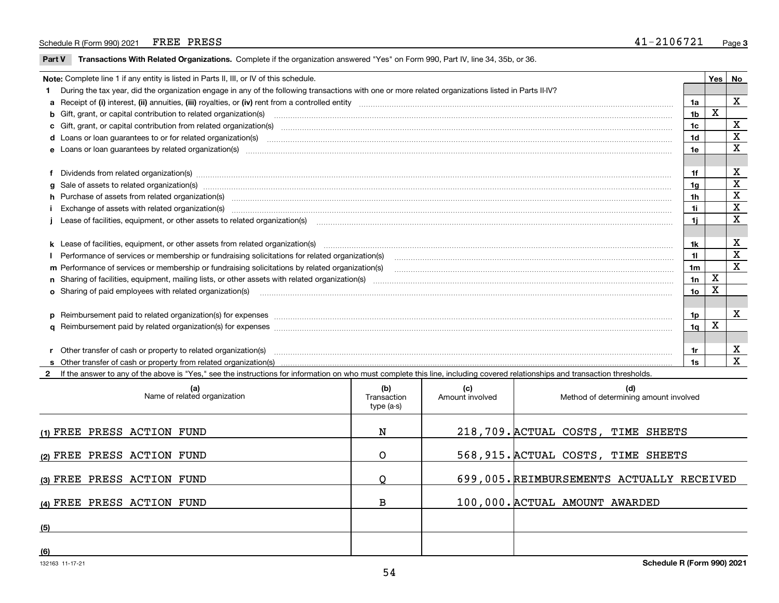### Schedule R (Form 990) 2021  $FREE$  PRESS

 $\overline{\phantom{a}}$ 

**Part V** T**ransactions With Related Organizations.** Complete if the organization answered "Yes" on Form 990, Part IV, line 34, 35b, or 36.

| Note: Complete line 1 if any entity is listed in Parts II, III, or IV of this schedule. |                                                                                                                                                                                                                                      |                |             |             |  |  |
|-----------------------------------------------------------------------------------------|--------------------------------------------------------------------------------------------------------------------------------------------------------------------------------------------------------------------------------------|----------------|-------------|-------------|--|--|
|                                                                                         | 1 During the tax year, did the organization engage in any of the following transactions with one or more related organizations listed in Parts II-IV?                                                                                |                |             |             |  |  |
|                                                                                         |                                                                                                                                                                                                                                      | 1a             |             | X           |  |  |
|                                                                                         | <b>b</b> Gift, grant, or capital contribution to related organization(s)                                                                                                                                                             | 1 <sub>b</sub> | X           |             |  |  |
|                                                                                         | c Gift, grant, or capital contribution from related organization(s)                                                                                                                                                                  | 1c             |             | X           |  |  |
|                                                                                         |                                                                                                                                                                                                                                      | 1d             |             | X           |  |  |
|                                                                                         | e Loans or loan quarantees by related organization(s)                                                                                                                                                                                | 1e             |             | х           |  |  |
|                                                                                         |                                                                                                                                                                                                                                      |                |             |             |  |  |
|                                                                                         | f Dividends from related organization(s) manufactured contains and contained a series of the contact of the contact of the contact of the contact of the contact of the contact of the contact of the contact of the contact o       |                |             | X           |  |  |
|                                                                                         | g Sale of assets to related organization(s) www.assettion.com/www.assettion.com/www.assettion.com/www.assettion.com/www.assettion.com/www.assettion.com/www.assettion.com/www.assettion.com/www.assettion.com/www.assettion.co       | 1g             |             | $\mathbf X$ |  |  |
|                                                                                         | h Purchase of assets from related organization(s) manufactured and content to content the content of assets from related organization(s)                                                                                             | 1h             |             | х           |  |  |
|                                                                                         | Exchange of assets with related organization(s) www.communicallycommunicallycommunicallycommunicallycommunicallycommunicallycommunicallycommunicallycommunicallycommunicallycommunicallycommunicallycommunicallycommunicallyco       | 1i.            |             | $\mathbf X$ |  |  |
|                                                                                         |                                                                                                                                                                                                                                      | 1i.            |             | X           |  |  |
|                                                                                         |                                                                                                                                                                                                                                      |                |             |             |  |  |
|                                                                                         |                                                                                                                                                                                                                                      | 1k             |             | х           |  |  |
|                                                                                         | Performance of services or membership or fundraising solicitations for related organization(s)                                                                                                                                       | 11.            |             | X           |  |  |
|                                                                                         | m Performance of services or membership or fundraising solicitations by related organization(s)                                                                                                                                      | 1m             |             | X           |  |  |
|                                                                                         |                                                                                                                                                                                                                                      | 1n             | $\mathbf X$ |             |  |  |
|                                                                                         | o Sharing of paid employees with related organization(s) <b>contract to consumer contract to consumer and consumer consumer and consumer consumer consumer consumer consumer consumer consumer consumer consumer consumer consum</b> | 1o             | Χ           |             |  |  |
|                                                                                         |                                                                                                                                                                                                                                      |                |             |             |  |  |
|                                                                                         | p Reimbursement paid to related organization(s) for expenses [111] All and the content of the content of the content of the content of the content of the content of the content of the content of the content of the content        | 1p.            |             | X           |  |  |
|                                                                                         |                                                                                                                                                                                                                                      | 1q.            | x           |             |  |  |
|                                                                                         |                                                                                                                                                                                                                                      |                |             |             |  |  |
|                                                                                         |                                                                                                                                                                                                                                      |                |             | X           |  |  |
|                                                                                         |                                                                                                                                                                                                                                      | 1s             |             | X           |  |  |

**2**If the answer to any of the above is "Yes," see the instructions for information on who must complete this line, including covered relationships and transaction thresholds.

| (a)<br>Name of related organization | (b)<br>Transaction<br>type (a-s) | (c)<br>Amount involved | (d)<br>Method of determining amount involved |
|-------------------------------------|----------------------------------|------------------------|----------------------------------------------|
| (1) FREE PRESS ACTION FUND          | N                                |                        | 218,709. ACTUAL COSTS, TIME SHEETS           |
| (2) FREE PRESS ACTION FUND          | O                                |                        | 568, 915. ACTUAL COSTS, TIME SHEETS          |
| (3) FREE PRESS ACTION FUND          |                                  |                        | 699,005. REIMBURSEMENTS ACTUALLY RECEIVED    |
| (4) FREE PRESS ACTION FUND          | в                                |                        | 100,000. ACTUAL AMOUNT AWARDED               |
| (5)                                 |                                  |                        |                                              |
| (6)                                 |                                  |                        |                                              |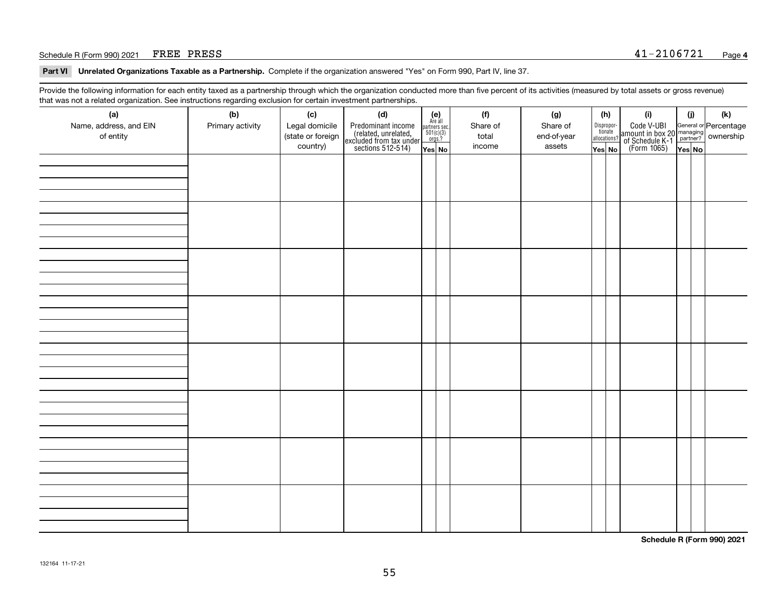## Schedule R (Form 990) 2021  $FREF$  PRESS

**Part VI Unrelated Organizations Taxable as a Partnership. Complete if the organization answered "Yes" on Form 990, Part IV, line 37.** 

Provide the following information for each entity taxed as a partnership through which the organization conducted more than five percent of its activities (measured by total assets or gross revenue) that was not a related organization. See instructions regarding exclusion for certain investment partnerships.

| ັ                      | ັ<br>ັ           |                   | . .                                                                                        |                                                                                                                 |          |             |                                  |                                                                                                  |        |     |  |  |  |  |  |
|------------------------|------------------|-------------------|--------------------------------------------------------------------------------------------|-----------------------------------------------------------------------------------------------------------------|----------|-------------|----------------------------------|--------------------------------------------------------------------------------------------------|--------|-----|--|--|--|--|--|
| (a)                    | (b)              | (c)               | (d)                                                                                        | $\begin{array}{c} \textbf{(e)}\\ \text{Are all} \\ \text{partners sec}\\ 501(c)(3)\\ \text{orgs.?} \end{array}$ | (f)      | (g)         | (h)                              | (i)                                                                                              | (i)    | (k) |  |  |  |  |  |
| Name, address, and EIN | Primary activity | Legal domicile    |                                                                                            |                                                                                                                 | Share of | Share of    |                                  |                                                                                                  |        |     |  |  |  |  |  |
| of entity              |                  | (state or foreign |                                                                                            |                                                                                                                 | total    | end-of-year | Disproportionate<br>allocations? |                                                                                                  |        |     |  |  |  |  |  |
|                        |                  | country)          | Predominant income<br>(related, unrelated,<br>excluded from tax under<br>sections 512-514) | Yes No                                                                                                          | income   | assets      | Yes No                           | Code V-UBI<br>amount in box 20 managing<br>of Schedule K-1<br>(Form 1065)<br>$\overline{Yes}$ No | Yes No |     |  |  |  |  |  |
|                        |                  |                   |                                                                                            |                                                                                                                 |          |             |                                  |                                                                                                  |        |     |  |  |  |  |  |
|                        |                  |                   |                                                                                            |                                                                                                                 |          |             |                                  |                                                                                                  |        |     |  |  |  |  |  |
|                        |                  |                   |                                                                                            |                                                                                                                 |          |             |                                  |                                                                                                  |        |     |  |  |  |  |  |
|                        |                  |                   |                                                                                            |                                                                                                                 |          |             |                                  |                                                                                                  |        |     |  |  |  |  |  |
|                        |                  |                   |                                                                                            |                                                                                                                 |          |             |                                  |                                                                                                  |        |     |  |  |  |  |  |
|                        |                  |                   |                                                                                            |                                                                                                                 |          |             |                                  |                                                                                                  |        |     |  |  |  |  |  |
|                        |                  |                   |                                                                                            |                                                                                                                 |          |             |                                  |                                                                                                  |        |     |  |  |  |  |  |
|                        |                  |                   |                                                                                            |                                                                                                                 |          |             |                                  |                                                                                                  |        |     |  |  |  |  |  |
|                        |                  |                   |                                                                                            |                                                                                                                 |          |             |                                  |                                                                                                  |        |     |  |  |  |  |  |
|                        |                  |                   |                                                                                            |                                                                                                                 |          |             |                                  |                                                                                                  |        |     |  |  |  |  |  |
|                        |                  |                   |                                                                                            |                                                                                                                 |          |             |                                  |                                                                                                  |        |     |  |  |  |  |  |
|                        |                  |                   |                                                                                            |                                                                                                                 |          |             |                                  |                                                                                                  |        |     |  |  |  |  |  |
|                        |                  |                   |                                                                                            |                                                                                                                 |          |             |                                  |                                                                                                  |        |     |  |  |  |  |  |
|                        |                  |                   |                                                                                            |                                                                                                                 |          |             |                                  |                                                                                                  |        |     |  |  |  |  |  |
|                        |                  |                   |                                                                                            |                                                                                                                 |          |             |                                  |                                                                                                  |        |     |  |  |  |  |  |
|                        |                  |                   |                                                                                            |                                                                                                                 |          |             |                                  |                                                                                                  |        |     |  |  |  |  |  |
|                        |                  |                   |                                                                                            |                                                                                                                 |          |             |                                  |                                                                                                  |        |     |  |  |  |  |  |
|                        |                  |                   |                                                                                            |                                                                                                                 |          |             |                                  |                                                                                                  |        |     |  |  |  |  |  |
|                        |                  |                   |                                                                                            |                                                                                                                 |          |             |                                  |                                                                                                  |        |     |  |  |  |  |  |
|                        |                  |                   |                                                                                            |                                                                                                                 |          |             |                                  |                                                                                                  |        |     |  |  |  |  |  |
|                        |                  |                   |                                                                                            |                                                                                                                 |          |             |                                  |                                                                                                  |        |     |  |  |  |  |  |
|                        |                  |                   |                                                                                            |                                                                                                                 |          |             |                                  |                                                                                                  |        |     |  |  |  |  |  |
|                        |                  |                   |                                                                                            |                                                                                                                 |          |             |                                  |                                                                                                  |        |     |  |  |  |  |  |
|                        |                  |                   |                                                                                            |                                                                                                                 |          |             |                                  |                                                                                                  |        |     |  |  |  |  |  |
|                        |                  |                   |                                                                                            |                                                                                                                 |          |             |                                  |                                                                                                  |        |     |  |  |  |  |  |
|                        |                  |                   |                                                                                            |                                                                                                                 |          |             |                                  |                                                                                                  |        |     |  |  |  |  |  |
|                        |                  |                   |                                                                                            |                                                                                                                 |          |             |                                  |                                                                                                  |        |     |  |  |  |  |  |
|                        |                  |                   |                                                                                            |                                                                                                                 |          |             |                                  |                                                                                                  |        |     |  |  |  |  |  |
|                        |                  |                   |                                                                                            |                                                                                                                 |          |             |                                  |                                                                                                  |        |     |  |  |  |  |  |
|                        |                  |                   |                                                                                            |                                                                                                                 |          |             |                                  |                                                                                                  |        |     |  |  |  |  |  |
|                        |                  |                   |                                                                                            |                                                                                                                 |          |             |                                  |                                                                                                  |        |     |  |  |  |  |  |
|                        |                  |                   |                                                                                            |                                                                                                                 |          |             |                                  |                                                                                                  |        |     |  |  |  |  |  |
|                        |                  |                   |                                                                                            |                                                                                                                 |          |             |                                  |                                                                                                  |        |     |  |  |  |  |  |
|                        |                  |                   |                                                                                            |                                                                                                                 |          |             |                                  |                                                                                                  |        |     |  |  |  |  |  |
|                        |                  |                   |                                                                                            |                                                                                                                 |          |             |                                  |                                                                                                  |        |     |  |  |  |  |  |
|                        |                  |                   |                                                                                            |                                                                                                                 |          |             |                                  |                                                                                                  |        |     |  |  |  |  |  |
|                        |                  |                   |                                                                                            |                                                                                                                 |          |             |                                  |                                                                                                  |        |     |  |  |  |  |  |
|                        |                  |                   |                                                                                            |                                                                                                                 |          |             |                                  |                                                                                                  |        |     |  |  |  |  |  |
|                        |                  |                   |                                                                                            |                                                                                                                 |          |             |                                  |                                                                                                  |        |     |  |  |  |  |  |
|                        |                  |                   |                                                                                            |                                                                                                                 |          |             |                                  |                                                                                                  |        |     |  |  |  |  |  |

**Schedule R (Form 990) 2021**